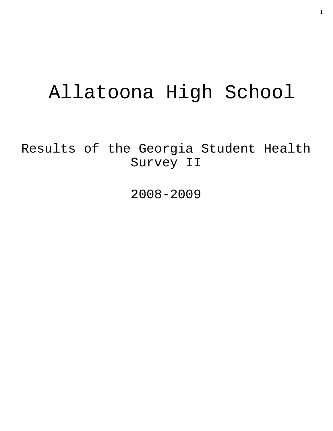# Allatoona High School

Results of the Georgia Student Health Survey II

2008-2009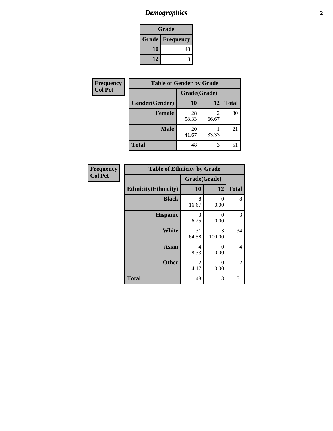## *Demographics* **2**

| Grade                    |    |  |  |
|--------------------------|----|--|--|
| <b>Grade   Frequency</b> |    |  |  |
| 10                       | 48 |  |  |
| 12                       |    |  |  |

| <b>Frequency</b> | <b>Table of Gender by Grade</b> |              |       |              |  |
|------------------|---------------------------------|--------------|-------|--------------|--|
| <b>Col Pct</b>   |                                 | Grade(Grade) |       |              |  |
|                  | Gender(Gender)                  | 10           | 12    | <b>Total</b> |  |
|                  | Female                          | 28<br>58.33  | 66.67 | 30           |  |
|                  | <b>Male</b>                     | 20<br>41.67  | 33.33 | 21           |  |
|                  | <b>Total</b>                    | 48           | 3     | 51           |  |

| <b>Frequency</b> |  |
|------------------|--|
| <b>Col Pct</b>   |  |

| <b>Table of Ethnicity by Grade</b> |              |             |              |  |  |  |
|------------------------------------|--------------|-------------|--------------|--|--|--|
|                                    | Grade(Grade) |             |              |  |  |  |
| <b>Ethnicity</b> (Ethnicity)       | 10           | 12          | <b>Total</b> |  |  |  |
| <b>Black</b>                       | 8<br>16.67   | 0<br>0.00   | 8            |  |  |  |
| <b>Hispanic</b>                    | 3<br>6.25    | 0<br>0.00   | 3            |  |  |  |
| <b>White</b>                       | 31<br>64.58  | 3<br>100.00 | 34           |  |  |  |
| <b>Asian</b>                       | 4<br>8.33    | 0<br>0.00   | 4            |  |  |  |
| <b>Other</b>                       | 2<br>4.17    | 0<br>0.00   | 2            |  |  |  |
| <b>Total</b>                       | 48           | 3           | 51           |  |  |  |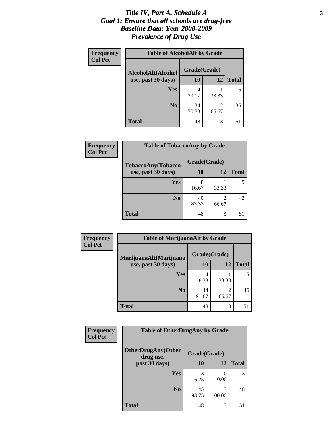#### *Title IV, Part A, Schedule A* **3** *Goal 1: Ensure that all schools are drug-free Baseline Data: Year 2008-2009 Prevalence of Drug Use*

| Frequency<br><b>Col Pct</b> | <b>Table of AlcoholAlt by Grade</b> |              |            |              |  |
|-----------------------------|-------------------------------------|--------------|------------|--------------|--|
|                             | AlcoholAlt(Alcohol                  | Grade(Grade) |            |              |  |
|                             | use, past 30 days)                  | 10           | 12         | <b>Total</b> |  |
|                             | <b>Yes</b>                          | 14<br>29.17  | 33.33      | 15           |  |
|                             | N <sub>0</sub>                      | 34<br>70.83  | 2<br>66.67 | 36           |  |
|                             | <b>Total</b>                        | 48           | 3          | 51           |  |

| <b>Frequency</b> | <b>Table of TobaccoAny by Grade</b> |              |            |              |  |
|------------------|-------------------------------------|--------------|------------|--------------|--|
| <b>Col Pct</b>   | TobaccoAny(Tobacco                  | Grade(Grade) |            |              |  |
|                  | use, past 30 days)                  | <b>10</b>    | 12         | <b>Total</b> |  |
|                  | Yes                                 | 8<br>16.67   | 33.33      | 9            |  |
|                  | N <sub>0</sub>                      | 40<br>83.33  | 2<br>66.67 | 42           |  |
|                  | Total                               | 48           | 3          | 51           |  |

| Frequency<br><b>Col Pct</b> | <b>Table of MarijuanaAlt by Grade</b> |              |                         |              |  |
|-----------------------------|---------------------------------------|--------------|-------------------------|--------------|--|
|                             | MarijuanaAlt(Marijuana                | Grade(Grade) |                         |              |  |
|                             | use, past 30 days)                    | 10           | 12                      | <b>Total</b> |  |
|                             | Yes                                   | 4<br>8.33    | 33.33                   | 5            |  |
|                             | N <sub>0</sub>                        | 44<br>91.67  | $\mathfrak{D}$<br>66.67 | 46           |  |
|                             | <b>Total</b>                          | 48           | 3                       | 51           |  |

| Frequency      | <b>Table of OtherDrugAny by Grade</b>  |              |             |              |  |
|----------------|----------------------------------------|--------------|-------------|--------------|--|
| <b>Col Pct</b> | <b>OtherDrugAny(Other</b><br>drug use, | Grade(Grade) |             |              |  |
|                | past 30 days)                          | 10           | 12          | <b>Total</b> |  |
|                | Yes                                    | 6.25         | 0<br>0.00   | 3            |  |
|                | N <sub>0</sub>                         | 45<br>93.75  | 3<br>100.00 | 48           |  |
|                | <b>Total</b>                           | 48           | 3           | 51           |  |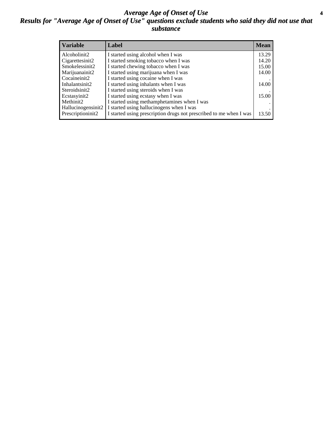#### *Average Age of Onset of Use* **4** *Results for "Average Age of Onset of Use" questions exclude students who said they did not use that substance*

| <b>Variable</b>    | Label                                                              | <b>Mean</b> |
|--------------------|--------------------------------------------------------------------|-------------|
| Alcoholinit2       | I started using alcohol when I was                                 | 13.29       |
| Cigarettesinit2    | I started smoking tobacco when I was                               | 14.20       |
| Smokelessinit2     | I started chewing tobacco when I was                               | 15.00       |
| Marijuanainit2     | I started using marijuana when I was                               | 14.00       |
| Cocaineinit2       | I started using cocaine when I was                                 |             |
| Inhalantsinit2     | I started using inhalants when I was                               | 14.00       |
| Steroidsinit2      | I started using steroids when I was                                |             |
| Ecstasyinit2       | I started using ecstasy when I was                                 | 15.00       |
| Methinit2          | I started using methamphetamines when I was                        |             |
| Hallucinogensinit2 | I started using hallucinogens when I was                           |             |
| Prescriptioninit2  | I started using prescription drugs not prescribed to me when I was | 13.50       |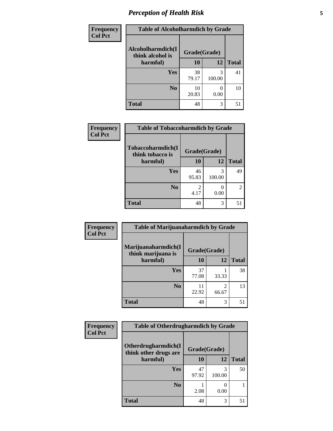### *Perception of Health Risk* **5**

| <b>Frequency</b> | <b>Table of Alcoholharmdich by Grade</b> |              |             |              |  |
|------------------|------------------------------------------|--------------|-------------|--------------|--|
| <b>Col Pct</b>   | Alcoholharmdich(I<br>think alcohol is    | Grade(Grade) |             |              |  |
|                  | harmful)                                 | 10           | 12          | <b>Total</b> |  |
|                  | Yes                                      | 38<br>79.17  | 3<br>100.00 | 41           |  |
|                  | N <sub>0</sub>                           | 10<br>20.83  | 0.00        | 10           |  |
|                  | <b>Total</b>                             | 48           | 3           | 51           |  |

| <b>Frequency</b> | <b>Table of Tobaccoharmdich by Grade</b> |              |                  |               |  |
|------------------|------------------------------------------|--------------|------------------|---------------|--|
| <b>Col Pct</b>   | Tobaccoharmdich(I<br>think tobacco is    | Grade(Grade) |                  |               |  |
|                  | harmful)                                 | 10           | 12               | <b>Total</b>  |  |
|                  | Yes                                      | 46<br>95.83  | 3<br>100.00      | 49            |  |
|                  | N <sub>0</sub>                           | 2<br>4.17    | $\theta$<br>0.00 | $\mathcal{L}$ |  |
|                  | <b>Total</b>                             | 48           | 3                | 51            |  |

| Frequency      | <b>Table of Marijuanaharmdich by Grade</b> |              |            |              |  |
|----------------|--------------------------------------------|--------------|------------|--------------|--|
| <b>Col Pct</b> | Marijuanaharmdich(I<br>think marijuana is  | Grade(Grade) |            |              |  |
|                | harmful)                                   | 10           | 12         | <b>Total</b> |  |
|                | Yes                                        | 37<br>77.08  | 33.33      | 38           |  |
|                | N <sub>0</sub>                             | 11<br>22.92  | 2<br>66.67 | 13           |  |
|                | <b>Total</b>                               | 48           | 3          | 51           |  |

| <b>Frequency</b> | <b>Table of Otherdrugharmdich by Grade</b>   |              |             |              |  |
|------------------|----------------------------------------------|--------------|-------------|--------------|--|
| <b>Col Pct</b>   | Otherdrugharmdich(I<br>think other drugs are | Grade(Grade) |             |              |  |
|                  | harmful)                                     | 10           | 12          | <b>Total</b> |  |
|                  | Yes                                          | 47<br>97.92  | 3<br>100.00 | 50           |  |
|                  | N <sub>0</sub>                               | 2.08         | 0.00        |              |  |
|                  | <b>Total</b>                                 | 48           | 3           | 51           |  |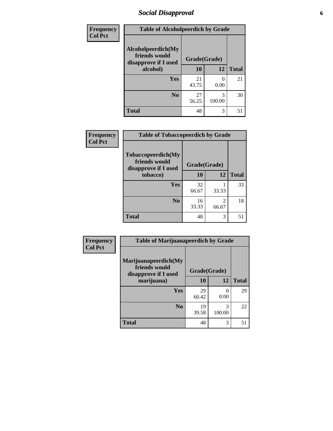### *Social Disapproval* **6**

| Frequency      | <b>Table of Alcoholpeerdich by Grade</b>                    |              |             |              |
|----------------|-------------------------------------------------------------|--------------|-------------|--------------|
| <b>Col Pct</b> | Alcoholpeerdich(My<br>friends would<br>disapprove if I used | Grade(Grade) |             |              |
| alcohol)       |                                                             | 10           | 12          | <b>Total</b> |
|                | <b>Yes</b>                                                  | 21<br>43.75  | 0<br>0.00   | 21           |
|                | N <sub>0</sub>                                              | 27<br>56.25  | 3<br>100.00 | 30           |
|                | <b>Total</b>                                                | 48           | 3           | 51           |

| <b>Frequency</b> |
|------------------|
| <b>Col Pct</b>   |

| <b>Table of Tobaccopeerdich by Grade</b>                    |              |            |              |  |  |
|-------------------------------------------------------------|--------------|------------|--------------|--|--|
| Tobaccopeerdich(My<br>friends would<br>disapprove if I used | Grade(Grade) |            |              |  |  |
| tobacco)                                                    | 10           | 12         | <b>Total</b> |  |  |
| Yes                                                         | 32<br>66.67  | 33.33      | 33           |  |  |
| N <sub>0</sub>                                              | 16<br>33.33  | 2<br>66.67 | 18           |  |  |
| <b>Total</b>                                                | 48           | 3          |              |  |  |

| Frequency      | <b>Table of Marijuanapeerdich by Grade</b>                    |              |             |              |  |
|----------------|---------------------------------------------------------------|--------------|-------------|--------------|--|
| <b>Col Pct</b> | Marijuanapeerdich(My<br>friends would<br>disapprove if I used | Grade(Grade) |             |              |  |
|                | marijuana)                                                    | 10           | 12          | <b>Total</b> |  |
|                | <b>Yes</b>                                                    | 29<br>60.42  | 0<br>0.00   | 29           |  |
|                | N <sub>0</sub>                                                | 19<br>39.58  | 3<br>100.00 | 22           |  |
|                | <b>Total</b>                                                  | 48           | 3           | 51           |  |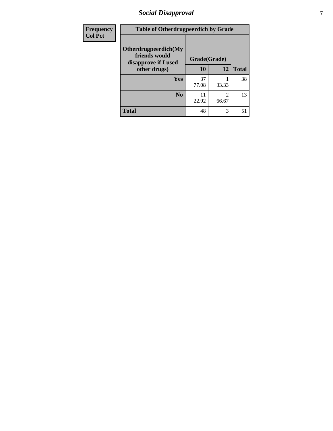## *Social Disapproval* **7**

| Frequency      | <b>Table of Otherdrugpeerdich by Grade</b>                    |              |            |              |
|----------------|---------------------------------------------------------------|--------------|------------|--------------|
| <b>Col Pct</b> | Otherdrugpeerdich(My<br>friends would<br>disapprove if I used | Grade(Grade) |            |              |
|                | other drugs)                                                  | 10           | 12         | <b>Total</b> |
|                | Yes                                                           | 37<br>77.08  | 33.33      | 38           |
|                | N <sub>0</sub>                                                | 11<br>22.92  | 2<br>66.67 | 13           |
|                | <b>Total</b>                                                  | 48           | 3          | 51           |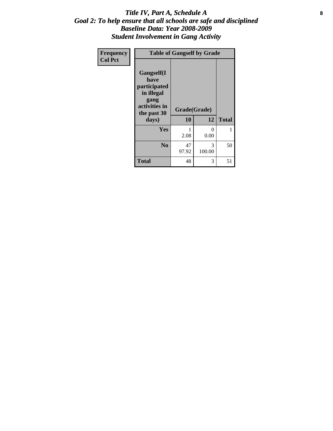#### Title IV, Part A, Schedule A **8** *Goal 2: To help ensure that all schools are safe and disciplined Baseline Data: Year 2008-2009 Student Involvement in Gang Activity*

| Frequency      | <b>Table of Gangself by Grade</b>                                                                 |                    |                  |              |
|----------------|---------------------------------------------------------------------------------------------------|--------------------|------------------|--------------|
| <b>Col Pct</b> | Gangself(I<br>have<br>participated<br>in illegal<br>gang<br>activities in<br>the past 30<br>days) | Grade(Grade)<br>10 | 12               | <b>Total</b> |
|                | Yes                                                                                               | 1<br>2.08          | $\theta$<br>0.00 | 1            |
|                | N <sub>0</sub>                                                                                    | 47<br>97.92        | 3<br>100.00      | 50           |
|                | <b>Total</b>                                                                                      | 48                 | 3                | 51           |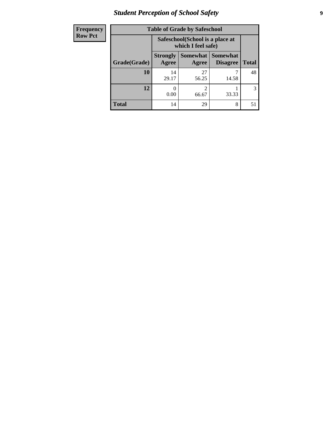## *Student Perception of School Safety* **9**

| <b>Frequency</b><br>Row Pct |
|-----------------------------|
|                             |

| 2y | <b>Table of Grade by Safeschool</b> |                                                        |                     |                                    |              |  |
|----|-------------------------------------|--------------------------------------------------------|---------------------|------------------------------------|--------------|--|
|    |                                     | Safeschool (School is a place at<br>which I feel safe) |                     |                                    |              |  |
|    | Grade(Grade)                        | <b>Strongly</b><br>Agree                               | Somewhat  <br>Agree | <b>Somewhat</b><br><b>Disagree</b> | <b>Total</b> |  |
|    | 10                                  | 14<br>29.17                                            | 27<br>56.25         | 14.58                              | 48           |  |
|    | 12                                  | 0.00                                                   | 2<br>66.67          | 33.33                              | 3            |  |
|    | <b>Total</b>                        | 14                                                     | 29                  | 8                                  | 51           |  |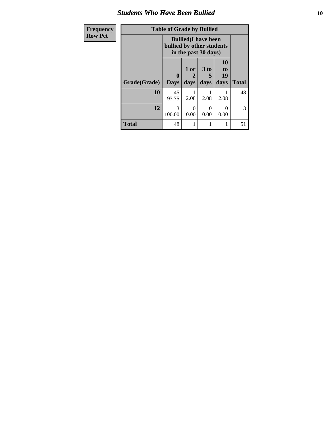#### *Students Who Have Been Bullied* **10**

| Frequency      | <b>Table of Grade by Bullied</b> |                           |                                                     |                              |                               |              |
|----------------|----------------------------------|---------------------------|-----------------------------------------------------|------------------------------|-------------------------------|--------------|
| <b>Row Pct</b> |                                  | bullied by other students | <b>Bullied</b> (I have been<br>in the past 30 days) |                              |                               |              |
|                | Grade(Grade)                     | 0<br><b>Days</b>          | 1 or<br>days                                        | 3 <sub>to</sub><br>5<br>days | <b>10</b><br>to<br>19<br>days | <b>Total</b> |
|                | 10                               | 45<br>93.75               | 2.08                                                | 2.08                         | 2.08                          | 48           |
|                | 12                               | 3<br>100.00               | 0<br>0.00                                           | 0<br>0.00                    | 0<br>0.00                     | 3            |
|                | <b>Total</b>                     | 48                        |                                                     |                              |                               | 51           |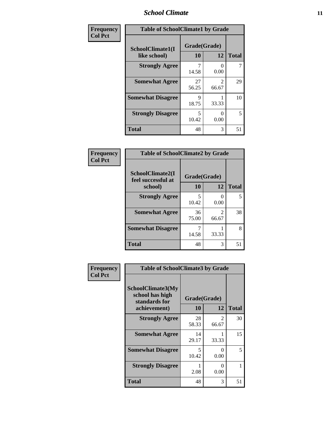### *School Climate* **11**

| Frequency      | <b>Table of SchoolClimate1 by Grade</b> |                    |                                      |              |  |
|----------------|-----------------------------------------|--------------------|--------------------------------------|--------------|--|
| <b>Col Pct</b> | SchoolClimate1(I<br>like school)        | Grade(Grade)<br>10 | 12                                   | <b>Total</b> |  |
|                | <b>Strongly Agree</b>                   | 7<br>14.58         | 0.00                                 | 7            |  |
|                | <b>Somewhat Agree</b>                   | 27<br>56.25        | $\mathcal{D}_{\mathcal{L}}$<br>66.67 | 29           |  |
|                | <b>Somewhat Disagree</b>                | 9<br>18.75         | 33.33                                | 10           |  |
|                | <b>Strongly Disagree</b>                | 5<br>10.42         | 0.00                                 | 5            |  |
|                | <b>Total</b>                            | 48                 | 3                                    | 51           |  |

| Frequency      | <b>Table of SchoolClimate2 by Grade</b>           |                    |                                      |              |
|----------------|---------------------------------------------------|--------------------|--------------------------------------|--------------|
| <b>Col Pct</b> | SchoolClimate2(I<br>feel successful at<br>school) | Grade(Grade)<br>10 | 12                                   | <b>Total</b> |
|                | <b>Strongly Agree</b>                             | 5<br>10.42         | 0<br>0.00                            | 5            |
|                | <b>Somewhat Agree</b>                             | 36<br>75.00        | $\mathcal{D}_{\mathcal{L}}$<br>66.67 | 38           |
|                | <b>Somewhat Disagree</b>                          | 7<br>14.58         | 33.33                                | 8            |
|                | <b>Total</b>                                      | 48                 | 3                                    | 51           |

| Frequency      | <b>Table of SchoolClimate3 by Grade</b>                                      |                    |            |              |
|----------------|------------------------------------------------------------------------------|--------------------|------------|--------------|
| <b>Col Pct</b> | <b>SchoolClimate3(My</b><br>school has high<br>standards for<br>achievement) | Grade(Grade)<br>10 | 12         | <b>Total</b> |
|                | <b>Strongly Agree</b>                                                        | 28<br>58.33        | 2<br>66.67 | 30           |
|                | <b>Somewhat Agree</b>                                                        | 14<br>29.17        | 33.33      | 15           |
|                | <b>Somewhat Disagree</b>                                                     | 5<br>10.42         | 0<br>0.00  | 5            |
|                | <b>Strongly Disagree</b>                                                     | 2.08               | 0<br>0.00  |              |
|                | Total                                                                        | 48                 | 3          | 51           |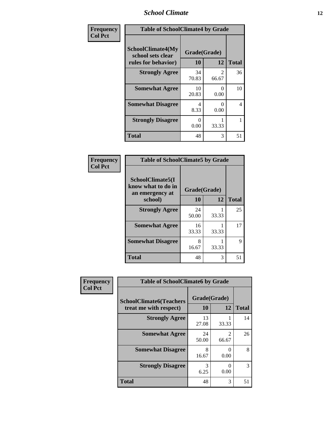### *School Climate* **12**

| Frequency      | <b>Table of SchoolClimate4 by Grade</b>                       |                    |                           |              |
|----------------|---------------------------------------------------------------|--------------------|---------------------------|--------------|
| <b>Col Pct</b> | SchoolClimate4(My<br>school sets clear<br>rules for behavior) | Grade(Grade)<br>10 | 12                        | <b>Total</b> |
|                | <b>Strongly Agree</b>                                         | 34<br>70.83        | $\mathfrak{D}$<br>66.67   | 36           |
|                | <b>Somewhat Agree</b>                                         | 10<br>20.83        | $\mathbf{\Omega}$<br>0.00 | 10           |
|                | <b>Somewhat Disagree</b>                                      | 4<br>8.33          | $\mathbf{\Omega}$<br>0.00 | 4            |
|                | <b>Strongly Disagree</b>                                      | 0<br>0.00          | 33.33                     | 1            |
|                | <b>Total</b>                                                  | 48                 | 3                         | 51           |

| <b>Table of SchoolClimate5 by Grade</b>                              |                    |       |              |  |
|----------------------------------------------------------------------|--------------------|-------|--------------|--|
| SchoolClimate5(I<br>know what to do in<br>an emergency at<br>school) | Grade(Grade)<br>10 | 12    | <b>Total</b> |  |
| <b>Strongly Agree</b>                                                | 24<br>50.00        | 33.33 | 25           |  |
| <b>Somewhat Agree</b>                                                | 16<br>33.33        | 33.33 | 17           |  |
| <b>Somewhat Disagree</b>                                             | 8<br>16.67         | 33.33 | 9            |  |
| <b>Total</b>                                                         | 48                 | 3     | 51           |  |

| Frequency<br><b>Col Pct</b> | <b>Table of SchoolClimate6 by Grade</b>                  |                           |                                      |              |
|-----------------------------|----------------------------------------------------------|---------------------------|--------------------------------------|--------------|
|                             | <b>SchoolClimate6(Teachers</b><br>treat me with respect) | Grade(Grade)<br><b>10</b> | 12                                   | <b>Total</b> |
|                             | <b>Strongly Agree</b>                                    | 13<br>27.08               | 33.33                                | 14           |
|                             | <b>Somewhat Agree</b>                                    | 24<br>50.00               | $\mathcal{D}_{\mathcal{L}}$<br>66.67 | 26           |
|                             | <b>Somewhat Disagree</b>                                 | 8<br>16.67                | $\mathbf{\Omega}$<br>0.00            | 8            |
|                             | <b>Strongly Disagree</b>                                 | 3<br>6.25                 | 0.00                                 | 3            |
|                             | <b>Total</b>                                             | 48                        | 3                                    | 51           |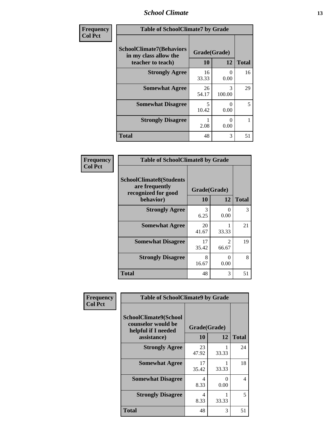### *School Climate* **13**

| Frequency      | <b>Table of SchoolClimate7 by Grade</b>                                       |                           |                         |              |
|----------------|-------------------------------------------------------------------------------|---------------------------|-------------------------|--------------|
| <b>Col Pct</b> | <b>SchoolClimate7(Behaviors</b><br>in my class allow the<br>teacher to teach) | Grade(Grade)<br><b>10</b> | 12                      | <b>Total</b> |
|                | <b>Strongly Agree</b>                                                         | 16<br>33.33               | 0<br>0.00               | 16           |
|                | <b>Somewhat Agree</b>                                                         | 26<br>54.17               | $\mathcal{R}$<br>100.00 | 29           |
|                | <b>Somewhat Disagree</b>                                                      | $\overline{5}$<br>10.42   | 0<br>0.00               | 5            |
|                | <b>Strongly Disagree</b>                                                      | 2.08                      | 0<br>0.00               |              |
|                | <b>Total</b>                                                                  | 48                        | 3                       | 51           |

| Frequency      | <b>Table of SchoolClimate8 by Grade</b>                                 |              |                                      |              |
|----------------|-------------------------------------------------------------------------|--------------|--------------------------------------|--------------|
| <b>Col Pct</b> | <b>SchoolClimate8(Students</b><br>are frequently<br>recognized for good | Grade(Grade) |                                      |              |
|                | behavior)                                                               | 10           | 12                                   | <b>Total</b> |
|                | <b>Strongly Agree</b>                                                   | 3<br>6.25    | 0.00                                 | 3            |
|                | <b>Somewhat Agree</b>                                                   | 20<br>41.67  | 33.33                                | 21           |
|                | <b>Somewhat Disagree</b>                                                | 17<br>35.42  | $\mathcal{D}_{\mathcal{L}}$<br>66.67 | 19           |
|                | <b>Strongly Disagree</b>                                                | 8<br>16.67   | 0.00                                 | 8            |
|                | <b>Total</b>                                                            | 48           | 3                                    | 51           |

| Frequency      | <b>Table of SchoolClimate9 by Grade</b>                                           |                    |           |              |
|----------------|-----------------------------------------------------------------------------------|--------------------|-----------|--------------|
| <b>Col Pct</b> | SchoolClimate9(School<br>counselor would be<br>helpful if I needed<br>assistance) | Grade(Grade)<br>10 | 12        | <b>Total</b> |
|                | <b>Strongly Agree</b>                                                             | 23<br>47.92        | 33.33     | 24           |
|                | <b>Somewhat Agree</b>                                                             | 17<br>35.42        | 33.33     | 18           |
|                | <b>Somewhat Disagree</b>                                                          | 4<br>8.33          | 0<br>0.00 | 4            |
|                | <b>Strongly Disagree</b>                                                          | 4<br>8.33          | 33.33     | 5            |
|                | <b>Total</b>                                                                      | 48                 | 3         | 51           |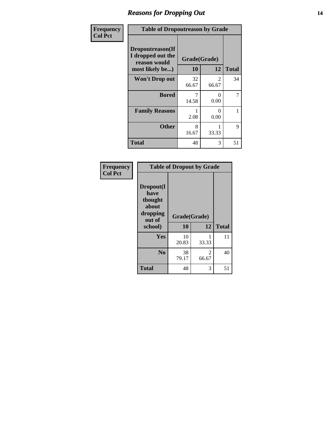### *Reasons for Dropping Out* **14**

| Frequency      | <b>Table of Dropoutreason by Grade</b>                                   |                    |                      |              |
|----------------|--------------------------------------------------------------------------|--------------------|----------------------|--------------|
| <b>Col Pct</b> | Dropoutreason(If<br>I dropped out the<br>reason would<br>most likely be) | Grade(Grade)<br>10 | 12                   | <b>Total</b> |
|                | <b>Won't Drop out</b>                                                    | 32<br>66.67        | 2<br>66.67           | 34           |
|                | <b>Bored</b>                                                             | 7<br>14.58         | ∩<br>0.00            | 7            |
|                | <b>Family Reasons</b>                                                    | 2.08               | $\mathbf{0}$<br>0.00 | 1            |
|                | <b>Other</b>                                                             | 8<br>16.67         | 33.33                | 9            |
|                | <b>Total</b>                                                             | 48                 | 3                    | 51           |

| Frequency<br><b>Col Pct</b> | <b>Table of Dropout by Grade</b>                                       |                    |                         |              |
|-----------------------------|------------------------------------------------------------------------|--------------------|-------------------------|--------------|
|                             | Dropout(I<br>have<br>thought<br>about<br>dropping<br>out of<br>school) | Grade(Grade)<br>10 | 12                      | <b>Total</b> |
|                             | Yes                                                                    | 10<br>20.83        | 33.33                   | 11           |
|                             | N <sub>0</sub>                                                         | 38<br>79.17        | $\mathfrak{D}$<br>66.67 | 40           |
|                             | <b>Total</b>                                                           | 48                 | 3                       | 51           |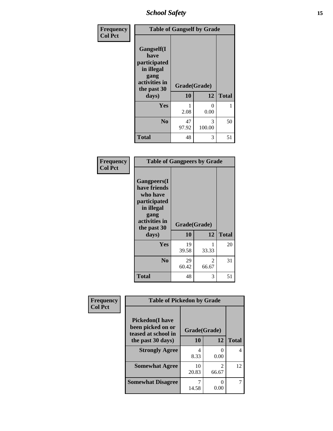*School Safety* **15**

| Frequency      | <b>Table of Gangself by Grade</b>                                                                 |                    |                         |              |
|----------------|---------------------------------------------------------------------------------------------------|--------------------|-------------------------|--------------|
| <b>Col Pct</b> | Gangself(I<br>have<br>participated<br>in illegal<br>gang<br>activities in<br>the past 30<br>days) | Grade(Grade)<br>10 | 12                      | <b>Total</b> |
|                | Yes                                                                                               | 2.08               | 0<br>0.00               |              |
|                | N <sub>0</sub>                                                                                    | 47<br>97.92        | $\mathcal{R}$<br>100.00 | 50           |
|                | <b>Total</b>                                                                                      | 48                 | 3                       | 51           |

| Frequency<br><b>Col Pct</b> | <b>Table of Gangpeers by Grade</b>                                                                                             |                    |            |              |
|-----------------------------|--------------------------------------------------------------------------------------------------------------------------------|--------------------|------------|--------------|
|                             | <b>Gangpeers</b> (I<br>have friends<br>who have<br>participated<br>in illegal<br>gang<br>activities in<br>the past 30<br>days) | Grade(Grade)<br>10 | 12         | <b>Total</b> |
|                             | <b>Yes</b>                                                                                                                     | 19<br>39.58        | 33.33      | 20           |
|                             | N <sub>0</sub>                                                                                                                 | 29<br>60.42        | 2<br>66.67 | 31           |
|                             | <b>Total</b>                                                                                                                   | 48                 | 3          | 51           |

| Frequency      | <b>Table of Pickedon by Grade</b>                                   |              |                      |              |
|----------------|---------------------------------------------------------------------|--------------|----------------------|--------------|
| <b>Col Pct</b> | <b>Pickedon</b> (I have<br>been picked on or<br>teased at school in | Grade(Grade) |                      |              |
|                | the past 30 days)                                                   | 10           | 12                   | <b>Total</b> |
|                | <b>Strongly Agree</b>                                               | 4<br>8.33    | $\mathbf{0}$<br>0.00 | 4            |
|                | <b>Somewhat Agree</b>                                               | 10<br>20.83  | 2<br>66.67           | 12           |
|                | <b>Somewhat Disagree</b>                                            | 14.58        | 0.00                 |              |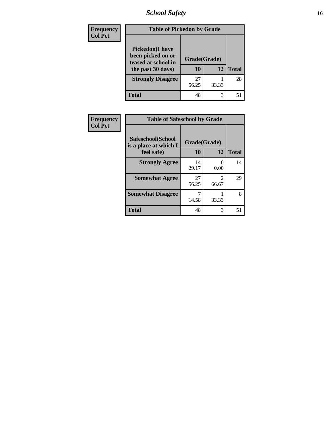*School Safety* **16**

| <b>Frequency</b> | <b>Table of Pickedon by Grade</b>                                                        |                    |       |              |  |  |
|------------------|------------------------------------------------------------------------------------------|--------------------|-------|--------------|--|--|
| <b>Col Pct</b>   | <b>Pickedon</b> (I have<br>been picked on or<br>teased at school in<br>the past 30 days) | Grade(Grade)<br>10 | 12    | <b>Total</b> |  |  |
|                  | <b>Strongly Disagree</b>                                                                 | 27<br>56.25        | 33.33 | 28           |  |  |
|                  | <b>Total</b>                                                                             | 48                 | 3     | 51           |  |  |

| Frequency      |                                            | <b>Table of Safeschool by Grade</b> |           |              |  |  |  |  |
|----------------|--------------------------------------------|-------------------------------------|-----------|--------------|--|--|--|--|
| <b>Col Pct</b> | Safeschool(School<br>is a place at which I | Grade(Grade)                        |           |              |  |  |  |  |
|                | feel safe)                                 | 10                                  | 12        | <b>Total</b> |  |  |  |  |
|                | <b>Strongly Agree</b>                      | 14<br>29.17                         | 0<br>0.00 | 14           |  |  |  |  |
|                | <b>Somewhat Agree</b>                      | 27<br>56.25                         | 66.67     | 29           |  |  |  |  |
|                | <b>Somewhat Disagree</b>                   | 7<br>14.58                          | 33.33     | 8            |  |  |  |  |
|                | <b>Total</b>                               | 48                                  | 3         | 51           |  |  |  |  |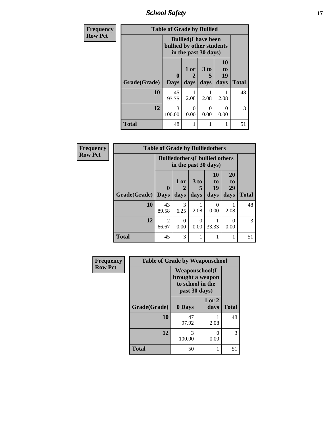*School Safety* **17**

| <b>Frequency</b> | <b>Table of Grade by Bullied</b> |                           |                   |                                                     |                        |              |  |  |
|------------------|----------------------------------|---------------------------|-------------------|-----------------------------------------------------|------------------------|--------------|--|--|
| <b>Row Pct</b>   |                                  | bullied by other students |                   | <b>Bullied</b> (I have been<br>in the past 30 days) |                        |              |  |  |
|                  | Grade(Grade)                     | 0<br><b>Days</b>          | 1 or<br>2<br>days | 3 <sub>to</sub><br>5<br>days                        | 10<br>to<br>19<br>days | <b>Total</b> |  |  |
|                  | 10                               | 45<br>93.75               | 2.08              | 2.08                                                | 2.08                   | 48           |  |  |
|                  | 12                               | 3<br>100.00               | 0<br>0.00         | 0<br>0.00                                           | 0<br>0.00              | 3            |  |  |
|                  | <b>Total</b>                     | 48                        |                   |                                                     | 1                      | 51           |  |  |

| Frequency      | <b>Table of Grade by Bulliedothers</b> |                             |                                |                         |                                                                |                        |               |  |  |
|----------------|----------------------------------------|-----------------------------|--------------------------------|-------------------------|----------------------------------------------------------------|------------------------|---------------|--|--|
| <b>Row Pct</b> |                                        |                             |                                |                         | <b>Bulliedothers</b> (I bullied others<br>in the past 30 days) |                        |               |  |  |
|                | Grade(Grade)                           | $\mathbf{0}$<br><b>Days</b> | 1 or<br>$\overline{2}$<br>days | 3 <sub>to</sub><br>days | <b>10</b><br>to<br>19<br>days                                  | 20<br>to<br>29<br>days | <b>Total</b>  |  |  |
|                | 10                                     | 43<br>89.58                 | 3<br>6.25                      | 2.08                    | 0<br>0.00                                                      | 2.08                   | 48            |  |  |
|                | 12                                     | 2<br>66.67                  | $\Omega$<br>0.00               | ∩<br>0.00               | 33.33                                                          | 0.00                   | $\mathcal{R}$ |  |  |
|                | Total                                  | 45                          | 3                              |                         |                                                                |                        | 51            |  |  |

| Frequency      | <b>Table of Grade by Weaponschool</b> |                                                                                 |                |              |
|----------------|---------------------------------------|---------------------------------------------------------------------------------|----------------|--------------|
| <b>Row Pct</b> |                                       | <b>Weaponschool</b> (I<br>brought a weapon<br>to school in the<br>past 30 days) |                |              |
|                | Grade(Grade)                          | 0 Days                                                                          | 1 or 2<br>days | <b>Total</b> |
|                | 10                                    | 47<br>97.92                                                                     | 2.08           | 48           |
|                | 12                                    | 3<br>100.00                                                                     | ∩<br>0.00      | 3            |
|                | <b>Total</b>                          | 50                                                                              |                | 51           |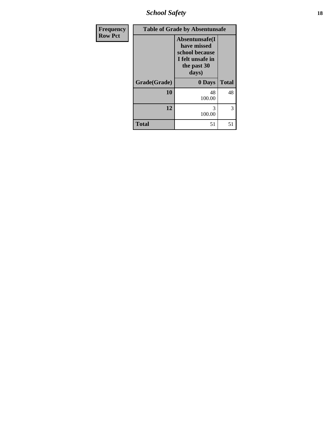*School Safety* **18**

| <b>Frequency</b> | <b>Table of Grade by Absentunsafe</b> |              |              |  |  |  |
|------------------|---------------------------------------|--------------|--------------|--|--|--|
| <b>Row Pct</b>   |                                       |              |              |  |  |  |
|                  | Grade(Grade)                          | 0 Days       | <b>Total</b> |  |  |  |
|                  | 10                                    | 48<br>100.00 | 48           |  |  |  |
|                  | 12                                    | 3<br>100.00  | 3            |  |  |  |
|                  | <b>Total</b>                          | 51           | 51           |  |  |  |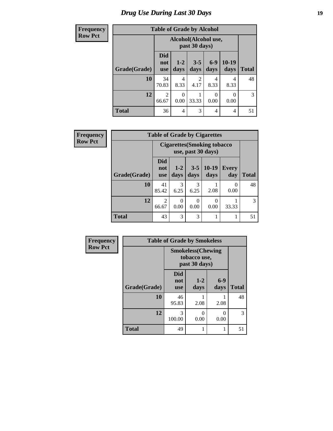## *Drug Use During Last 30 Days* **19**

| <b>Frequency</b> | <b>Table of Grade by Alcohol</b> |                          |                  |                                       |                |                 |              |  |  |
|------------------|----------------------------------|--------------------------|------------------|---------------------------------------|----------------|-----------------|--------------|--|--|
| <b>Row Pct</b>   |                                  |                          |                  | Alcohol(Alcohol use,<br>past 30 days) |                |                 |              |  |  |
|                  | Grade(Grade)                     | <b>Did</b><br>not<br>use | $1 - 2$<br>days  | $3 - 5$<br>days                       | $6-9$<br>days  | $10-19$<br>days | <b>Total</b> |  |  |
|                  | 10                               | 34<br>70.83              | 4<br>8.33        | $\mathfrak{D}$<br>4.17                | 4<br>8.33      | 4<br>8.33       | 48           |  |  |
|                  | 12                               | $\overline{2}$<br>66.67  | $\theta$<br>0.00 | 33.33                                 | 0<br>0.00      | 0<br>0.00       | 3            |  |  |
|                  | <b>Total</b>                     | 36                       | $\overline{4}$   | 3                                     | $\overline{4}$ | 4               | 51           |  |  |

| Frequency      | <b>Table of Grade by Cigarettes</b>                       |                                 |                 |                  |                          |                  |              |  |
|----------------|-----------------------------------------------------------|---------------------------------|-----------------|------------------|--------------------------|------------------|--------------|--|
| <b>Row Pct</b> | <b>Cigarettes (Smoking tobacco)</b><br>use, past 30 days) |                                 |                 |                  |                          |                  |              |  |
|                | Grade(Grade)                                              | <b>Did</b><br>not<br><b>use</b> | $1 - 2$<br>days | $3 - 5$<br>days  | $10-19$<br>days          | Every<br>day     | <b>Total</b> |  |
|                | 10                                                        | 41<br>85.42                     | 3<br>6.25       | 3<br>6.25        | 2.08                     | $\Omega$<br>0.00 | 48           |  |
|                | 12                                                        | $\overline{2}$<br>66.67         | 0.00            | $\Omega$<br>0.00 | $\left( \right)$<br>0.00 | 33.33            | 3            |  |
|                | <b>Total</b>                                              | 43                              | 3               | 3                |                          |                  | 51           |  |

| Frequency      | <b>Table of Grade by Smokeless</b> |                                 |                                                            |                           |              |  |  |  |
|----------------|------------------------------------|---------------------------------|------------------------------------------------------------|---------------------------|--------------|--|--|--|
| <b>Row Pct</b> |                                    |                                 | <b>Smokeless</b> (Chewing<br>tobacco use,<br>past 30 days) |                           |              |  |  |  |
|                | Grade(Grade)                       | <b>Did</b><br>not<br><b>use</b> | $1 - 2$<br>days                                            | $6-9$<br>days             | <b>Total</b> |  |  |  |
|                | 10                                 | 46<br>95.83                     | 2.08                                                       | 2.08                      | 48           |  |  |  |
|                | 12                                 | 3<br>100.00                     | 0<br>0.00                                                  | $\mathbf{\Omega}$<br>0.00 | 3            |  |  |  |
|                | <b>Total</b>                       | 49                              |                                                            |                           | 51           |  |  |  |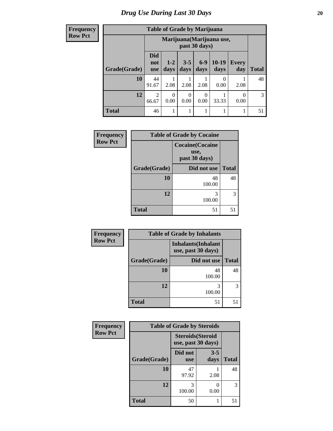**Frequency Row Pct**

| <b>Table of Grade by Marijuana</b> |                                 |                                            |                 |                 |                 |              |              |  |  |
|------------------------------------|---------------------------------|--------------------------------------------|-----------------|-----------------|-----------------|--------------|--------------|--|--|
|                                    |                                 | Marijuana (Marijuana use,<br>past 30 days) |                 |                 |                 |              |              |  |  |
| Grade(Grade)                       | <b>Did</b><br>not<br><b>use</b> | $1 - 2$<br>days                            | $3 - 5$<br>days | $6 - 9$<br>days | $10-19$<br>days | Every<br>day | <b>Total</b> |  |  |
| 10                                 | 44<br>91.67                     | 2.08                                       | 2.08            | 2.08            | 0<br>0.00       | 2.08         | 48           |  |  |
| 12                                 | $\overline{2}$<br>66.67         | 0<br>0.00                                  | 0<br>0.00       | 0.00            | 33.33           | 0<br>0.00    | 3            |  |  |
| <b>Total</b>                       | 46                              | 1                                          | 1               |                 | 1               |              | 51           |  |  |

| Frequency      | <b>Table of Grade by Cocaine</b> |                                                  |              |  |  |  |
|----------------|----------------------------------|--------------------------------------------------|--------------|--|--|--|
| <b>Row Pct</b> |                                  | <b>Cocaine</b> (Cocaine<br>use,<br>past 30 days) |              |  |  |  |
|                | Grade(Grade)                     | Did not use                                      | <b>Total</b> |  |  |  |
|                | 10                               | 48<br>100.00                                     | 48           |  |  |  |
|                | 12                               | 3<br>100.00                                      | 3            |  |  |  |
|                | <b>Total</b>                     | 51                                               | 51           |  |  |  |

| Frequency      |              | <b>Table of Grade by Inhalants</b>               |              |
|----------------|--------------|--------------------------------------------------|--------------|
| <b>Row Pct</b> |              | <b>Inhalants</b> (Inhalant<br>use, past 30 days) |              |
|                | Grade(Grade) | Did not use                                      | <b>Total</b> |
|                | 10           | 48<br>100.00                                     | 48           |
|                | 12           | 100.00                                           | 3            |
|                | <b>Total</b> | 51                                               | 51           |

| Frequency      | <b>Table of Grade by Steroids</b> |                                                |                 |              |
|----------------|-----------------------------------|------------------------------------------------|-----------------|--------------|
| <b>Row Pct</b> |                                   | <b>Steroids</b> (Steroid<br>use, past 30 days) |                 |              |
|                | Grade(Grade)                      | Did not<br><b>use</b>                          | $3 - 5$<br>days | <b>Total</b> |
|                | 10                                | 47<br>97.92                                    | 2.08            | 48           |
|                | 12                                | 3<br>100.00                                    | 0<br>0.00       | 3            |
|                | <b>Total</b>                      | 50                                             |                 | 51           |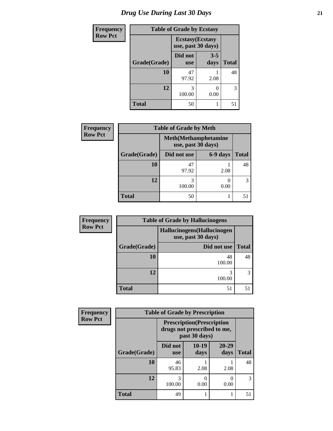## *Drug Use During Last 30 Days* **21**

| <b>Frequency</b> | <b>Table of Grade by Ecstasy</b> |                                               |                  |              |
|------------------|----------------------------------|-----------------------------------------------|------------------|--------------|
| <b>Row Pct</b>   |                                  | <b>Ecstasy</b> (Ecstasy<br>use, past 30 days) |                  |              |
|                  | Grade(Grade)                     | Did not<br><b>use</b>                         | $3 - 5$<br>days  | <b>Total</b> |
|                  | 10                               | 47<br>97.92                                   | 2.08             | 48           |
|                  | 12                               | 3<br>100.00                                   | $\Omega$<br>0.00 | 3            |
|                  | <b>Total</b>                     | 50                                            |                  | 51           |

| <b>Frequency</b> | <b>Table of Grade by Meth</b> |             |                                                    |              |
|------------------|-------------------------------|-------------|----------------------------------------------------|--------------|
| <b>Row Pct</b>   |                               |             | <b>Meth</b> (Methamphetamine<br>use, past 30 days) |              |
|                  | Grade(Grade)                  | Did not use | 6-9 days                                           | <b>Total</b> |
|                  | 10                            | 47<br>97.92 | 2.08                                               | 48           |
|                  | 12                            | 100.00      | 0.00                                               | 3            |
|                  | <b>Total</b>                  | 50          |                                                    | 51           |

| <b>Frequency</b> | <b>Table of Grade by Hallucinogens</b> |                                                   |              |  |  |
|------------------|----------------------------------------|---------------------------------------------------|--------------|--|--|
| <b>Row Pct</b>   |                                        | Hallucinogens (Hallucinogen<br>use, past 30 days) |              |  |  |
|                  | Grade(Grade)                           | Did not use                                       | <b>Total</b> |  |  |
|                  | 10                                     | 48<br>100.00                                      | 48           |  |  |
|                  | 12                                     | 100.00                                            | 3            |  |  |
|                  | <b>Total</b>                           | 51                                                | 51           |  |  |

| <b>Frequency</b> |              | <b>Table of Grade by Prescription</b> |                                                                                   |               |              |
|------------------|--------------|---------------------------------------|-----------------------------------------------------------------------------------|---------------|--------------|
| <b>Row Pct</b>   |              |                                       | <b>Prescription</b> (Prescription<br>drugs not prescribed to me,<br>past 30 days) |               |              |
|                  | Grade(Grade) | Did not<br><b>use</b>                 | $10-19$<br>days                                                                   | 20-29<br>days | <b>Total</b> |
|                  | 10           | 46<br>95.83                           | 2.08                                                                              | 2.08          | 48           |
|                  | 12           | 3<br>100.00                           | $\mathbf{\Omega}$<br>0.00                                                         | 0.00          |              |
|                  | <b>Total</b> | 49                                    |                                                                                   |               | 51           |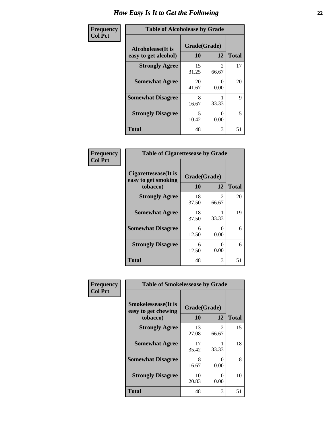| Frequency      | <b>Table of Alcoholease by Grade</b>              |                    |                         |              |
|----------------|---------------------------------------------------|--------------------|-------------------------|--------------|
| <b>Col Pct</b> | <b>Alcoholease</b> (It is<br>easy to get alcohol) | Grade(Grade)<br>10 | 12                      | <b>Total</b> |
|                | <b>Strongly Agree</b>                             | 15<br>31.25        | $\mathfrak{D}$<br>66.67 | 17           |
|                | <b>Somewhat Agree</b>                             | 20<br>41.67        | $\mathbf{0}$<br>0.00    | 20           |
|                | <b>Somewhat Disagree</b>                          | 8<br>16.67         | 33.33                   | 9            |
|                | <b>Strongly Disagree</b>                          | 5<br>10.42         | 0.00                    | 5            |
|                | <b>Total</b>                                      | 48                 | 3                       | 51           |

| Frequency      | <b>Table of Cigarettesease by Grade</b>                  |                    |                           |              |
|----------------|----------------------------------------------------------|--------------------|---------------------------|--------------|
| <b>Col Pct</b> | Cigarettesease (It is<br>easy to get smoking<br>tobacco) | Grade(Grade)<br>10 | 12                        | <b>Total</b> |
|                | <b>Strongly Agree</b>                                    | 18<br>37.50        | 2<br>66.67                | 20           |
|                | <b>Somewhat Agree</b>                                    | 18<br>37.50        | 33.33                     | 19           |
|                | <b>Somewhat Disagree</b>                                 | 6<br>12.50         | $\mathbf{\Omega}$<br>0.00 | 6            |
|                | <b>Strongly Disagree</b>                                 | 6<br>12.50         | $\Omega$<br>0.00          | 6            |
|                | <b>Total</b>                                             | 48                 | 3                         | 51           |

| Frequency      | <b>Table of Smokelessease by Grade</b>             |              |            |              |
|----------------|----------------------------------------------------|--------------|------------|--------------|
| <b>Col Pct</b> | <b>Smokelessease</b> (It is<br>easy to get chewing | Grade(Grade) |            |              |
|                | tobacco)                                           | 10           | 12         | <b>Total</b> |
|                | <b>Strongly Agree</b>                              | 13<br>27.08  | 2<br>66.67 | 15           |
|                | <b>Somewhat Agree</b>                              | 17<br>35.42  | 33.33      | 18           |
|                | <b>Somewhat Disagree</b>                           | 8<br>16.67   | 0<br>0.00  | 8            |
|                | <b>Strongly Disagree</b>                           | 10<br>20.83  | 0<br>0.00  | 10           |
|                | <b>Total</b>                                       | 48           | 3          | 51           |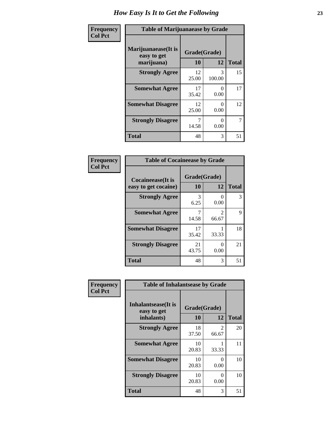| Frequency      | <b>Table of Marijuanaease by Grade</b>            |                    |                  |              |
|----------------|---------------------------------------------------|--------------------|------------------|--------------|
| <b>Col Pct</b> | Marijuanaease (It is<br>easy to get<br>marijuana) | Grade(Grade)<br>10 | 12               | <b>Total</b> |
|                | <b>Strongly Agree</b>                             | 12<br>25.00        | 3<br>100.00      | 15           |
|                | <b>Somewhat Agree</b>                             | 17<br>35.42        | $\Omega$<br>0.00 | 17           |
|                | <b>Somewhat Disagree</b>                          | 12<br>25.00        | $\Omega$<br>0.00 | 12           |
|                | <b>Strongly Disagree</b>                          | 7<br>14.58         | $\Omega$<br>0.00 | 7            |
|                | <b>Total</b>                                      | 48                 | 3                | 51           |

| <b>Table of Cocaineease by Grade</b>              |                    |               |              |  |
|---------------------------------------------------|--------------------|---------------|--------------|--|
| <b>Cocaineease</b> (It is<br>easy to get cocaine) | Grade(Grade)<br>10 | 12            | <b>Total</b> |  |
| <b>Strongly Agree</b>                             | 3<br>6.25          | 0<br>0.00     | 3            |  |
| <b>Somewhat Agree</b>                             | 14.58              | 2<br>66.67    | 9            |  |
| <b>Somewhat Disagree</b>                          | 17<br>35.42        | 33.33         | 18           |  |
| <b>Strongly Disagree</b>                          | 21<br>43.75        | 0<br>$0.00\,$ | 21           |  |
| <b>Total</b>                                      | 48                 | 3             | 51           |  |

| Frequency      | <b>Table of Inhalantsease by Grade</b>                   |                    |            |              |
|----------------|----------------------------------------------------------|--------------------|------------|--------------|
| <b>Col Pct</b> | <b>Inhalantsease</b> (It is<br>easy to get<br>inhalants) | Grade(Grade)<br>10 | 12         | <b>Total</b> |
|                | <b>Strongly Agree</b>                                    | 18<br>37.50        | 2<br>66.67 | 20           |
|                | <b>Somewhat Agree</b>                                    | 10<br>20.83        | 33.33      | 11           |
|                | <b>Somewhat Disagree</b>                                 | 10<br>20.83        | 0<br>0.00  | 10           |
|                | <b>Strongly Disagree</b>                                 | 10<br>20.83        | 0<br>0.00  | 10           |
|                | <b>Total</b>                                             | 48                 | 3          | 51           |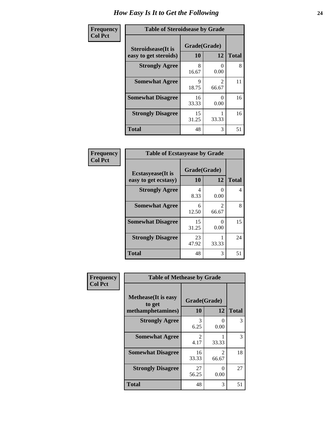| Frequency      | <b>Table of Steroidsease by Grade</b>               |                    |                         |              |
|----------------|-----------------------------------------------------|--------------------|-------------------------|--------------|
| <b>Col Pct</b> | <b>Steroidsease</b> (It is<br>easy to get steroids) | Grade(Grade)<br>10 | 12                      | <b>Total</b> |
|                | <b>Strongly Agree</b>                               | 8<br>16.67         | 0.00                    | 8            |
|                | <b>Somewhat Agree</b>                               | 9<br>18.75         | $\mathfrak{D}$<br>66.67 | 11           |
|                | <b>Somewhat Disagree</b>                            | 16<br>33.33        | 0.00                    | 16           |
|                | <b>Strongly Disagree</b>                            | 15<br>31.25        | 33.33                   | 16           |
|                | <b>Total</b>                                        | 48                 | 3                       | 51           |

| Frequency      | <b>Table of Ecstasyease by Grade</b>              |                    |                                      |    |  |  |  |
|----------------|---------------------------------------------------|--------------------|--------------------------------------|----|--|--|--|
| <b>Col Pct</b> | <b>Ecstasyease</b> (It is<br>easy to get ecstasy) | Grade(Grade)<br>10 | <b>Total</b>                         |    |  |  |  |
|                | <b>Strongly Agree</b>                             | 4<br>8.33          | $\mathbf{\Omega}$<br>0.00            | 4  |  |  |  |
|                | <b>Somewhat Agree</b>                             | 6<br>12.50         | $\mathcal{D}_{\mathcal{L}}$<br>66.67 | 8  |  |  |  |
|                | <b>Somewhat Disagree</b>                          | 15<br>31.25        | 0<br>0.00                            | 15 |  |  |  |
|                | <b>Strongly Disagree</b>                          | 23<br>47.92        | 33.33                                | 24 |  |  |  |
|                | <b>Total</b>                                      | 48                 | 3                                    | 51 |  |  |  |

| Frequency      |                                                            | <b>Table of Methease by Grade</b> |                         |              |  |  |  |  |
|----------------|------------------------------------------------------------|-----------------------------------|-------------------------|--------------|--|--|--|--|
| <b>Col Pct</b> | <b>Methease</b> (It is easy<br>to get<br>methamphetamines) | Grade(Grade)<br>10                | 12                      | <b>Total</b> |  |  |  |  |
|                | <b>Strongly Agree</b>                                      | 3<br>6.25                         | 0<br>0.00               | 3            |  |  |  |  |
|                | <b>Somewhat Agree</b>                                      | $\mathcal{D}$<br>4.17             | 33.33                   | 3            |  |  |  |  |
|                | <b>Somewhat Disagree</b>                                   | 16<br>33.33                       | $\mathfrak{D}$<br>66.67 | 18           |  |  |  |  |
|                | <b>Strongly Disagree</b>                                   | 27<br>56.25                       | 0<br>0.00               | 27           |  |  |  |  |
|                | <b>Total</b>                                               | 48                                | 3                       | 51           |  |  |  |  |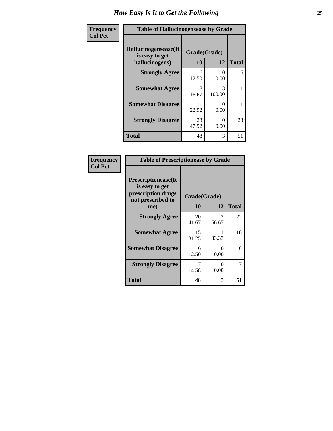| <b>Frequency</b> | <b>Table of Hallucinogensease by Grade</b>               |                    |                  |              |  |  |  |
|------------------|----------------------------------------------------------|--------------------|------------------|--------------|--|--|--|
| <b>Col Pct</b>   | Hallucinogensease(It<br>is easy to get<br>hallucinogens) | Grade(Grade)<br>10 | 12               | <b>Total</b> |  |  |  |
|                  | <b>Strongly Agree</b>                                    | 6<br>12.50         | $\Omega$<br>0.00 | 6            |  |  |  |
|                  | <b>Somewhat Agree</b>                                    | 8<br>16.67         | 3<br>100.00      | 11           |  |  |  |
|                  | <b>Somewhat Disagree</b>                                 | 11<br>22.92        | 0<br>0.00        | 11           |  |  |  |
|                  | <b>Strongly Disagree</b>                                 | 23<br>47.92        | 0<br>0.00        | 23           |  |  |  |
|                  | <b>Total</b>                                             | 48                 | 3                | 51           |  |  |  |

| Frequency<br>  Col Pct |
|------------------------|

| <b>Table of Prescriptionease by Grade</b>                                                |              |                        |              |  |  |  |
|------------------------------------------------------------------------------------------|--------------|------------------------|--------------|--|--|--|
| <b>Prescriptionease</b> (It<br>is easy to get<br>prescription drugs<br>not prescribed to | Grade(Grade) |                        |              |  |  |  |
| me)                                                                                      | 10           | 12                     | <b>Total</b> |  |  |  |
| <b>Strongly Agree</b>                                                                    | 20<br>41.67  | $\mathcal{L}$<br>66.67 | 22           |  |  |  |
| <b>Somewhat Agree</b>                                                                    | 15<br>31.25  | 33.33                  | 16           |  |  |  |
| <b>Somewhat Disagree</b>                                                                 | 6<br>12.50   | $\mathbf{0}$<br>0.00   | 6            |  |  |  |
| <b>Strongly Disagree</b>                                                                 | 7<br>14.58   | ∩<br>0.00              | 7            |  |  |  |
| Total                                                                                    | 48           | 3                      | 51           |  |  |  |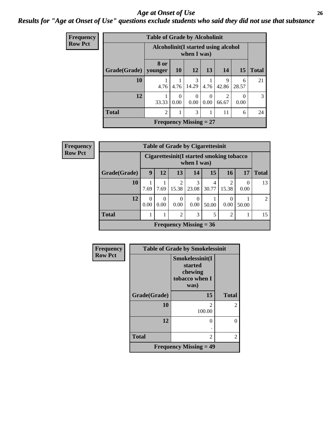#### *Age at Onset of Use* **26** *Results for "Age at Onset of Use" questions exclude students who said they did not use that substance*

| <b>Frequency</b> | <b>Table of Grade by Alcoholinit</b> |                                                     |                  |                               |                  |            |                  |               |
|------------------|--------------------------------------|-----------------------------------------------------|------------------|-------------------------------|------------------|------------|------------------|---------------|
| <b>Row Pct</b>   |                                      | Alcoholinit (I started using alcohol<br>when I was) |                  |                               |                  |            |                  |               |
|                  | Grade(Grade)                         | 8 or<br>younger                                     | <b>10</b>        | <b>12</b>                     | 13               | 14         | <b>15</b>        | <b>Total</b>  |
|                  | 10                                   | 4.76                                                | 4.76             | 3<br>14.29                    | 4.76             | 9<br>42.86 | 6<br>28.57       | 21            |
|                  | 12                                   | 33.33                                               | $\Omega$<br>0.00 | $\Omega$<br>0.00              | $\Omega$<br>0.00 | 2<br>66.67 | $\Omega$<br>0.00 | $\mathcal{R}$ |
|                  | <b>Total</b>                         | $\overline{c}$                                      |                  | 3                             |                  | 11         | 6                | 24            |
|                  |                                      |                                                     |                  | <b>Frequency Missing = 27</b> |                  |            |                  |               |

| Frequency      | <b>Table of Grade by Cigarettesinit</b> |                  |                                                          |                         |                               |            |                         |                  |               |
|----------------|-----------------------------------------|------------------|----------------------------------------------------------|-------------------------|-------------------------------|------------|-------------------------|------------------|---------------|
| <b>Row Pct</b> |                                         |                  | Cigarettesinit (I started smoking tobacco<br>when I was) |                         |                               |            |                         |                  |               |
|                | Grade(Grade)                            | 9                | 12                                                       | 13                      | 14                            | 15         | <b>16</b>               | 17               | <b>Total</b>  |
|                | 10                                      | 7.69             | 7.69                                                     | $\mathfrak{D}$<br>15.38 | 3<br>23.08                    | 4<br>30.77 | $\overline{c}$<br>15.38 | $\theta$<br>0.00 | 13            |
|                | 12                                      | $\Omega$<br>0.00 | $\theta$<br>0.00                                         | 0<br>0.00               | $\theta$<br>0.00              | 50.00      | $\Omega$<br>0.00        | 50.00            | $\mathcal{L}$ |
|                | <b>Total</b>                            |                  |                                                          | 2                       | 3                             | 5          | $\overline{c}$          |                  | 15            |
|                |                                         |                  |                                                          |                         | <b>Frequency Missing = 36</b> |            |                         |                  |               |

| Frequency      | <b>Table of Grade by Smokelessinit</b> |                                                                 |                |  |  |
|----------------|----------------------------------------|-----------------------------------------------------------------|----------------|--|--|
| <b>Row Pct</b> |                                        | Smokelessinit(I<br>started<br>chewing<br>tobacco when I<br>was) |                |  |  |
|                | Grade(Grade)                           | 15                                                              | <b>Total</b>   |  |  |
|                | 10                                     | 2<br>100.00                                                     | $\mathfrak{D}$ |  |  |
|                | 12                                     | 0                                                               | 0              |  |  |
|                | <b>Total</b>                           | $\overline{2}$                                                  | 2              |  |  |
|                |                                        | <b>Frequency Missing = 49</b>                                   |                |  |  |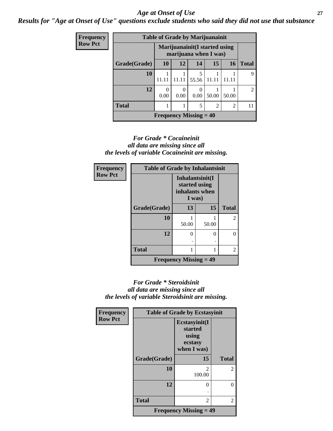#### *Age at Onset of Use* **27**

*Results for "Age at Onset of Use" questions exclude students who said they did not use that substance*

| <b>Frequency</b> | <b>Table of Grade by Marijuanainit</b> |                                                         |                  |                          |                |       |       |
|------------------|----------------------------------------|---------------------------------------------------------|------------------|--------------------------|----------------|-------|-------|
| <b>Row Pct</b>   |                                        | Marijuanainit (I started using<br>marijuana when I was) |                  |                          |                |       |       |
|                  | Grade(Grade)                           | <b>10</b>                                               | 12               | 14                       | 15             | 16    | Total |
|                  | 10                                     | 11.11                                                   |                  | 5<br>55.56               | 11.11          |       | 9     |
|                  | 12                                     | 0<br>0.00                                               | $\Omega$<br>0.00 | 0.00                     | 50.00          | 50.00 | 2     |
|                  | <b>Total</b>                           |                                                         |                  | 5                        | $\overline{2}$ | 2     | 11    |
|                  |                                        |                                                         |                  | Frequency Missing $=$ 40 |                |       |       |

#### *For Grade \* Cocaineinit all data are missing since all the levels of variable Cocaineinit are missing.*

| Frequency      | <b>Table of Grade by Inhalantsinit</b>     |                                                              |       |                |  |  |  |
|----------------|--------------------------------------------|--------------------------------------------------------------|-------|----------------|--|--|--|
| <b>Row Pct</b> |                                            | Inhalantsinit(I<br>started using<br>inhalants when<br>I was) |       |                |  |  |  |
|                | Grade(Grade)                               | 13                                                           | 15    | <b>Total</b>   |  |  |  |
|                | 10                                         | 50.00                                                        | 50.00 | $\overline{2}$ |  |  |  |
|                | 12                                         | 0                                                            | 0     |                |  |  |  |
|                | <b>Total</b>                               |                                                              |       | $\mathfrak{D}$ |  |  |  |
|                | <b>Frequency Missing <math>= 49</math></b> |                                                              |       |                |  |  |  |

#### *For Grade \* Steroidsinit all data are missing since all the levels of variable Steroidsinit are missing.*

| <b>Frequency</b> | <b>Table of Grade by Ecstasyinit</b> |                                                             |                |  |  |  |
|------------------|--------------------------------------|-------------------------------------------------------------|----------------|--|--|--|
| <b>Row Pct</b>   |                                      | Ecstasyinit(I<br>started<br>using<br>ecstasy<br>when I was) |                |  |  |  |
|                  | Grade(Grade)                         | 15                                                          | <b>Total</b>   |  |  |  |
|                  | 10                                   | $\mathcal{D}_{\mathcal{L}}$<br>100.00                       | $\overline{2}$ |  |  |  |
|                  | 12                                   | 0                                                           | 0              |  |  |  |
|                  |                                      |                                                             |                |  |  |  |
|                  | <b>Total</b>                         | 2                                                           | 2              |  |  |  |
|                  |                                      | <b>Frequency Missing = 49</b>                               |                |  |  |  |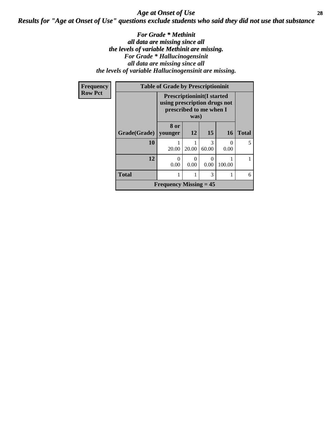### *Age at Onset of Use* **28** *Results for "Age at Onset of Use" questions exclude students who said they did not use that substance*

#### *For Grade \* Methinit all data are missing since all the levels of variable Methinit are missing. For Grade \* Hallucinogensinit all data are missing since all the levels of variable Hallucinogensinit are missing.*

| Frequency      |                        | <b>Table of Grade by Prescriptioninit</b>                                                    |       |            |           |              |  |
|----------------|------------------------|----------------------------------------------------------------------------------------------|-------|------------|-----------|--------------|--|
| <b>Row Pct</b> |                        | <b>Prescriptioninit(I started</b><br>using prescription drugs not<br>prescribed to me when I |       |            |           |              |  |
|                | Grade(Grade)   younger | 8 or                                                                                         | 12    | 15         | <b>16</b> | <b>Total</b> |  |
|                | 10                     | 20.00                                                                                        | 20.00 | 3<br>60.00 | 0<br>0.00 | 5            |  |
|                | 12                     | $\theta$<br>0.00                                                                             | 0.00  | 0<br>0.00  | 100.00    |              |  |
|                | <b>Total</b>           |                                                                                              |       | 3          |           | 6            |  |
|                |                        | <b>Frequency Missing = 45</b>                                                                |       |            |           |              |  |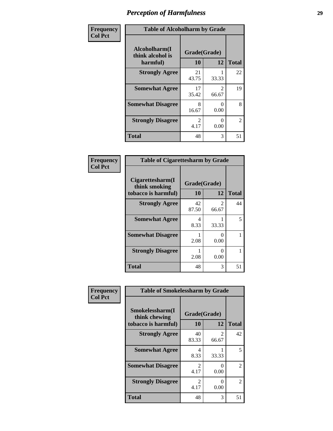| Frequency      | <b>Table of Alcoholharm by Grade</b>          |                                     |                         |              |
|----------------|-----------------------------------------------|-------------------------------------|-------------------------|--------------|
| <b>Col Pct</b> | Alcoholharm(I<br>think alcohol is<br>harmful) | Grade(Grade)<br>10                  | 12                      | <b>Total</b> |
|                | <b>Strongly Agree</b>                         | 21<br>43.75                         | 33.33                   | 22           |
|                | <b>Somewhat Agree</b>                         | 17<br>35.42                         | $\mathfrak{D}$<br>66.67 | 19           |
|                | <b>Somewhat Disagree</b>                      | 8<br>16.67                          | $\Omega$<br>0.00        | 8            |
|                | <b>Strongly Disagree</b>                      | $\mathcal{D}_{\mathcal{L}}$<br>4.17 | $\Omega$<br>0.00        | 2            |
|                | <b>Total</b>                                  | 48                                  | 3                       | 51           |

| <b>Table of Cigarettesharm by Grade</b>                  |                          |                           |    |  |  |
|----------------------------------------------------------|--------------------------|---------------------------|----|--|--|
| Cigarettesharm(I<br>think smoking<br>tobacco is harmful) | Grade(Grade)<br>10<br>12 |                           |    |  |  |
| <b>Strongly Agree</b>                                    | 42<br>87.50              | 2<br>66.67                | 44 |  |  |
| <b>Somewhat Agree</b>                                    | 4<br>8.33                | 33.33                     | 5  |  |  |
| <b>Somewhat Disagree</b>                                 | 2.08                     | $\mathbf{\Omega}$<br>0.00 |    |  |  |
| <b>Strongly Disagree</b>                                 | 2.08                     | $\mathbf{\Omega}$<br>0.00 |    |  |  |
| <b>Total</b>                                             | 48                       | 3                         | 51 |  |  |

| Frequency      | <b>Table of Smokelessharm by Grade</b>                  |                        |                           |              |
|----------------|---------------------------------------------------------|------------------------|---------------------------|--------------|
| <b>Col Pct</b> | Smokelessharm(I<br>think chewing<br>tobacco is harmful) | Grade(Grade)<br>10     | 12                        | <b>Total</b> |
|                | <b>Strongly Agree</b>                                   | 40<br>83.33            | 2<br>66.67                | 42           |
|                | <b>Somewhat Agree</b>                                   | 4<br>8.33              | 33.33                     | 5            |
|                | <b>Somewhat Disagree</b>                                | $\mathfrak{D}$<br>4.17 | $\mathbf{\Omega}$<br>0.00 | 2            |
|                | <b>Strongly Disagree</b>                                | $\mathfrak{D}$<br>4.17 | 0<br>0.00                 | 2            |
|                | <b>Total</b>                                            | 48                     | 3                         | 51           |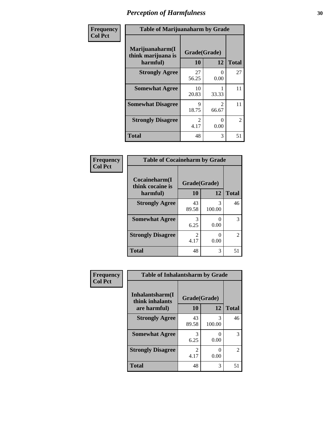| Frequency      | <b>Table of Marijuanaharm by Grade</b>            |                        |                                      |                |
|----------------|---------------------------------------------------|------------------------|--------------------------------------|----------------|
| <b>Col Pct</b> | Marijuanaharm(I<br>think marijuana is<br>harmful) | Grade(Grade)<br>10     | 12                                   | <b>Total</b>   |
|                | <b>Strongly Agree</b>                             | 27<br>56.25            | $\Omega$<br>0.00                     | 27             |
|                | <b>Somewhat Agree</b>                             | 10<br>20.83            | 33.33                                | 11             |
|                | <b>Somewhat Disagree</b>                          | 9<br>18.75             | $\mathcal{D}_{\mathcal{L}}$<br>66.67 | 11             |
|                | <b>Strongly Disagree</b>                          | $\mathfrak{D}$<br>4.17 | ∩<br>0.00                            | $\overline{2}$ |
|                | <b>Total</b>                                      | 48                     | 3                                    | 51             |

#### **Frequency Col Pct**

| <b>Table of Cocaineharm by Grade</b> |                       |                           |               |  |  |
|--------------------------------------|-----------------------|---------------------------|---------------|--|--|
| Cocaineharm(I<br>think cocaine is    | Grade(Grade)          |                           |               |  |  |
| harmful)                             | 10                    | 12                        | <b>Total</b>  |  |  |
| <b>Strongly Agree</b>                | 43<br>89.58           | 3<br>100.00               | 46            |  |  |
| <b>Somewhat Agree</b>                | 3<br>6.25             | $\mathbf{\Omega}$<br>0.00 | 3             |  |  |
| <b>Strongly Disagree</b>             | $\mathcal{L}$<br>4.17 | 0<br>0.00                 | $\mathcal{L}$ |  |  |
| <b>Total</b>                         | 48                    | 3                         | 51            |  |  |

| <b>Table of Inhalantsharm by Grade</b> |              |             |                             |  |
|----------------------------------------|--------------|-------------|-----------------------------|--|
| Inhalantsharm(I<br>think inhalants     | Grade(Grade) |             |                             |  |
| are harmful)                           | 10           | 12          | <b>Total</b>                |  |
| <b>Strongly Agree</b>                  | 43<br>89.58  | 3<br>100.00 | 46                          |  |
| <b>Somewhat Agree</b>                  | 3<br>6.25    | 0.00        | 3                           |  |
| <b>Strongly Disagree</b>               | 2<br>4.17    | $0.00\,$    | $\mathcal{D}_{\mathcal{L}}$ |  |
| Total                                  | 48           | 3           |                             |  |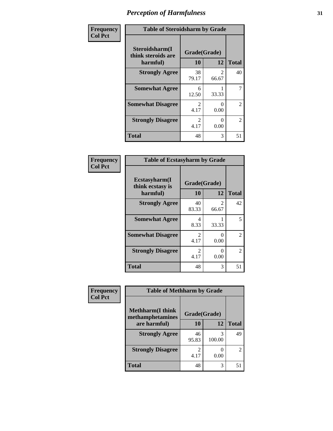| Frequency      | <b>Table of Steroidsharm by Grade</b>            |                                     |                         |                |
|----------------|--------------------------------------------------|-------------------------------------|-------------------------|----------------|
| <b>Col Pct</b> | Steroidsharm(I<br>think steroids are<br>harmful) | Grade(Grade)<br>10                  | 12                      | <b>Total</b>   |
|                | <b>Strongly Agree</b>                            | 38<br>79.17                         | $\mathfrak{D}$<br>66.67 | 40             |
|                | <b>Somewhat Agree</b>                            | 6<br>12.50                          | 33.33                   | 7              |
|                | <b>Somewhat Disagree</b>                         | $\mathcal{D}_{\mathcal{L}}$<br>4.17 | 0<br>0.00               | $\mathfrak{D}$ |
|                | <b>Strongly Disagree</b>                         | $\mathcal{D}_{\mathcal{L}}$<br>4.17 | 0<br>0.00               | $\mathfrak{D}$ |
|                | <b>Total</b>                                     | 48                                  | 3                       | 51             |

| <b>Table of Ecstasyharm by Grade</b>          |                        |                           |    |  |  |
|-----------------------------------------------|------------------------|---------------------------|----|--|--|
| Ecstasyharm(I<br>think ecstasy is<br>harmful) | <b>Total</b>           |                           |    |  |  |
| <b>Strongly Agree</b>                         | 40<br>83.33            | $\mathfrak{D}$<br>66.67   | 42 |  |  |
| <b>Somewhat Agree</b>                         | 4<br>8.33              | 33.33                     | 5  |  |  |
| <b>Somewhat Disagree</b>                      | $\mathfrak{D}$<br>4.17 | $\mathbf{\Omega}$<br>0.00 | 2  |  |  |
| <b>Strongly Disagree</b>                      | 2<br>4.17              | ∩<br>0.00                 | 2  |  |  |
| <b>Total</b>                                  | 48                     | 3                         | 51 |  |  |

| Frequency      | <b>Table of Methharm by Grade</b>            |                        |             |                             |
|----------------|----------------------------------------------|------------------------|-------------|-----------------------------|
| <b>Col Pct</b> | <b>Methharm</b> (I think<br>methamphetamines | Grade(Grade)           |             |                             |
|                | are harmful)                                 | 10                     | 12          | <b>Total</b>                |
|                | <b>Strongly Agree</b>                        | 46<br>95.83            | 3<br>100.00 | 49                          |
|                | <b>Strongly Disagree</b>                     | $\mathfrak{D}$<br>4.17 | 0.00        | $\mathcal{D}_{\mathcal{L}}$ |
|                | <b>Total</b>                                 | 48                     | 3           | 51                          |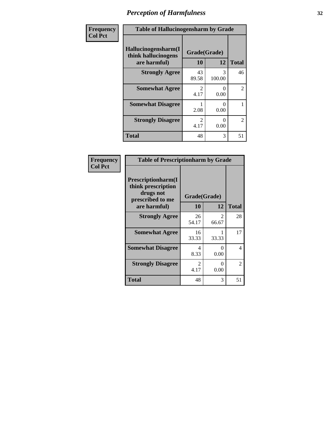| Frequency      | <b>Table of Hallucinogensharm by Grade</b>                 |                    |             |                |
|----------------|------------------------------------------------------------|--------------------|-------------|----------------|
| <b>Col Pct</b> | Hallucinogensharm(I<br>think hallucinogens<br>are harmful) | Grade(Grade)<br>10 | 12          | <b>Total</b>   |
|                | <b>Strongly Agree</b>                                      | 43<br>89.58        | 3<br>100.00 | 46             |
|                | <b>Somewhat Agree</b>                                      | 2<br>4.17          | 0<br>0.00   | $\overline{2}$ |
|                | <b>Somewhat Disagree</b>                                   | 2.08               | 0<br>0.00   | 1              |
|                | <b>Strongly Disagree</b>                                   | 2<br>4.17          | 0<br>0.00   | $\overline{2}$ |
|                | <b>Total</b>                                               | 48                 | 3           | 51             |

| <b>Table of Prescriptionharm by Grade</b>                                         |             |                           |              |  |
|-----------------------------------------------------------------------------------|-------------|---------------------------|--------------|--|
| <b>Prescriptionharm</b> (I<br>think prescription<br>drugs not<br>prescribed to me |             | Grade(Grade)              |              |  |
| are harmful)                                                                      | 10          | 12                        | <b>Total</b> |  |
| <b>Strongly Agree</b>                                                             | 26<br>54.17 | 2<br>66.67                | 28           |  |
| <b>Somewhat Agree</b>                                                             | 16<br>33.33 | 33.33                     | 17           |  |
| <b>Somewhat Disagree</b>                                                          | 4<br>8.33   | $\mathbf{\Omega}$<br>0.00 | 4            |  |
| <b>Strongly Disagree</b>                                                          | 2<br>4.17   | ∩<br>0.00                 | 2            |  |
| Total                                                                             | 48          | 3                         | 51           |  |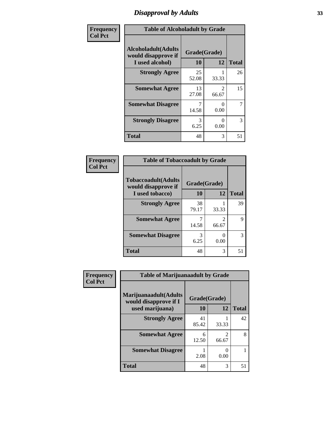### *Disapproval by Adults* **33**

| Frequency      | <b>Table of Alcoholadult by Grade</b>                                 |                    |                         |              |
|----------------|-----------------------------------------------------------------------|--------------------|-------------------------|--------------|
| <b>Col Pct</b> | <b>Alcoholadult</b> (Adults<br>would disapprove if<br>I used alcohol) | Grade(Grade)<br>10 | 12                      | <b>Total</b> |
|                | <b>Strongly Agree</b>                                                 | 25<br>52.08        | 33.33                   | 26           |
|                | <b>Somewhat Agree</b>                                                 | 13<br>27.08        | $\mathfrak{D}$<br>66.67 | 15           |
|                | <b>Somewhat Disagree</b>                                              | 7<br>14.58         | O<br>0.00               | 7            |
|                | <b>Strongly Disagree</b>                                              | 3<br>6.25          | $\mathcal{O}$<br>0.00   | 3            |
|                | <b>Total</b>                                                          | 48                 | 3                       | 51           |

| <b>Table of Tobaccoadult by Grade</b>              |              |                        |              |  |  |
|----------------------------------------------------|--------------|------------------------|--------------|--|--|
| <b>Tobaccoadult</b> (Adults<br>would disapprove if | Grade(Grade) |                        |              |  |  |
| I used tobacco)                                    | 10           | 12                     | <b>Total</b> |  |  |
| <b>Strongly Agree</b>                              | 38<br>79.17  | 33.33                  | 39           |  |  |
| <b>Somewhat Agree</b>                              | 14.58        | $\mathcal{L}$<br>66.67 | 9            |  |  |
| <b>Somewhat Disagree</b>                           | 3<br>6.25    | 0<br>0.00              | 3            |  |  |
| <b>Total</b>                                       | 48           | 3                      | 51           |  |  |

| <b>Frequency</b> | <b>Table of Marijuanaadult by Grade</b>        |             |              |              |
|------------------|------------------------------------------------|-------------|--------------|--------------|
| <b>Col Pct</b>   | Marijuanaadult(Adults<br>would disapprove if I |             | Grade(Grade) |              |
|                  | used marijuana)                                | 10          | 12           | <b>Total</b> |
|                  | <b>Strongly Agree</b>                          | 41<br>85.42 | 33.33        | 42           |
|                  | <b>Somewhat Agree</b>                          | 6<br>12.50  | 66.67        | 8            |
|                  | <b>Somewhat Disagree</b>                       | 2.08        | 0.00         |              |
|                  | <b>Total</b>                                   | 48          | 3            |              |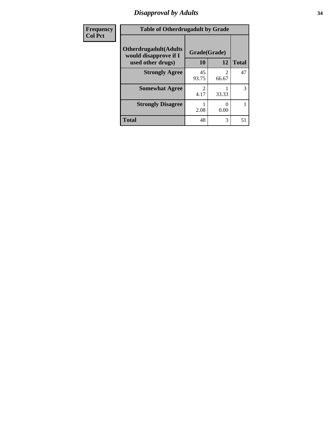### *Disapproval by Adults* **34**

| Frequency      | <b>Table of Otherdrugadult by Grade</b>                |              |                         |              |
|----------------|--------------------------------------------------------|--------------|-------------------------|--------------|
| <b>Col Pct</b> | <b>Otherdrugadult</b> (Adults<br>would disapprove if I | Grade(Grade) |                         |              |
|                | used other drugs)                                      | 10           | 12                      | <b>Total</b> |
|                | <b>Strongly Agree</b>                                  | 45<br>93.75  | $\mathfrak{D}$<br>66.67 | 47           |
|                | <b>Somewhat Agree</b>                                  | 4.17         | 33.33                   | 3            |
|                | <b>Strongly Disagree</b>                               | 2.08         | 0.00                    |              |
|                | <b>Total</b>                                           | 48           | 3                       | 51           |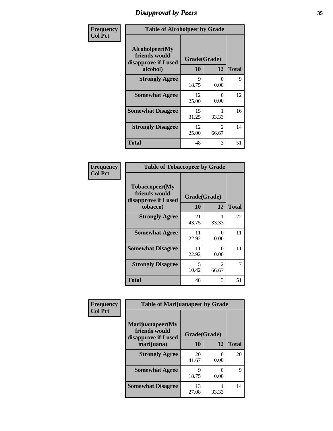### *Disapproval by Peers* **35**

| Frequency      | <b>Table of Alcoholpeer by Grade</b>                    |              |                         |              |
|----------------|---------------------------------------------------------|--------------|-------------------------|--------------|
| <b>Col Pct</b> | Alcoholpeer(My<br>friends would<br>disapprove if I used | Grade(Grade) |                         |              |
|                | alcohol)                                                | 10           | 12                      | <b>Total</b> |
|                | <b>Strongly Agree</b>                                   | 9<br>18.75   | ∩<br>0.00               | 9            |
|                | <b>Somewhat Agree</b>                                   | 12<br>25.00  | $\Omega$<br>0.00        | 12           |
|                | <b>Somewhat Disagree</b>                                | 15<br>31.25  | 33.33                   | 16           |
|                | <b>Strongly Disagree</b>                                | 12<br>25.00  | $\mathfrak{D}$<br>66.67 | 14           |
|                | Total                                                   | 48           | 3                       | 51           |

| Frequency      | <b>Table of Tobaccopeer by Grade</b>                    |              |                         |              |
|----------------|---------------------------------------------------------|--------------|-------------------------|--------------|
| <b>Col Pct</b> | Tobaccopeer(My<br>friends would<br>disapprove if I used | Grade(Grade) |                         |              |
|                | tobacco)                                                | <b>10</b>    | 12                      | <b>Total</b> |
|                | <b>Strongly Agree</b>                                   | 21<br>43.75  | 33.33                   | 22           |
|                | <b>Somewhat Agree</b>                                   | 11<br>22.92  | 0<br>0.00               | 11           |
|                | <b>Somewhat Disagree</b>                                | 11<br>22.92  | 0<br>0.00               | 11           |
|                | <b>Strongly Disagree</b>                                | 5<br>10.42   | $\mathfrak{D}$<br>66.67 | 7            |
|                | <b>Total</b>                                            | 48           | 3                       | 51           |

| Frequency      | <b>Table of Marijuanapeer by Grade</b>                    |              |                  |              |
|----------------|-----------------------------------------------------------|--------------|------------------|--------------|
| <b>Col Pct</b> | Marijuanapeer(My<br>friends would<br>disapprove if I used | Grade(Grade) |                  |              |
|                | marijuana)                                                | <b>10</b>    | 12               | <b>Total</b> |
|                | <b>Strongly Agree</b>                                     | 20<br>41.67  | $\Omega$<br>0.00 | 20           |
|                | <b>Somewhat Agree</b>                                     | Q<br>18.75   | 0<br>0.00        | 9            |
|                | <b>Somewhat Disagree</b>                                  | 13<br>27.08  | 33.33            | 14           |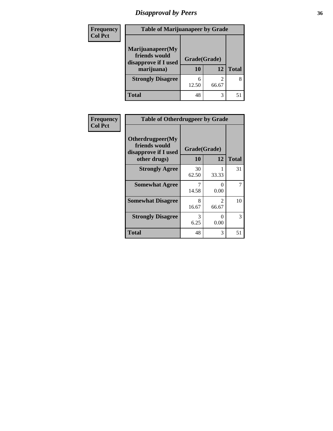## *Disapproval by Peers* **36**

| <b>Frequency</b> | <b>Table of Marijuanapeer by Grade</b>                                  |                    |       |              |
|------------------|-------------------------------------------------------------------------|--------------------|-------|--------------|
| <b>Col Pct</b>   | Marijuanapeer(My<br>friends would<br>disapprove if I used<br>marijuana) | Grade(Grade)<br>10 | 12    | <b>Total</b> |
|                  | <b>Strongly Disagree</b>                                                | 12.50              | 66.67 | 8            |
|                  | <b>Total</b>                                                            | 48                 | 3     |              |

| <b>Frequency</b> | <b>Table of Otherdrugpeer by Grade</b>                                    |                    |                         |              |
|------------------|---------------------------------------------------------------------------|--------------------|-------------------------|--------------|
| <b>Col Pct</b>   | Otherdrugpeer(My<br>friends would<br>disapprove if I used<br>other drugs) | Grade(Grade)<br>10 | 12                      | <b>Total</b> |
|                  |                                                                           |                    |                         |              |
|                  | <b>Strongly Agree</b>                                                     | 30<br>62.50        | 33.33                   | 31           |
|                  | <b>Somewhat Agree</b>                                                     | 14.58              | 0<br>0.00               |              |
|                  | <b>Somewhat Disagree</b>                                                  | 8<br>16.67         | $\mathfrak{D}$<br>66.67 | 10           |
|                  | <b>Strongly Disagree</b>                                                  | 3<br>6.25          | 0<br>0.00               | 3            |
|                  | <b>Total</b>                                                              | 48                 | 3                       | 51           |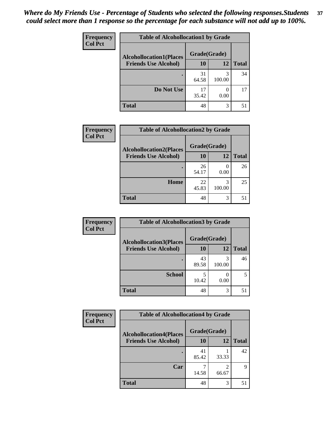| Frequency      | <b>Table of Alcohollocation1 by Grade</b> |              |                  |              |
|----------------|-------------------------------------------|--------------|------------------|--------------|
| <b>Col Pct</b> | <b>Alcohollocation1(Places</b>            | Grade(Grade) |                  |              |
|                | <b>Friends Use Alcohol)</b>               | 10           | 12               | <b>Total</b> |
|                |                                           | 31<br>64.58  | 3<br>100.00      | 34           |
|                | Do Not Use                                | 17<br>35.42  | $\theta$<br>0.00 | 17           |
|                | <b>Total</b>                              | 48           | 3                | 51           |

| Frequency      | <b>Table of Alcohollocation2 by Grade</b>                     |                    |             |              |
|----------------|---------------------------------------------------------------|--------------------|-------------|--------------|
| <b>Col Pct</b> | <b>Alcohollocation2(Places</b><br><b>Friends Use Alcohol)</b> | Grade(Grade)<br>10 | 12          | <b>Total</b> |
|                |                                                               | 26<br>54.17        | 0.00        | 26           |
|                | Home                                                          | 22<br>45.83        | 3<br>100.00 | 25           |
|                | <b>Total</b>                                                  | 48                 | 3           | 51           |

| Frequency      | <b>Table of Alcohollocation 3 by Grade</b>                    |                    |             |              |
|----------------|---------------------------------------------------------------|--------------------|-------------|--------------|
| <b>Col Pct</b> | <b>Alcohollocation3(Places</b><br><b>Friends Use Alcohol)</b> | Grade(Grade)<br>10 | 12          | <b>Total</b> |
|                |                                                               |                    |             |              |
|                |                                                               | 43<br>89.58        | 3<br>100.00 | 46           |
|                | <b>School</b>                                                 | 10.42              | 0.00        |              |
|                | <b>Total</b>                                                  | 48                 | 3           | 51           |

| <b>Frequency</b> | <b>Table of Alcohollocation4 by Grade</b> |              |            |              |
|------------------|-------------------------------------------|--------------|------------|--------------|
| <b>Col Pct</b>   | <b>Alcohollocation4(Places</b>            | Grade(Grade) |            |              |
|                  | <b>Friends Use Alcohol)</b>               | 10           | 12         | <b>Total</b> |
|                  |                                           | 41<br>85.42  | 33.33      | 42           |
|                  | Car                                       | 14.58        | 2<br>66.67 | 9            |
|                  | <b>Total</b>                              | 48           | 3          | 51           |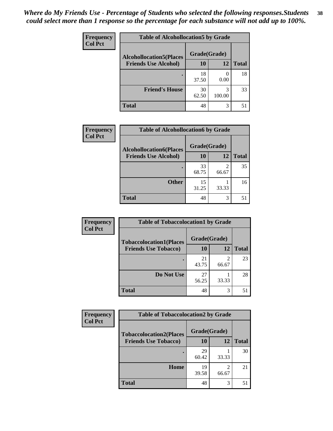| Frequency<br><b>Col Pct</b> | <b>Table of Alcohollocation5 by Grade</b> |              |             |              |
|-----------------------------|-------------------------------------------|--------------|-------------|--------------|
|                             | <b>Alcohollocation5(Places</b>            | Grade(Grade) |             |              |
|                             | <b>Friends Use Alcohol)</b>               | 10           | 12          | <b>Total</b> |
|                             |                                           | 18<br>37.50  | 0.00        | 18           |
|                             | <b>Friend's House</b>                     | 30<br>62.50  | 3<br>100.00 | 33           |
|                             | <b>Total</b>                              | 48           | 3           | 51           |

| <b>Frequency</b> | <b>Table of Alcohollocation6 by Grade</b> |              |            |              |
|------------------|-------------------------------------------|--------------|------------|--------------|
| <b>Col Pct</b>   | <b>Alcohollocation6(Places</b>            | Grade(Grade) |            |              |
|                  | <b>Friends Use Alcohol)</b>               | 10           | 12         | <b>Total</b> |
|                  |                                           | 33<br>68.75  | 2<br>66.67 | 35           |
|                  | <b>Other</b>                              | 15<br>31.25  | 33.33      | 16           |
|                  | <b>Total</b>                              | 48           | 3          | 51           |

| <b>Frequency</b> | <b>Table of Tobaccolocation1 by Grade</b> |              |            |              |
|------------------|-------------------------------------------|--------------|------------|--------------|
| <b>Col Pct</b>   | <b>Tobaccolocation1(Places</b>            | Grade(Grade) |            |              |
|                  | <b>Friends Use Tobacco)</b>               | <b>10</b>    | <b>12</b>  | <b>Total</b> |
|                  |                                           | 21<br>43.75  | 2<br>66.67 | 23           |
|                  | Do Not Use                                | 27<br>56.25  | 33.33      | 28           |
|                  | <b>Total</b>                              | 48           | 3          | 51           |

| Frequency      | <b>Table of Tobaccolocation2 by Grade</b> |              |            |              |
|----------------|-------------------------------------------|--------------|------------|--------------|
| <b>Col Pct</b> | <b>Tobaccolocation2(Places</b>            | Grade(Grade) |            |              |
|                | <b>Friends Use Tobacco)</b>               | 10           | 12         | <b>Total</b> |
|                |                                           | 29<br>60.42  | 33.33      | 30           |
|                | Home                                      | 19<br>39.58  | 2<br>66.67 | 21           |
|                | <b>Total</b>                              | 48           | 3          | 51           |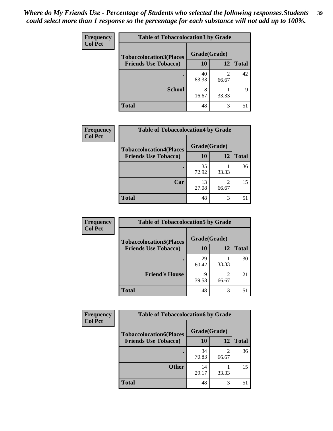| Frequency<br><b>Col Pct</b> | <b>Table of Tobaccolocation3 by Grade</b> |              |                         |              |  |
|-----------------------------|-------------------------------------------|--------------|-------------------------|--------------|--|
|                             | <b>Tobaccolocation3(Places</b>            | Grade(Grade) |                         |              |  |
|                             | <b>Friends Use Tobacco)</b>               | 10           | 12                      | <b>Total</b> |  |
|                             |                                           | 40<br>83.33  | $\mathfrak{D}$<br>66.67 | 42           |  |
|                             | <b>School</b>                             | 8<br>16.67   | 33.33                   | Q            |  |
|                             | <b>Total</b>                              | 48           | 3                       | 51           |  |

| Frequency      | <b>Table of Tobaccolocation4 by Grade</b> |              |                         |              |
|----------------|-------------------------------------------|--------------|-------------------------|--------------|
| <b>Col Pct</b> | <b>Tobaccolocation4(Places</b>            | Grade(Grade) |                         |              |
|                | <b>Friends Use Tobacco)</b>               | <b>10</b>    | 12                      | <b>Total</b> |
|                |                                           | 35<br>72.92  | 33.33                   | 36           |
|                | Car                                       | 13<br>27.08  | $\mathfrak{D}$<br>66.67 | 15           |
|                | <b>Total</b>                              | 48           | 3                       | 51           |

| Frequency      | <b>Table of Tobaccolocation5 by Grade</b> |              |                         |              |
|----------------|-------------------------------------------|--------------|-------------------------|--------------|
| <b>Col Pct</b> | <b>Tobaccolocation5(Places</b>            | Grade(Grade) |                         |              |
|                | <b>Friends Use Tobacco)</b>               | 10           | 12                      | <b>Total</b> |
|                |                                           | 29<br>60.42  | 33.33                   | 30           |
|                | <b>Friend's House</b>                     | 19<br>39.58  | $\overline{2}$<br>66.67 | 21           |
|                | <b>Total</b>                              | 48           | 3                       | 51           |

| <b>Frequency</b> | <b>Table of Tobaccolocation6 by Grade</b> |              |            |              |
|------------------|-------------------------------------------|--------------|------------|--------------|
| <b>Col Pct</b>   | <b>Tobaccolocation6(Places</b>            | Grade(Grade) |            |              |
|                  | <b>Friends Use Tobacco)</b>               | 10           | 12         | <b>Total</b> |
|                  |                                           | 34<br>70.83  | 2<br>66.67 | 36           |
|                  | <b>Other</b>                              | 14<br>29.17  | 33.33      | 15           |
|                  | <b>Total</b>                              | 48           | 3          | 51           |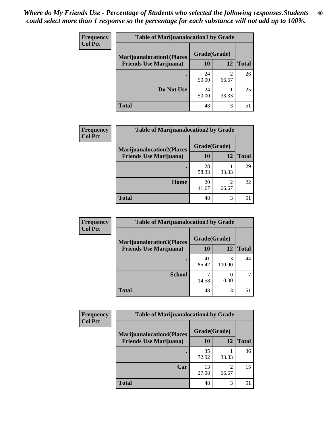| <b>Frequency</b> | <b>Table of Marijuanalocation1 by Grade</b> |              |       |              |
|------------------|---------------------------------------------|--------------|-------|--------------|
| <b>Col Pct</b>   | <b>Marijuanalocation1(Places</b>            | Grade(Grade) |       |              |
|                  | <b>Friends Use Marijuana</b> )              | <b>10</b>    | 12    | <b>Total</b> |
|                  |                                             | 24<br>50.00  | 66.67 | 26           |
|                  | Do Not Use                                  | 24<br>50.00  | 33.33 | 25           |
|                  | <b>Total</b>                                | 48           | 3     | 51           |

| <b>Frequency</b> | <b>Table of Marijuanalocation2 by Grade</b> |              |       |              |
|------------------|---------------------------------------------|--------------|-------|--------------|
| <b>Col Pct</b>   | <b>Marijuanalocation2(Places</b>            | Grade(Grade) |       |              |
|                  | <b>Friends Use Marijuana</b> )              | <b>10</b>    | 12    | <b>Total</b> |
|                  |                                             | 28<br>58.33  | 33.33 | 29           |
|                  | Home                                        | 20<br>41.67  | 66.67 | 22           |
|                  | <b>Total</b>                                | 48           | 3     | 51           |

| <b>Frequency</b><br><b>Col Pct</b> | <b>Table of Marijuanalocation3 by Grade</b> |                           |             |              |
|------------------------------------|---------------------------------------------|---------------------------|-------------|--------------|
|                                    | <b>Marijuanalocation3</b> (Places           | Grade(Grade)<br><b>10</b> | 12          | <b>Total</b> |
|                                    | <b>Friends Use Marijuana</b> )              |                           |             |              |
|                                    |                                             | 41<br>85.42               | 3<br>100.00 | 44           |
|                                    | <b>School</b>                               | 14.58                     | 0.00        |              |
|                                    | <b>Total</b>                                | 48                        | 3           | 51           |

| <b>Frequency</b> | <b>Table of Marijuanalocation4 by Grade</b> |              |                         |              |  |
|------------------|---------------------------------------------|--------------|-------------------------|--------------|--|
| <b>Col Pct</b>   | <b>Marijuanalocation4(Places</b>            | Grade(Grade) |                         |              |  |
|                  | <b>Friends Use Marijuana</b> )              | <b>10</b>    | 12                      | <b>Total</b> |  |
|                  |                                             | 35<br>72.92  | 33.33                   | 36           |  |
|                  | Car                                         | 13<br>27.08  | $\mathfrak{D}$<br>66.67 | 15           |  |
|                  | <b>Total</b>                                | 48           | 3                       | 51           |  |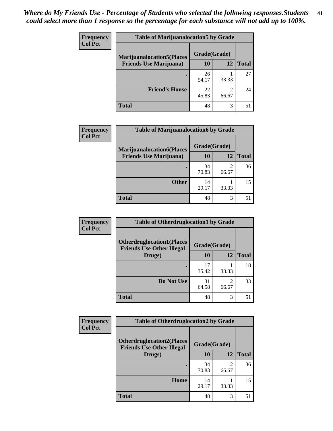| <b>Frequency</b> | <b>Table of Marijuanalocation5 by Grade</b>                         |              |       |              |
|------------------|---------------------------------------------------------------------|--------------|-------|--------------|
| <b>Col Pct</b>   | <b>Marijuanalocation5</b> (Places<br><b>Friends Use Marijuana</b> ) | Grade(Grade) |       |              |
|                  |                                                                     | 10           | 12    | <b>Total</b> |
|                  |                                                                     | 26<br>54.17  | 33.33 | 27           |
|                  | <b>Friend's House</b>                                               | 22<br>45.83  | 66.67 | 24           |
|                  | <b>Total</b>                                                        | 48           | 3     | 51           |

| <b>Frequency</b> | <b>Table of Marijuanalocation6 by Grade</b>                        |                    |            |              |
|------------------|--------------------------------------------------------------------|--------------------|------------|--------------|
| <b>Col Pct</b>   | <b>Marijuanalocation6(Places</b><br><b>Friends Use Marijuana</b> ) | Grade(Grade)<br>10 | 12         | <b>Total</b> |
|                  |                                                                    | 34<br>70.83        | 2<br>66.67 | 36           |
|                  | <b>Other</b>                                                       | 14<br>29.17        | 33.33      | 15           |
|                  | <b>Total</b>                                                       | 48                 | 3          | 51           |

| Frequency      | <b>Table of Otherdruglocation1 by Grade</b>                          |              |                         |              |
|----------------|----------------------------------------------------------------------|--------------|-------------------------|--------------|
| <b>Col Pct</b> | <b>Otherdruglocation1(Places</b><br><b>Friends Use Other Illegal</b> | Grade(Grade) |                         |              |
|                | Drugs)                                                               | 10           | 12                      | <b>Total</b> |
|                |                                                                      | 17<br>35.42  | 33.33                   | 18           |
|                | Do Not Use                                                           | 31<br>64.58  | $\mathfrak{D}$<br>66.67 | 33           |
|                | <b>Total</b>                                                         | 48           | 3                       | 51           |

| <b>Frequency</b> | <b>Table of Otherdruglocation2 by Grade</b>                          |              |                         |              |
|------------------|----------------------------------------------------------------------|--------------|-------------------------|--------------|
| <b>Col Pct</b>   | <b>Otherdruglocation2(Places</b><br><b>Friends Use Other Illegal</b> | Grade(Grade) |                         |              |
|                  | Drugs)                                                               | 10           | 12                      | <b>Total</b> |
|                  |                                                                      | 34<br>70.83  | $\mathfrak{D}$<br>66.67 | 36           |
|                  | Home                                                                 | 14<br>29.17  | 33.33                   | 15           |
|                  | <b>Total</b>                                                         | 48           | 3                       | 51           |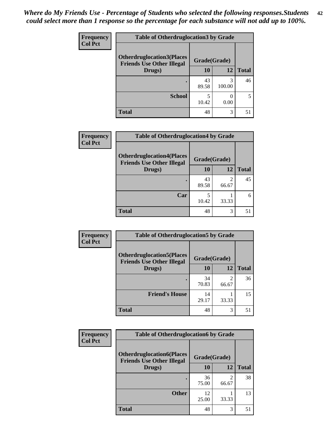| <b>Frequency</b> | <b>Table of Otherdruglocation 3 by Grade</b>                         |              |             |              |
|------------------|----------------------------------------------------------------------|--------------|-------------|--------------|
| <b>Col Pct</b>   | <b>Otherdruglocation3(Places</b><br><b>Friends Use Other Illegal</b> | Grade(Grade) |             |              |
|                  | Drugs)                                                               | 10           | 12          | <b>Total</b> |
|                  |                                                                      | 43<br>89.58  | 3<br>100.00 | 46           |
|                  | <b>School</b>                                                        | 10.42        | 0.00        |              |
|                  | <b>Total</b>                                                         | 48           | 3           | 51           |

| <b>Frequency</b> | <b>Table of Otherdruglocation4 by Grade</b>                          |              |       |              |
|------------------|----------------------------------------------------------------------|--------------|-------|--------------|
| <b>Col Pct</b>   | <b>Otherdruglocation4(Places</b><br><b>Friends Use Other Illegal</b> | Grade(Grade) |       |              |
|                  | Drugs)                                                               | 10           | 12    | <b>Total</b> |
|                  |                                                                      | 43<br>89.58  | 66.67 | 45           |
|                  | Car                                                                  | 10.42        | 33.33 | 6            |
|                  | <b>Total</b>                                                         | 48           | 3     | 51           |

| Frequency      | <b>Table of Otherdruglocation5 by Grade</b>                          |              |                         |              |
|----------------|----------------------------------------------------------------------|--------------|-------------------------|--------------|
| <b>Col Pct</b> | <b>Otherdruglocation5(Places</b><br><b>Friends Use Other Illegal</b> | Grade(Grade) |                         |              |
|                | Drugs)                                                               | 10           | 12                      | <b>Total</b> |
|                |                                                                      | 34<br>70.83  | $\mathfrak{D}$<br>66.67 | 36           |
|                | <b>Friend's House</b>                                                | 14<br>29.17  | 33.33                   | 15           |
|                | <b>Total</b>                                                         | 48           | 3                       | 51           |

| Frequency      | <b>Table of Otherdruglocation6 by Grade</b>                          |             |                        |              |
|----------------|----------------------------------------------------------------------|-------------|------------------------|--------------|
| <b>Col Pct</b> | <b>Otherdruglocation6(Places</b><br><b>Friends Use Other Illegal</b> |             | Grade(Grade)           |              |
|                | Drugs)                                                               | 10          | 12                     | <b>Total</b> |
|                |                                                                      | 36<br>75.00 | $\mathcal{D}$<br>66.67 | 38           |
|                | <b>Other</b>                                                         | 12<br>25.00 | 33.33                  | 13           |
|                | <b>Total</b>                                                         | 48          | 3                      | 51           |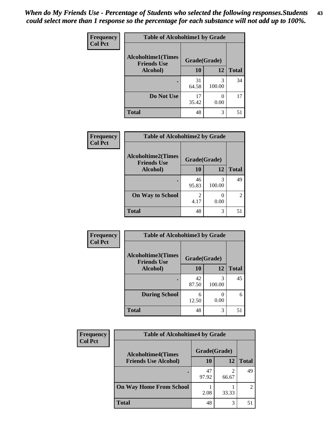| Frequency      | <b>Table of Alcoholtime1 by Grade</b>           |              |             |              |
|----------------|-------------------------------------------------|--------------|-------------|--------------|
| <b>Col Pct</b> | <b>Alcoholtime1(Times</b><br><b>Friends Use</b> | Grade(Grade) |             |              |
|                | Alcohol)                                        | 10           | 12          | <b>Total</b> |
|                |                                                 | 31<br>64.58  | 3<br>100.00 | 34           |
|                | Do Not Use                                      | 17<br>35.42  | 0<br>0.00   | 17           |
|                | <b>Total</b>                                    | 48           | 3           | 51           |

| Frequency      | <b>Table of Alcoholtime2 by Grade</b>                           |             |             |                |
|----------------|-----------------------------------------------------------------|-------------|-------------|----------------|
| <b>Col Pct</b> | <b>Alcoholtime2(Times</b><br>Grade(Grade)<br><b>Friends Use</b> |             |             |                |
|                | Alcohol)                                                        | 10          | 12          | <b>Total</b>   |
|                |                                                                 | 46<br>95.83 | 3<br>100.00 | 49             |
|                | <b>On Way to School</b>                                         | 4.17        | 0.00        | $\mathfrak{D}$ |
|                | <b>Total</b>                                                    | 48          | 3           | 51             |

| Frequency<br><b>Col Pct</b> | <b>Table of Alcoholtime3 by Grade</b>                           |             |             |              |
|-----------------------------|-----------------------------------------------------------------|-------------|-------------|--------------|
|                             | <b>Alcoholtime3(Times</b><br>Grade(Grade)<br><b>Friends Use</b> |             |             |              |
|                             | Alcohol)                                                        | 10          | 12          | <b>Total</b> |
|                             |                                                                 | 42<br>87.50 | 3<br>100.00 | 45           |
|                             | <b>During School</b>                                            | 6<br>12.50  | 0.00        | 6            |
|                             | <b>Total</b>                                                    | 48          | 3           | 51           |

| <b>Frequency</b> | <b>Table of Alcoholtime4 by Grade</b> |              |            |                |
|------------------|---------------------------------------|--------------|------------|----------------|
| <b>Col Pct</b>   | <b>Alcoholtime4(Times</b>             | Grade(Grade) |            |                |
|                  | <b>Friends Use Alcohol)</b>           | 10           | 12         | <b>Total</b>   |
|                  | ٠                                     | 47<br>97.92  | ◠<br>66.67 | 49             |
|                  | <b>On Way Home From School</b>        | 2.08         | 33.33      | $\mathfrak{D}$ |
|                  | <b>Total</b>                          | 48           | 3          | 51             |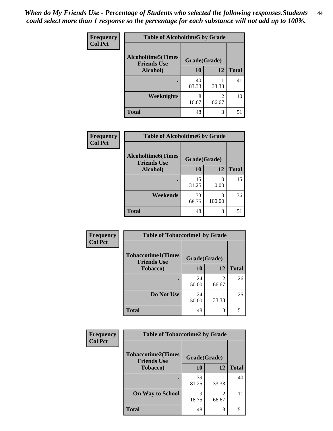*When do My Friends Use - Percentage of Students who selected the following responses.Students could select more than 1 response so the percentage for each substance will not add up to 100%.* **44**

| Frequency      | <b>Table of Alcoholtime5 by Grade</b>           |              |            |              |
|----------------|-------------------------------------------------|--------------|------------|--------------|
| <b>Col Pct</b> | <b>Alcoholtime5(Times</b><br><b>Friends Use</b> | Grade(Grade) |            |              |
|                | Alcohol)                                        | 10           | 12         | <b>Total</b> |
|                |                                                 | 40<br>83.33  | 33.33      | 41           |
|                | Weeknights                                      | 8<br>16.67   | 2<br>66.67 | 10           |
|                | <b>Total</b>                                    | 48           | 3          | 51           |

| Frequency      | <b>Table of Alcoholtime6 by Grade</b>           |              |             |              |
|----------------|-------------------------------------------------|--------------|-------------|--------------|
| <b>Col Pct</b> | <b>Alcoholtime6(Times</b><br><b>Friends Use</b> | Grade(Grade) |             |              |
|                | Alcohol)                                        | 10           | 12          | <b>Total</b> |
|                |                                                 | 15<br>31.25  | 0.00        | 15           |
|                | Weekends                                        | 33<br>68.75  | 3<br>100.00 | 36           |
|                | <b>Total</b>                                    | 48           | 3           | 51           |

| <b>Frequency</b><br><b>Col Pct</b> | <b>Table of Tobaccotime1 by Grade</b>                           |             |                         |              |
|------------------------------------|-----------------------------------------------------------------|-------------|-------------------------|--------------|
|                                    | <b>Tobaccotime1(Times</b><br>Grade(Grade)<br><b>Friends Use</b> |             |                         |              |
|                                    | <b>Tobacco</b> )                                                | 10          | 12                      | <b>Total</b> |
|                                    |                                                                 | 24<br>50.00 | $\overline{2}$<br>66.67 | 26           |
|                                    | Do Not Use                                                      | 24<br>50.00 | 33.33                   | 25           |
|                                    | <b>Total</b>                                                    | 48          | 3                       | 51           |

| <b>Frequency</b> | <b>Table of Tobaccotime2 by Grade</b>           |              |       |              |
|------------------|-------------------------------------------------|--------------|-------|--------------|
| <b>Col Pct</b>   | <b>Tobaccotime2(Times</b><br><b>Friends Use</b> | Grade(Grade) |       |              |
|                  | Tobacco)                                        | 10           | 12    | <b>Total</b> |
|                  |                                                 | 39<br>81.25  | 33.33 | 40           |
|                  | <b>On Way to School</b>                         | q<br>18.75   | 66.67 | 11           |
|                  | <b>Total</b>                                    | 48           | 3     | 51           |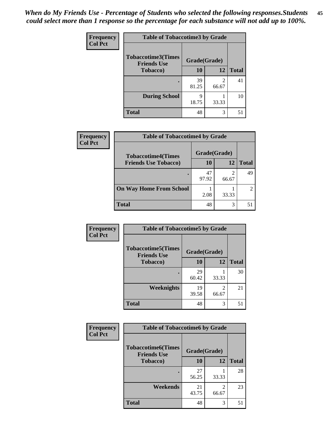| <b>Frequency</b> | <b>Table of Tobaccotime3 by Grade</b>           |              |                                      |              |
|------------------|-------------------------------------------------|--------------|--------------------------------------|--------------|
| <b>Col Pct</b>   | <b>Tobaccotime3(Times</b><br><b>Friends Use</b> | Grade(Grade) |                                      |              |
|                  | <b>Tobacco</b> )                                | 10           | 12                                   | <b>Total</b> |
|                  | ٠                                               | 39<br>81.25  | $\mathcal{D}_{\mathcal{L}}$<br>66.67 | 41           |
|                  | <b>During School</b>                            | q<br>18.75   | 33.33                                | 10           |
|                  | <b>Total</b>                                    | 48           | 3                                    | 51           |

| <b>Frequency</b><br><b>Col Pct</b> | <b>Table of Tobaccotime4 by Grade</b> |              |       |              |
|------------------------------------|---------------------------------------|--------------|-------|--------------|
|                                    | <b>Tobaccotime4(Times</b>             | Grade(Grade) |       |              |
|                                    | <b>Friends Use Tobacco)</b>           | 10           | 12    | <b>Total</b> |
|                                    |                                       | 47<br>97.92  | 66.67 | 49           |
|                                    | <b>On Way Home From School</b>        | 2.08         | 33.33 |              |
|                                    | <b>Total</b>                          | 48           | 3     | 51           |

| Frequency      | <b>Table of Tobaccotime5 by Grade</b>           |              |                         |              |
|----------------|-------------------------------------------------|--------------|-------------------------|--------------|
| <b>Col Pct</b> | <b>Tobaccotime5(Times</b><br><b>Friends Use</b> | Grade(Grade) |                         |              |
|                | <b>Tobacco</b> )                                | 10           | 12                      | <b>Total</b> |
|                |                                                 | 29<br>60.42  | 33.33                   | 30           |
|                | Weeknights                                      | 19<br>39.58  | $\mathfrak{D}$<br>66.67 | 21           |
|                | <b>Total</b>                                    | 48           | 3                       | 51           |

| Frequency      | <b>Table of Tobaccotime6 by Grade</b>           |              |            |              |
|----------------|-------------------------------------------------|--------------|------------|--------------|
| <b>Col Pct</b> | <b>Tobaccotime6(Times</b><br><b>Friends Use</b> | Grade(Grade) |            |              |
|                | <b>Tobacco</b> )                                | <b>10</b>    | 12         | <b>Total</b> |
|                | ٠                                               | 27<br>56.25  | 33.33      | 28           |
|                | Weekends                                        | 21<br>43.75  | 2<br>66.67 | 23           |
|                | <b>Total</b>                                    | 48           | 3          | 51           |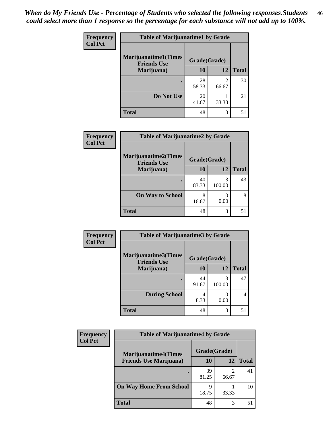| <b>Frequency</b> | <b>Table of Marijuanatime1 by Grade</b>           |              |                         |              |
|------------------|---------------------------------------------------|--------------|-------------------------|--------------|
| <b>Col Pct</b>   | <b>Marijuanatime1(Times</b><br><b>Friends Use</b> | Grade(Grade) |                         |              |
|                  | Marijuana)                                        | 10           | 12                      | <b>Total</b> |
|                  |                                                   | 28<br>58.33  | $\mathfrak{D}$<br>66.67 | 30           |
|                  | Do Not Use                                        | 20<br>41.67  | 33.33                   | 21           |
|                  | <b>Total</b>                                      | 48           | 3                       | 51           |

| Frequency      | <b>Table of Marijuanatime2 by Grade</b>           |              |             |              |
|----------------|---------------------------------------------------|--------------|-------------|--------------|
| <b>Col Pct</b> | <b>Marijuanatime2(Times</b><br><b>Friends Use</b> | Grade(Grade) |             |              |
|                | Marijuana)                                        | 10           | 12          | <b>Total</b> |
|                |                                                   | 40<br>83.33  | 3<br>100.00 | 43           |
|                | <b>On Way to School</b>                           | 8<br>16.67   | 0.00        | 8            |
|                | <b>Total</b>                                      | 48           | 3           | 51           |

| <b>Frequency</b> | <b>Table of Marijuanatime3 by Grade</b>    |              |             |              |
|------------------|--------------------------------------------|--------------|-------------|--------------|
| <b>Col Pct</b>   | Marijuanatime3(Times<br><b>Friends Use</b> | Grade(Grade) |             |              |
|                  | Marijuana)                                 | 10           | 12          | <b>Total</b> |
|                  |                                            | 44<br>91.67  | 3<br>100.00 | 47           |
|                  | <b>During School</b>                       | 4<br>8.33    | 0<br>0.00   | 4            |
|                  | <b>Total</b>                               | 48           | 3           | 51           |

| <b>Frequency</b> | <b>Table of Marijuanatime4 by Grade</b> |              |       |              |
|------------------|-----------------------------------------|--------------|-------|--------------|
| <b>Col Pct</b>   | <b>Marijuanatime4(Times</b>             | Grade(Grade) |       |              |
|                  | <b>Friends Use Marijuana</b> )          | 10           | 12    | <b>Total</b> |
|                  |                                         | 39<br>81.25  | 66.67 | 41           |
|                  | <b>On Way Home From School</b>          | 9<br>18.75   | 33.33 | 10           |
|                  | <b>Total</b>                            | 48           | 3     | 51           |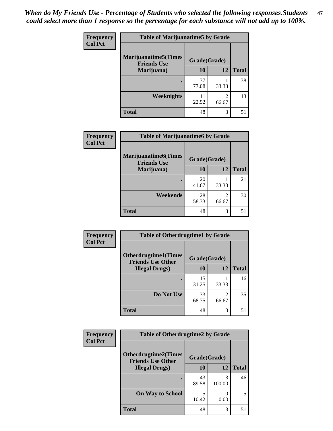| <b>Frequency</b><br><b>Col Pct</b> | <b>Table of Marijuanatime5 by Grade</b>            |              |                         |              |
|------------------------------------|----------------------------------------------------|--------------|-------------------------|--------------|
|                                    | <b>Marijuanatime5</b> (Times<br><b>Friends Use</b> | Grade(Grade) |                         |              |
|                                    | Marijuana)                                         | 10           | 12                      | <b>Total</b> |
|                                    |                                                    | 37<br>77.08  | 33.33                   | 38           |
|                                    | Weeknights                                         | 11<br>22.92  | $\mathfrak{D}$<br>66.67 | 13           |
|                                    | <b>Total</b>                                       | 48           | 3                       | 51           |

| <b>Frequency</b> | <b>Table of Marijuanatime6 by Grade</b>           |              |                         |              |
|------------------|---------------------------------------------------|--------------|-------------------------|--------------|
| <b>Col Pct</b>   | <b>Marijuanatime6(Times</b><br><b>Friends Use</b> | Grade(Grade) |                         |              |
|                  | Marijuana)                                        | 10           | 12                      | <b>Total</b> |
|                  |                                                   | 20<br>41.67  | 33.33                   | 21           |
|                  | Weekends                                          | 28<br>58.33  | $\mathfrak{D}$<br>66.67 | 30           |
|                  | <b>Total</b>                                      | 48           | 3                       | 51           |

| Frequency      | <b>Table of Otherdrugtime1 by Grade</b>                 |              |                         |              |
|----------------|---------------------------------------------------------|--------------|-------------------------|--------------|
| <b>Col Pct</b> | <b>Otherdrugtime1(Times</b><br><b>Friends Use Other</b> | Grade(Grade) |                         |              |
|                | <b>Illegal Drugs</b> )                                  | 10           | 12                      | <b>Total</b> |
|                |                                                         | 15<br>31.25  | 33.33                   | 16           |
|                | Do Not Use                                              | 33<br>68.75  | $\mathfrak{D}$<br>66.67 | 35           |
|                | <b>Total</b>                                            | 48           | 3                       | 51           |

| <b>Frequency</b> | <b>Table of Otherdrugtime2 by Grade</b>                 |              |             |              |
|------------------|---------------------------------------------------------|--------------|-------------|--------------|
| <b>Col Pct</b>   | <b>Otherdrugtime2(Times</b><br><b>Friends Use Other</b> | Grade(Grade) |             |              |
|                  | <b>Illegal Drugs</b> )                                  | 10           | 12          | <b>Total</b> |
|                  |                                                         | 43<br>89.58  | 3<br>100.00 | 46           |
|                  | <b>On Way to School</b>                                 | 5<br>10.42   | 0.00        | 5            |
|                  | Total                                                   | 48           | 3           | 51           |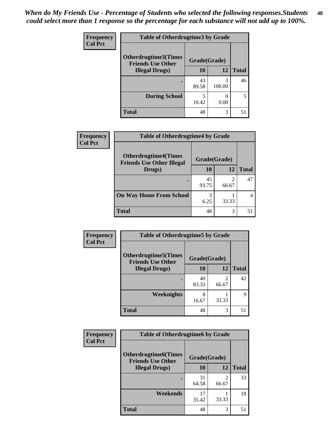| <b>Frequency</b> | <b>Table of Otherdrugtime3 by Grade</b>          |              |                           |              |
|------------------|--------------------------------------------------|--------------|---------------------------|--------------|
| <b>Col Pct</b>   | Otherdrugtime3(Times<br><b>Friends Use Other</b> | Grade(Grade) |                           |              |
|                  | <b>Illegal Drugs</b> )                           | 10           | 12                        | <b>Total</b> |
|                  |                                                  | 43<br>89.58  | 3<br>100.00               | 46           |
|                  | <b>During School</b>                             | 5<br>10.42   | $\mathbf{\Omega}$<br>0.00 | 5            |
|                  | <b>Total</b>                                     | 48           | 3                         | 51           |

| Frequency      | <b>Table of Otherdrugtime4 by Grade</b>                         |              |       |              |
|----------------|-----------------------------------------------------------------|--------------|-------|--------------|
| <b>Col Pct</b> | <b>Otherdrugtime4(Times</b><br><b>Friends Use Other Illegal</b> | Grade(Grade) |       |              |
|                | Drugs)                                                          | 10           | 12    | <b>Total</b> |
|                | $\bullet$                                                       | 45<br>93.75  | 66.67 | 47           |
|                | <b>On Way Home From School</b>                                  | 3<br>6.25    | 33.33 |              |
|                | <b>Total</b>                                                    | 48           | 3     | 51           |

| <b>Frequency</b> | <b>Table of Otherdrugtime5 by Grade</b>                  |              |                         |              |
|------------------|----------------------------------------------------------|--------------|-------------------------|--------------|
| <b>Col Pct</b>   | <b>Otherdrugtime5</b> (Times<br><b>Friends Use Other</b> | Grade(Grade) |                         |              |
|                  | <b>Illegal Drugs</b> )                                   | 10           | 12                      | <b>Total</b> |
|                  |                                                          | 40<br>83.33  | $\mathfrak{D}$<br>66.67 | 42           |
|                  | Weeknights                                               | 8<br>16.67   | 33.33                   | 9            |
|                  | <b>Total</b>                                             | 48           | 3                       | 51           |

| <b>Frequency</b> | <b>Table of Otherdrugtime6 by Grade</b>                 |              |                         |              |
|------------------|---------------------------------------------------------|--------------|-------------------------|--------------|
| <b>Col Pct</b>   | <b>Otherdrugtime6(Times</b><br><b>Friends Use Other</b> | Grade(Grade) |                         |              |
|                  | <b>Illegal Drugs</b> )                                  | 10           | 12                      | <b>Total</b> |
|                  |                                                         | 31<br>64.58  | $\mathfrak{D}$<br>66.67 | 33           |
|                  | Weekends                                                | 17<br>35.42  | 33.33                   | 18           |
|                  | <b>Total</b>                                            | 48           | 3                       | 51           |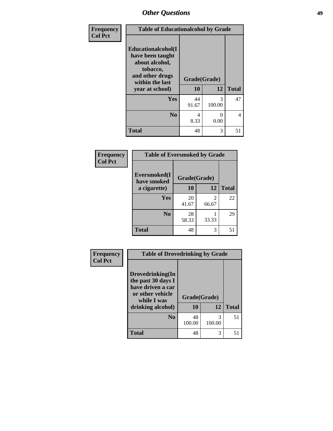| Frequency<br><b>Col Pct</b> | <b>Table of Educationalcohol by Grade</b>                                                                  |              |             |              |  |
|-----------------------------|------------------------------------------------------------------------------------------------------------|--------------|-------------|--------------|--|
|                             | Educationalcohol(I<br>have been taught<br>about alcohol,<br>tobacco,<br>and other drugs<br>within the last | Grade(Grade) |             |              |  |
|                             | year at school)                                                                                            | 10           | 12          | <b>Total</b> |  |
|                             | Yes                                                                                                        | 44<br>91.67  | 3<br>100.00 | 47           |  |
|                             | N <sub>0</sub>                                                                                             | 4<br>8.33    | 0<br>0.00   | 4            |  |
|                             | <b>Total</b>                                                                                               | 48           | 3           | 51           |  |

| Frequency      | <b>Table of Eversmoked by Grade</b> |              |            |              |  |  |
|----------------|-------------------------------------|--------------|------------|--------------|--|--|
| <b>Col Pct</b> | Eversmoked(I<br>have smoked         | Grade(Grade) |            |              |  |  |
|                | a cigarette)                        | 10           | 12         | <b>Total</b> |  |  |
|                | Yes                                 | 20<br>41.67  | 2<br>66.67 | 22           |  |  |
|                | N <sub>0</sub>                      | 28<br>58.33  | 33.33      | 29           |  |  |
|                | <b>Total</b>                        | 48           | 3          | 51           |  |  |

| <b>Frequency</b> | <b>Table of Drovedrinking by Grade</b>                                                                              |                    |             |              |
|------------------|---------------------------------------------------------------------------------------------------------------------|--------------------|-------------|--------------|
| <b>Col Pct</b>   | Drovedrinking(In<br>the past 30 days I<br>have driven a car<br>or other vehicle<br>while I was<br>drinking alcohol) | Grade(Grade)<br>10 | 12          | <b>Total</b> |
|                  | N <sub>0</sub>                                                                                                      | 48<br>100.00       | 3<br>100.00 | 51           |
|                  | <b>Total</b>                                                                                                        | 48                 | 3           | 51           |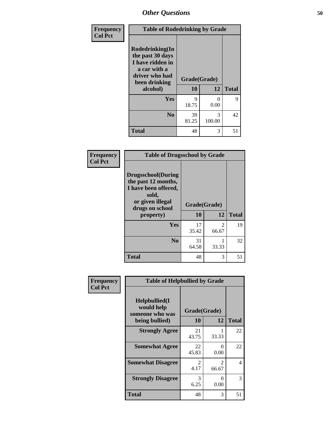| Frequency<br><b>Col Pct</b> | <b>Table of Rodedrinking by Grade</b>                                                                                  |                    |             |              |
|-----------------------------|------------------------------------------------------------------------------------------------------------------------|--------------------|-------------|--------------|
|                             | Rodedrinking(In<br>the past 30 days<br>I have ridden in<br>a car with a<br>driver who had<br>been drinking<br>alcohol) | Grade(Grade)<br>10 | 12          | <b>Total</b> |
|                             | <b>Yes</b>                                                                                                             | 9                  | $\Omega$    | 9            |
|                             |                                                                                                                        | 18.75              | 0.00        |              |
|                             | N <sub>0</sub>                                                                                                         | 39<br>81.25        | 3<br>100.00 | 42           |
|                             | <b>Total</b>                                                                                                           | 48                 | 3           | 51           |

#### **Frequency Col Pct**

| <b>Table of Drugsschool by Grade</b>                                                                                      |              |                         |              |  |
|---------------------------------------------------------------------------------------------------------------------------|--------------|-------------------------|--------------|--|
| <b>Drugsschool</b> (During<br>the past 12 months,<br>I have been offered,<br>sold,<br>or given illegal<br>drugs on school | Grade(Grade) |                         |              |  |
| property)                                                                                                                 | 10           | 12                      | <b>Total</b> |  |
| Yes                                                                                                                       | 17<br>35.42  | $\mathfrak{D}$<br>66.67 | 19           |  |
| N <sub>0</sub>                                                                                                            | 31<br>64.58  | 33.33                   | 32           |  |
| <b>Total</b>                                                                                                              | 48           | 3                       |              |  |

| Frequency      | <b>Table of Helpbullied by Grade</b>                 |                        |                         |                          |  |  |
|----------------|------------------------------------------------------|------------------------|-------------------------|--------------------------|--|--|
| <b>Col Pct</b> | $Helpb$ ullied $(I$<br>would help<br>someone who was | Grade(Grade)           |                         |                          |  |  |
|                | being bullied)                                       | 10                     | 12                      | <b>Total</b>             |  |  |
|                | <b>Strongly Agree</b>                                | 21<br>43.75            | 33.33                   | 22                       |  |  |
|                | <b>Somewhat Agree</b>                                | 22<br>45.83            | 0<br>0.00               | 22                       |  |  |
|                | <b>Somewhat Disagree</b>                             | $\mathfrak{D}$<br>4.17 | $\mathfrak{D}$<br>66.67 | $\overline{\mathcal{A}}$ |  |  |
|                | <b>Strongly Disagree</b>                             | 3<br>6.25              | 0<br>0.00               | 3                        |  |  |
|                | <b>Total</b>                                         | 48                     | 3                       | 51                       |  |  |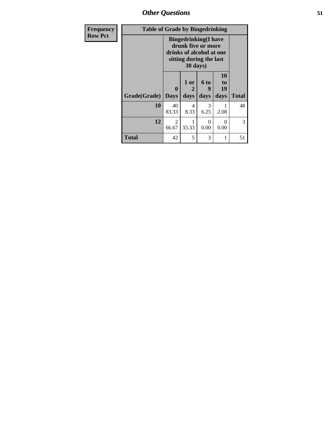*Other Questions* **51**

| <b>Frequency</b> |              | <b>Table of Grade by Bingedrinking</b>                                                                                |              |                   |                        |              |
|------------------|--------------|-----------------------------------------------------------------------------------------------------------------------|--------------|-------------------|------------------------|--------------|
| <b>Row Pct</b>   |              | <b>Bingedrinking</b> (I have<br>drunk five or more<br>drinks of alcohol at one<br>sitting during the last<br>30 days) |              |                   |                        |              |
|                  | Grade(Grade) | $\mathbf{0}$<br><b>Days</b>                                                                                           | 1 or<br>days | 6 to<br>9<br>days | 10<br>to<br>19<br>days | <b>Total</b> |
|                  | 10           | 40<br>83.33                                                                                                           | 4<br>8.33    | 3<br>6.25         | 2.08                   | 48           |
|                  | 12           | $\mathcal{L}$<br>66.67                                                                                                | 33.33        | 0<br>0.00         | 0<br>0.00              | 3            |
|                  | <b>Total</b> | 42                                                                                                                    | 5            | 3                 |                        | 51           |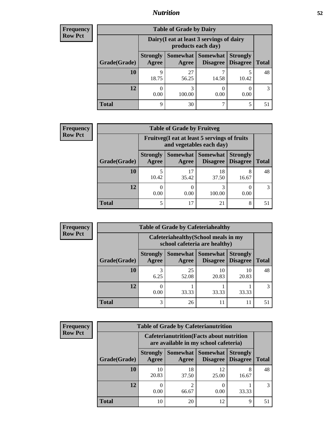## *Nutrition* **52**

| <b>Frequency</b> |
|------------------|
| <b>Row Pct</b>   |

| <b>Table of Grade by Dairy</b> |                          |                                                                                                        |       |       |    |  |  |
|--------------------------------|--------------------------|--------------------------------------------------------------------------------------------------------|-------|-------|----|--|--|
|                                |                          | Dairy (I eat at least 3 servings of dairy<br>products each day)                                        |       |       |    |  |  |
| Grade(Grade)                   | <b>Strongly</b><br>Agree | Somewhat<br><b>Somewhat</b><br><b>Strongly</b><br><b>Disagree</b><br><b>Total</b><br>Disagree<br>Agree |       |       |    |  |  |
| <b>10</b>                      | 9<br>18.75               | 27<br>56.25                                                                                            | 14.58 | 10.42 | 48 |  |  |
| 12                             | 0.00                     | 3<br>100.00                                                                                            | 0.00  | 0.00  | 3  |  |  |
| <b>Total</b>                   | 9                        | 30                                                                                                     |       | 5     |    |  |  |

| <b>Frequency</b> |  |
|------------------|--|
| <b>Row Pct</b>   |  |

| V | <b>Table of Grade by Fruitveg</b> |                          |                                                                                                       |             |            |    |  |  |
|---|-----------------------------------|--------------------------|-------------------------------------------------------------------------------------------------------|-------------|------------|----|--|--|
|   |                                   |                          | Fruitveg(I eat at least 5 servings of fruits<br>and vegetables each day)                              |             |            |    |  |  |
|   | Grade(Grade)                      | <b>Strongly</b><br>Agree | Somewhat   Somewhat<br><b>Strongly</b><br><b>Disagree</b><br><b>Disagree</b><br><b>Total</b><br>Agree |             |            |    |  |  |
|   | 10                                | 10.42                    | 17<br>35.42                                                                                           | 18<br>37.50 | 8<br>16.67 | 48 |  |  |
|   | 12                                | 0.00                     | 0.00                                                                                                  | 3<br>100.00 | 0.00       | 3  |  |  |
|   | <b>Total</b>                      | 5                        | 17                                                                                                    | 21          | 8          | 51 |  |  |

| <b>Frequency</b><br>Row Pct |
|-----------------------------|

г

| <b>Table of Grade by Cafeteriahealthy</b> |              |                          |                                                                       |                             |                                    |              |  |  |
|-------------------------------------------|--------------|--------------------------|-----------------------------------------------------------------------|-----------------------------|------------------------------------|--------------|--|--|
|                                           |              |                          | Cafeteriahealthy (School meals in my<br>school cafeteria are healthy) |                             |                                    |              |  |  |
|                                           | Grade(Grade) | <b>Strongly</b><br>Agree | Somewhat<br>Agree                                                     | <b>Somewhat</b><br>Disagree | <b>Strongly</b><br><b>Disagree</b> | <b>Total</b> |  |  |
|                                           | 10           | 3<br>6.25                | 25<br>52.08                                                           | 10<br>20.83                 | 10<br>20.83                        | 48           |  |  |
|                                           | 12           | 0<br>0.00                | 33.33                                                                 | 33.33                       | 33.33                              | 3            |  |  |
|                                           | <b>Total</b> | 3                        | 26                                                                    | 11                          |                                    |              |  |  |

**Frequency Row Pct**

| <b>Table of Grade by Cafeterianutrition</b> |                                                                                           |                     |                             |                                    |              |  |
|---------------------------------------------|-------------------------------------------------------------------------------------------|---------------------|-----------------------------|------------------------------------|--------------|--|
|                                             | <b>Cafeterianutrition</b> (Facts about nutrition<br>are available in my school cafeteria) |                     |                             |                                    |              |  |
| Grade(Grade)                                | <b>Strongly</b><br>Agree                                                                  | Somewhat  <br>Agree | <b>Somewhat</b><br>Disagree | <b>Strongly</b><br><b>Disagree</b> | <b>Total</b> |  |
| 10                                          | 10<br>20.83                                                                               | 18<br>37.50         | 12<br>25.00                 | 8<br>16.67                         | 48           |  |
| 12                                          | 0.00                                                                                      | 66.67               | 0<br>0.00                   | 33.33                              |              |  |
| <b>Total</b>                                | 10                                                                                        | 20                  | 12                          | 9                                  |              |  |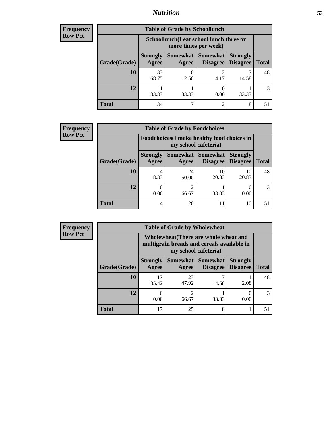## *Nutrition* **53**

| Frequency |
|-----------|
| Row Pct   |

| <b>Table of Grade by Schoollunch</b> |                          |                                                                 |                                 |                                    |              |  |  |
|--------------------------------------|--------------------------|-----------------------------------------------------------------|---------------------------------|------------------------------------|--------------|--|--|
|                                      |                          | Schoollunch(I eat school lunch three or<br>more times per week) |                                 |                                    |              |  |  |
| Grade(Grade)                         | <b>Strongly</b><br>Agree | Agree                                                           | Somewhat   Somewhat<br>Disagree | <b>Strongly</b><br><b>Disagree</b> | <b>Total</b> |  |  |
| <b>10</b>                            | 33<br>68.75              | 6<br>12.50                                                      | $\overline{c}$<br>4.17          | 14.58                              | 48           |  |  |
| 12                                   | 33.33                    | 33.33                                                           | 0.00                            | 33.33                              |              |  |  |
| <b>Total</b>                         | 34                       |                                                                 | $\mathcal{D}_{\mathcal{D}}$     | 8                                  | 51           |  |  |

| <b>Frequency</b> |  |
|------------------|--|
| <b>Row Pct</b>   |  |

| <b>Table of Grade by Foodchoices</b> |                                                                     |             |                                   |                                    |               |  |  |
|--------------------------------------|---------------------------------------------------------------------|-------------|-----------------------------------|------------------------------------|---------------|--|--|
|                                      | Foodchoices (I make healthy food choices in<br>my school cafeteria) |             |                                   |                                    |               |  |  |
| Grade(Grade)                         | <b>Strongly</b><br>Agree                                            | Agree       | Somewhat   Somewhat  <br>Disagree | <b>Strongly</b><br><b>Disagree</b> | <b>Total</b>  |  |  |
| 10                                   | 4<br>8.33                                                           | 24<br>50.00 | 10<br>20.83                       | 10<br>20.83                        | 48            |  |  |
| 12                                   | 0.00                                                                | 66.67       | 33.33                             | 0.00                               | $\mathcal{R}$ |  |  |
| <b>Total</b>                         | 4                                                                   | 26          | 11                                | 10                                 | 51            |  |  |

| <b>Frequency</b> | <b>Table of Grade by Wholewheat</b> |                                                                                                             |             |                   |                                        |              |  |  |
|------------------|-------------------------------------|-------------------------------------------------------------------------------------------------------------|-------------|-------------------|----------------------------------------|--------------|--|--|
| <b>Row Pct</b>   |                                     | Wholewheat (There are whole wheat and<br>multigrain breads and cereals available in<br>my school cafeteria) |             |                   |                                        |              |  |  |
|                  | Grade(Grade)                        | <b>Strongly</b><br>Agree                                                                                    | Agree       | Somewhat Somewhat | <b>Strongly</b><br>Disagree   Disagree | <b>Total</b> |  |  |
|                  | 10                                  | 17<br>35.42                                                                                                 | 23<br>47.92 | 14.58             | 2.08                                   | 48           |  |  |
|                  | 12                                  | 0.00                                                                                                        | 2<br>66.67  | 33.33             | 0.00                                   | 3            |  |  |
|                  | <b>Total</b>                        | 17                                                                                                          | 25          | 8                 |                                        | 51           |  |  |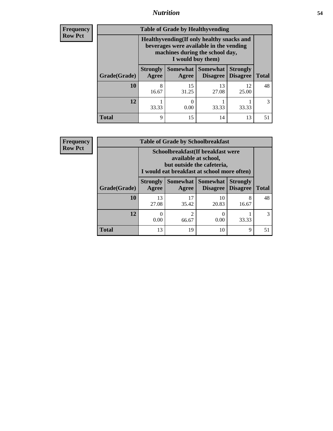## *Nutrition* **54**

**Frequency Row Pct**

| <b>Table of Grade by Healthyvending</b> |                                                                                                                                               |             |                                        |                                    |              |  |  |
|-----------------------------------------|-----------------------------------------------------------------------------------------------------------------------------------------------|-------------|----------------------------------------|------------------------------------|--------------|--|--|
|                                         | Healthyvending (If only healthy snacks and<br>beverages were available in the vending<br>machines during the school day,<br>I would buy them) |             |                                        |                                    |              |  |  |
| Grade(Grade)                            | <b>Strongly</b><br>Agree                                                                                                                      | Agree       | Somewhat   Somewhat<br><b>Disagree</b> | <b>Strongly</b><br><b>Disagree</b> | <b>Total</b> |  |  |
| 10                                      | 8<br>16.67                                                                                                                                    | 15<br>31.25 | 13<br>27.08                            | 12<br>25.00                        | 48           |  |  |
| 12                                      | 33.33                                                                                                                                         | 0.00        | 33.33                                  | 33.33                              | 3            |  |  |
| <b>Total</b>                            | 9                                                                                                                                             | 15          | 14                                     | 13                                 | 51           |  |  |

**Frequency Row Pct**

| <b>Table of Grade by Schoolbreakfast</b> |                                                                                                                                         |             |                                      |                                    |              |  |  |  |
|------------------------------------------|-----------------------------------------------------------------------------------------------------------------------------------------|-------------|--------------------------------------|------------------------------------|--------------|--|--|--|
|                                          | Schoolbreakfast (If breakfast were<br>available at school,<br>but outside the cafeteria,<br>I would eat breakfast at school more often) |             |                                      |                                    |              |  |  |  |
| Grade(Grade)                             | <b>Strongly</b><br>Agree                                                                                                                | Agree       | Somewhat Somewhat<br><b>Disagree</b> | <b>Strongly</b><br><b>Disagree</b> | <b>Total</b> |  |  |  |
| 10                                       | 13<br>27.08                                                                                                                             | 17<br>35.42 | 10<br>20.83                          | 8<br>16.67                         | 48           |  |  |  |
| 12                                       | 0<br>0.00                                                                                                                               | 2<br>66.67  | 0<br>0.00                            | 33.33                              | 3            |  |  |  |
| <b>Total</b>                             | 13                                                                                                                                      | 19          | 10                                   | Q                                  | 51           |  |  |  |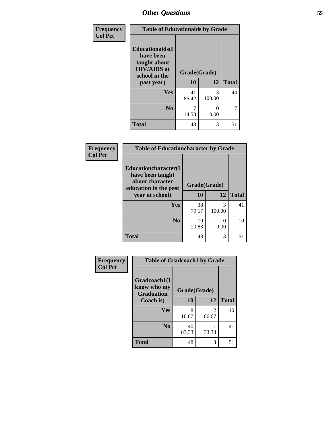| Frequency<br><b>Col Pct</b> | <b>Table of Educationaids by Grade</b>                                                                    |                    |              |    |  |
|-----------------------------|-----------------------------------------------------------------------------------------------------------|--------------------|--------------|----|--|
|                             | <b>Educationaids</b> (I<br>have been<br>taught about<br><b>HIV/AIDS</b> at<br>school in the<br>past year) | Grade(Grade)<br>10 | <b>Total</b> |    |  |
|                             | <b>Yes</b>                                                                                                | 41<br>85.42        | 3<br>100.00  | 44 |  |
|                             | N <sub>0</sub>                                                                                            | 14.58              | 0<br>0.00    | 7  |  |
|                             | <b>Total</b>                                                                                              | 48                 | 3            | 51 |  |

| Frequency      |                                                                                              | <b>Table of Educationcharacter by Grade</b> |             |              |  |
|----------------|----------------------------------------------------------------------------------------------|---------------------------------------------|-------------|--------------|--|
| <b>Col Pct</b> | <b>Educationcharacter(I)</b><br>have been taught<br>about character<br>education in the past | Grade(Grade)                                |             |              |  |
|                | year at school)                                                                              | 10                                          | 12          | <b>Total</b> |  |
|                | <b>Yes</b>                                                                                   | 38<br>79.17                                 | 3<br>100.00 | 41           |  |
|                | N <sub>0</sub>                                                                               | 10<br>20.83                                 | 0<br>0.00   | 10           |  |
|                | <b>Total</b>                                                                                 | 48                                          | 3           | 51           |  |

| Frequency      | <b>Table of Gradcoach1 by Grade</b>              |              |            |              |  |  |
|----------------|--------------------------------------------------|--------------|------------|--------------|--|--|
| <b>Col Pct</b> | Gradcoach1(I<br>know who my<br><b>Graduation</b> | Grade(Grade) |            |              |  |  |
|                | Coach is)                                        | 10           | 12         | <b>Total</b> |  |  |
|                | <b>Yes</b>                                       | 8<br>16.67   | 2<br>66.67 | 10           |  |  |
|                | N <sub>0</sub>                                   | 40<br>83.33  | 33.33      | 41           |  |  |
|                | <b>Total</b>                                     | 48           | 3          | 51           |  |  |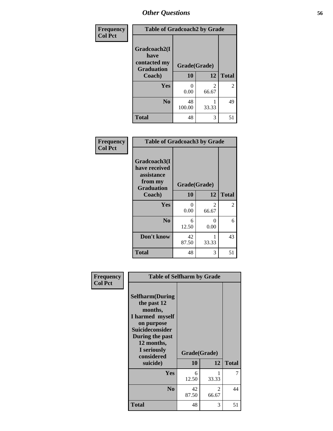| Frequency      | <b>Table of Gradcoach2 by Grade</b>       |              |            |              |
|----------------|-------------------------------------------|--------------|------------|--------------|
| <b>Col Pct</b> |                                           |              |            |              |
|                | Gradcoach2(I                              |              |            |              |
|                | have<br>contacted my<br><b>Graduation</b> | Grade(Grade) |            |              |
|                | Coach)                                    | 10           | 12         | <b>Total</b> |
|                | Yes                                       | 0<br>0.00    | 2<br>66.67 | 2            |
|                | N <sub>0</sub>                            | 48<br>100.00 | 33.33      | 49           |
|                | <b>Total</b>                              | 48           | 3          | 51           |

| <b>Frequency</b><br><b>Col Pct</b> | <b>Table of Gradcoach3 by Grade</b>                                         |              |                         |                |
|------------------------------------|-----------------------------------------------------------------------------|--------------|-------------------------|----------------|
|                                    | Gradcoach3(I<br>have received<br>assistance<br>from my<br><b>Graduation</b> | Grade(Grade) |                         |                |
|                                    | Coach)                                                                      | 10           | 12                      | <b>Total</b>   |
|                                    | Yes                                                                         | 0<br>0.00    | $\overline{2}$<br>66.67 | $\overline{c}$ |
|                                    | N <sub>0</sub>                                                              | 6<br>12.50   | 0<br>0.00               | 6              |
|                                    | Don't know                                                                  | 42<br>87.50  | 1<br>33.33              | 43             |
|                                    | <b>Total</b>                                                                | 48           | 3                       | 51             |

| Frequency      | <b>Table of Selfharm by Grade</b>                                                                                                                                               |             |                    |              |
|----------------|---------------------------------------------------------------------------------------------------------------------------------------------------------------------------------|-------------|--------------------|--------------|
| <b>Col Pct</b> | <b>Selfharm</b> (During<br>the past 12<br>months,<br>I harmed myself<br>on purpose<br>Suicideconsider<br>During the past<br>12 months,<br>I seriously<br>considered<br>suicide) | 10          | Grade(Grade)<br>12 | <b>Total</b> |
|                | Yes                                                                                                                                                                             | 6<br>12.50  | 33.33              | 7            |
|                | N <sub>0</sub>                                                                                                                                                                  | 42<br>87.50 | 2<br>66.67         | 44           |
|                | <b>Total</b>                                                                                                                                                                    | 48          | 3                  | 51           |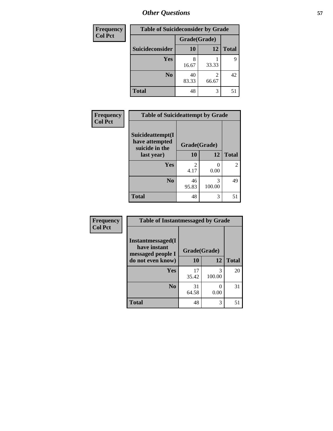| <b>Frequency</b> | <b>Table of Suicideconsider by Grade</b> |              |            |              |  |  |
|------------------|------------------------------------------|--------------|------------|--------------|--|--|
| <b>Col Pct</b>   |                                          | Grade(Grade) |            |              |  |  |
|                  | Suicideconsider                          | <b>10</b>    | 12         | <b>Total</b> |  |  |
|                  | Yes                                      | 8<br>16.67   | 33.33      | 9            |  |  |
|                  | N <sub>0</sub>                           | 40<br>83.33  | 2<br>66.67 | 42           |  |  |
|                  | <b>Total</b>                             | 48           | 3          | 51           |  |  |

| Frequency      | <b>Table of Suicideattempt by Grade</b>              |              |             |               |
|----------------|------------------------------------------------------|--------------|-------------|---------------|
| <b>Col Pct</b> | Suicideattempt(I<br>have attempted<br>suicide in the | Grade(Grade) |             |               |
|                | last year)                                           | 10           | 12          | <b>Total</b>  |
|                | Yes                                                  | 2<br>4.17    | 0<br>0.00   | $\mathcal{L}$ |
|                | N <sub>0</sub>                                       | 46<br>95.83  | 3<br>100.00 | 49            |
|                | <b>Total</b>                                         | 48           | 3           | 51            |

| Frequency      | <b>Table of Instantmessaged by Grade</b>               |              |             |              |
|----------------|--------------------------------------------------------|--------------|-------------|--------------|
| <b>Col Pct</b> | Instantmessaged(I<br>have instant<br>messaged people I | Grade(Grade) |             |              |
|                | do not even know)                                      | 10           | 12          | <b>Total</b> |
|                | Yes                                                    | 17<br>35.42  | 3<br>100.00 | 20           |
|                | N <sub>0</sub>                                         | 31<br>64.58  | 0<br>0.00   | 31           |
|                | <b>Total</b>                                           | 48           | 3           | 51           |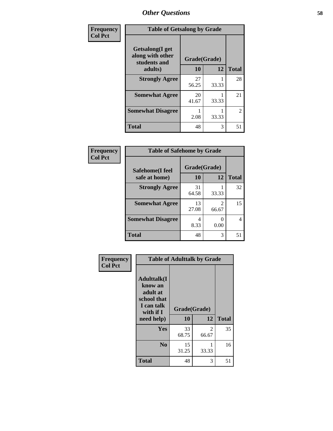| Frequency      | <b>Table of Getsalong by Grade</b>                          |              |       |                |
|----------------|-------------------------------------------------------------|--------------|-------|----------------|
| <b>Col Pct</b> | <b>Getsalong</b> (I get<br>along with other<br>students and | Grade(Grade) |       |                |
|                | adults)                                                     | 10           | 12    | <b>Total</b>   |
|                | <b>Strongly Agree</b>                                       | 27<br>56.25  | 33.33 | 28             |
|                | <b>Somewhat Agree</b>                                       | 20<br>41.67  | 33.33 | 21             |
|                | <b>Somewhat Disagree</b>                                    | 2.08         | 33.33 | $\overline{2}$ |
|                | <b>Total</b>                                                | 48           | 3     | 51             |

| <b>Frequency</b> |
|------------------|
| <b>Col Pct</b>   |

**Frequency Col Pct**

| <b>Table of Safehome by Grade</b> |              |                         |              |  |  |  |
|-----------------------------------|--------------|-------------------------|--------------|--|--|--|
| Safehome(I feel                   | Grade(Grade) |                         |              |  |  |  |
| safe at home)                     | 10           | 12                      | <b>Total</b> |  |  |  |
| <b>Strongly Agree</b>             | 31<br>64.58  | 33.33                   | 32           |  |  |  |
| <b>Somewhat Agree</b>             | 13<br>27.08  | $\mathfrak{D}$<br>66.67 | 15           |  |  |  |
| <b>Somewhat Disagree</b>          | 8.33         | 0.00                    | 4            |  |  |  |
| <b>Total</b>                      | 48           | 3                       | 51           |  |  |  |

|                                                                                                    | <b>Table of Adulttalk by Grade</b> |            |              |
|----------------------------------------------------------------------------------------------------|------------------------------------|------------|--------------|
| <b>Adulttalk</b> (I<br>know an<br>adult at<br>school that<br>I can talk<br>with if I<br>need help) | Grade(Grade)<br>10                 | 12         | <b>Total</b> |
| Yes                                                                                                | 33<br>68.75                        | 2<br>66.67 | 35           |
|                                                                                                    |                                    |            |              |
| N <sub>0</sub>                                                                                     | 15<br>31.25                        | 33.33      | 16           |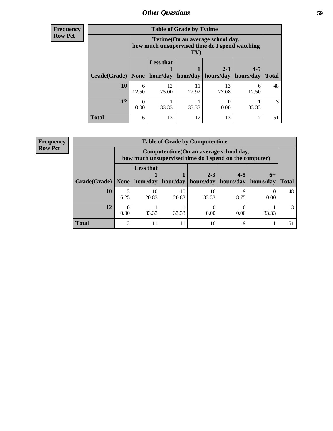**Frequency Row Pct**

| <b>Table of Grade by Tytime</b> |                                                                                          |                              |             |                      |                      |              |  |  |
|---------------------------------|------------------------------------------------------------------------------------------|------------------------------|-------------|----------------------|----------------------|--------------|--|--|
|                                 | Tytime(On an average school day,<br>how much unsupervised time do I spend watching<br>TV |                              |             |                      |                      |              |  |  |
| Grade(Grade)                    | <b>None</b>                                                                              | <b>Less that</b><br>hour/day | hour/day    | $2 - 3$<br>hours/day | $4 - 5$<br>hours/day | <b>Total</b> |  |  |
| 10                              | 6<br>12.50                                                                               | 12<br>25.00                  | 11<br>22.92 | 13<br>27.08          | 6<br>12.50           | 48           |  |  |
| 12                              | 0.00                                                                                     | 33.33                        | 33.33       | 0.00                 | 33.33                | 3            |  |  |
| <b>Total</b>                    | 6                                                                                        | 13                           | 12          | 13                   | 7                    | 51           |  |  |

**Frequency Row Pct**

| <b>Table of Grade by Computertime</b> |                                                                                                                                       |                                                                                                   |             |             |       |       |              |  |
|---------------------------------------|---------------------------------------------------------------------------------------------------------------------------------------|---------------------------------------------------------------------------------------------------|-------------|-------------|-------|-------|--------------|--|
|                                       |                                                                                                                                       | Computertime (On an average school day,<br>how much unsupervised time do I spend on the computer) |             |             |       |       |              |  |
|                                       | <b>Less that</b><br>$2 - 3$<br>$4 - 5$<br>$6+$<br>hour/day   hour/day   hours/day   hours/day<br>Grade(Grade)   None  <br>  hours/day |                                                                                                   |             |             |       |       | <b>Total</b> |  |
| <b>10</b>                             | 6.25                                                                                                                                  | 10<br>20.83                                                                                       | 10<br>20.83 | 16<br>33.33 | 18.75 | 0.00  | 48           |  |
| 12                                    | 0.00                                                                                                                                  | 33.33                                                                                             | 33.33       | 0.00        | 0.00  | 33.33 |              |  |
| <b>Total</b>                          | 3                                                                                                                                     | 11                                                                                                | 11          | 16          | Q     |       | 51           |  |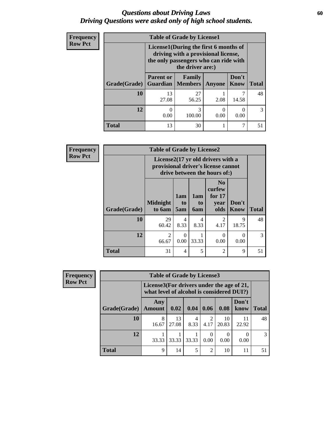### *Questions about Driving Laws* **60** *Driving Questions were asked only of high school students.*

| <b>Frequency</b> |              | <b>Table of Grade by License1</b>                                                                                                         |             |               |                      |              |  |  |  |  |
|------------------|--------------|-------------------------------------------------------------------------------------------------------------------------------------------|-------------|---------------|----------------------|--------------|--|--|--|--|
| <b>Row Pct</b>   |              | License1(During the first 6 months of<br>driving with a provisional license,<br>the only passengers who can ride with<br>the driver are:) |             |               |                      |              |  |  |  |  |
|                  | Grade(Grade) | <b>Parent or</b><br><b>Guardian   Members</b>                                                                                             | Family      | <b>Anyone</b> | Don't<br><b>Know</b> | <b>Total</b> |  |  |  |  |
|                  | 10           | 13<br>27.08                                                                                                                               | 27<br>56.25 | 2.08          | 14.58                | 48           |  |  |  |  |
|                  | 12           | 0<br>0.00                                                                                                                                 | 3<br>100.00 | 0<br>0.00     | 0.00                 | 3            |  |  |  |  |
|                  | <b>Total</b> | 13                                                                                                                                        | 30          |               | 7                    | 51           |  |  |  |  |

| Frequency      |                                                                                                          | <b>Table of Grade by License2</b> |                              |                         |                                                      |                      |              |  |  |
|----------------|----------------------------------------------------------------------------------------------------------|-----------------------------------|------------------------------|-------------------------|------------------------------------------------------|----------------------|--------------|--|--|
| <b>Row Pct</b> | License2(17 yr old drivers with a<br>provisional driver's license cannot<br>drive between the hours of:) |                                   |                              |                         |                                                      |                      |              |  |  |
|                | Grade(Grade)                                                                                             | <b>Midnight</b><br>to 6am         | 1am<br>t <sub>0</sub><br>5am | 1am<br>to<br><b>6am</b> | N <sub>0</sub><br>curfew<br>for $17$<br>year<br>olds | Don't<br><b>Know</b> | <b>Total</b> |  |  |
|                | 10                                                                                                       | 29<br>60.42                       | 4<br>8.33                    | 4<br>8.33               | $\overline{c}$<br>4.17                               | 9<br>18.75           | 48           |  |  |
|                | 12                                                                                                       | $\mathfrak{D}$<br>66.67           | 0<br>0.00                    | 33.33                   | $\Omega$<br>0.00                                     | 0<br>0.00            | 3            |  |  |
|                | <b>Total</b>                                                                                             | 31                                | 4                            | 5                       | $\mathfrak{D}$                                       | 9                    | 51           |  |  |

| <b>Frequency</b> | <b>Table of Grade by License3</b> |                                                                                        |             |           |                        |             |               |               |
|------------------|-----------------------------------|----------------------------------------------------------------------------------------|-------------|-----------|------------------------|-------------|---------------|---------------|
| <b>Row Pct</b>   |                                   | License3(For drivers under the age of 21,<br>what level of alcohol is considered DUI?) |             |           |                        |             |               |               |
|                  | Grade(Grade)                      | Any<br><b>Amount</b>                                                                   | 0.02        | 0.04      | 0.06                   | 0.08        | Don't<br>know | <b>Total</b>  |
|                  | <b>10</b>                         | 8<br>16.67                                                                             | 13<br>27.08 | 4<br>8.33 | $\overline{2}$<br>4.17 | 10<br>20.83 | 11<br>22.92   | 48            |
|                  | 12                                | 33.33                                                                                  | 33.33       | 33.33     | 0<br>0.00              | 0.00        | 0.00          | $\mathcal{R}$ |
|                  | <b>Total</b>                      | 9                                                                                      | 14          | 5         | $\overline{2}$         | 10          | 11            | 51            |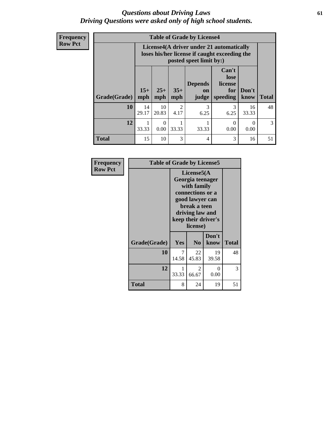### *Questions about Driving Laws* **61** *Driving Questions were asked only of high school students.*

| <b>Frequency</b> |
|------------------|
| <b>Row Pct</b>   |

| <b>Table of Grade by License4</b> |              |                                                                                                                      |                        |                               |                                             |               |              |
|-----------------------------------|--------------|----------------------------------------------------------------------------------------------------------------------|------------------------|-------------------------------|---------------------------------------------|---------------|--------------|
|                                   |              | License4(A driver under 21 automatically<br>loses his/her license if caught exceeding the<br>posted speet limit by:) |                        |                               |                                             |               |              |
| Grade(Grade)                      | $15+$<br>mph | $25+$<br>mph                                                                                                         | $35+$<br>mph           | <b>Depends</b><br>on<br>judge | Can't<br>lose<br>license<br>for<br>speeding | Don't<br>know | <b>Total</b> |
| 10                                | 14<br>29.17  | 10<br>20.83                                                                                                          | $\overline{2}$<br>4.17 | $\mathcal{R}$<br>6.25         | 3<br>6.25                                   | 16<br>33.33   | 48           |
| 12                                | 33.33        | 0.00                                                                                                                 | 33.33                  | 33.33                         | 0<br>0.00                                   | 0<br>0.00     | 3            |
| <b>Total</b>                      | 15           | 10                                                                                                                   | 3                      | 4                             | 3                                           | 16            | 51           |

| Frequency      | <b>Table of Grade by License5</b> |                                                                                                                                                             |                |               |              |  |
|----------------|-----------------------------------|-------------------------------------------------------------------------------------------------------------------------------------------------------------|----------------|---------------|--------------|--|
| <b>Row Pct</b> |                                   | License5(A)<br>Georgia teenager<br>with family<br>connections or a<br>good lawyer can<br>break a teen<br>driving law and<br>keep their driver's<br>license) |                |               |              |  |
|                | Grade(Grade)                      | Yes                                                                                                                                                         | N <sub>0</sub> | Don't<br>know | <b>Total</b> |  |
|                | 10                                | 7<br>14.58                                                                                                                                                  | 22<br>45.83    | 19<br>39.58   | 48           |  |
|                | 12                                | 1<br>33.33                                                                                                                                                  | 2<br>66.67     | 0<br>0.00     | 3            |  |
|                | <b>Total</b>                      | 8                                                                                                                                                           | 24             | 19            | 51           |  |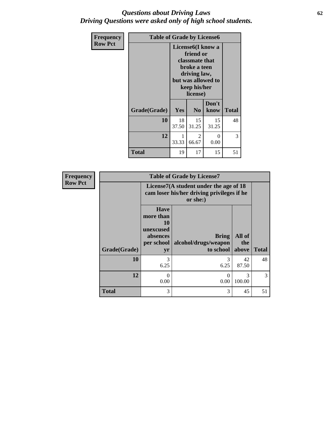## *Questions about Driving Laws* **62** *Driving Questions were asked only of high school students.*

| Frequency<br><b>Row Pct</b> | <b>Table of Grade by License6</b> |                                                                                                                                    |                         |               |              |
|-----------------------------|-----------------------------------|------------------------------------------------------------------------------------------------------------------------------------|-------------------------|---------------|--------------|
|                             |                                   | License6(I know a<br>friend or<br>classmate that<br>broke a teen<br>driving law,<br>but was allowed to<br>keep his/her<br>license) |                         |               |              |
|                             | Grade(Grade)                      | Yes                                                                                                                                | N <sub>0</sub>          | Don't<br>know | <b>Total</b> |
|                             | 10                                | 18<br>37.50                                                                                                                        | 15<br>31.25             | 15<br>31.25   | 48           |
|                             | 12                                | 1<br>33.33                                                                                                                         | $\mathfrak{D}$<br>66.67 | 0<br>0.00     | 3            |
|                             | <b>Total</b>                      | 19                                                                                                                                 | 17                      | 15            | 51           |

| <b>Frequency</b> |              |                                                                             | <b>Table of Grade by License7</b>                                                                |                        |              |  |  |  |
|------------------|--------------|-----------------------------------------------------------------------------|--------------------------------------------------------------------------------------------------|------------------------|--------------|--|--|--|
| <b>Row Pct</b>   |              |                                                                             | License7(A student under the age of 18<br>cam loser his/her driving privileges if he<br>or she:) |                        |              |  |  |  |
|                  | Grade(Grade) | <b>Have</b><br>more than<br>10<br>unexcused<br>absences<br>per school<br>yr | <b>Bring</b><br>alcohol/drugs/weapon<br>to school                                                | All of<br>the<br>above | <b>Total</b> |  |  |  |
|                  | 10           | 3<br>6.25                                                                   | 3<br>6.25                                                                                        | 42<br>87.50            | 48           |  |  |  |
|                  | 12           | 0.00                                                                        | $\mathcal{O}$<br>0.00                                                                            | 3<br>100.00            | 3            |  |  |  |
|                  | <b>Total</b> | 3                                                                           | 3                                                                                                | 45                     | 51           |  |  |  |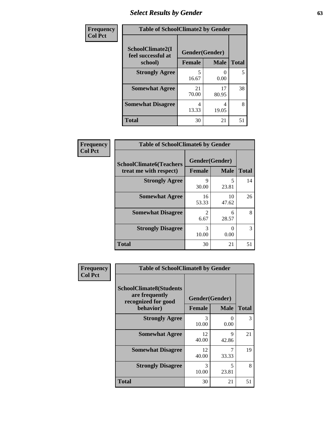# *Select Results by Gender* **63**

| Frequency<br><b>Col Pct</b> | <b>Table of SchoolClimate2 by Gender</b> |                |             |              |  |
|-----------------------------|------------------------------------------|----------------|-------------|--------------|--|
|                             | SchoolClimate2(I<br>feel successful at   | Gender(Gender) |             |              |  |
|                             | school)                                  | <b>Female</b>  | <b>Male</b> | <b>Total</b> |  |
|                             | <b>Strongly Agree</b>                    | 16.67          | 0.00        | 5            |  |
|                             | <b>Somewhat Agree</b>                    | 21<br>70.00    | 17<br>80.95 | 38           |  |
|                             | <b>Somewhat Disagree</b>                 | 4<br>13.33     | 4<br>19.05  | 8            |  |
|                             | <b>Total</b>                             | 30             | 21          | 51           |  |

| <b>Frequency</b> | <b>Table of SchoolClimate6 by Gender</b>                 |                                 |                           |              |
|------------------|----------------------------------------------------------|---------------------------------|---------------------------|--------------|
| <b>Col Pct</b>   | <b>SchoolClimate6(Teachers</b><br>treat me with respect) | Gender(Gender)<br><b>Female</b> | <b>Male</b>               | <b>Total</b> |
|                  | <b>Strongly Agree</b>                                    | 9<br>30.00                      | 5<br>23.81                | 14           |
|                  | <b>Somewhat Agree</b>                                    | 16<br>53.33                     | 10<br>47.62               | 26           |
|                  | <b>Somewhat Disagree</b>                                 | $\overline{2}$<br>6.67          | 6<br>28.57                | 8            |
|                  | <b>Strongly Disagree</b>                                 | 3<br>10.00                      | $\mathbf{\Omega}$<br>0.00 | 3            |
|                  | <b>Total</b>                                             | 30                              | 21                        | 51           |

| Frequency      | <b>Table of SchoolClimate8 by Gender</b>                                |                |             |              |  |
|----------------|-------------------------------------------------------------------------|----------------|-------------|--------------|--|
| <b>Col Pct</b> | <b>SchoolClimate8(Students</b><br>are frequently<br>recognized for good | Gender(Gender) |             |              |  |
|                | behavior)                                                               | <b>Female</b>  | <b>Male</b> | <b>Total</b> |  |
|                | <b>Strongly Agree</b>                                                   | 3<br>10.00     | 0<br>0.00   | 3            |  |
|                | <b>Somewhat Agree</b>                                                   | 12<br>40.00    | 9<br>42.86  | 21           |  |
|                | <b>Somewhat Disagree</b>                                                | 12<br>40.00    | 7<br>33.33  | 19           |  |
|                | <b>Strongly Disagree</b>                                                | 3<br>10.00     | 5<br>23.81  | 8            |  |
|                | Total                                                                   | 30             | 21          | 51           |  |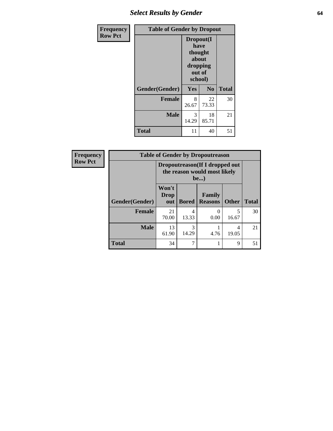# *Select Results by Gender* **64**

| <b>Frequency</b> | <b>Table of Gender by Dropout</b> |                                                                        |                |              |
|------------------|-----------------------------------|------------------------------------------------------------------------|----------------|--------------|
| <b>Row Pct</b>   |                                   | Dropout(I<br>have<br>thought<br>about<br>dropping<br>out of<br>school) |                |              |
|                  | Gender(Gender)                    | Yes                                                                    | N <sub>0</sub> | <b>Total</b> |
|                  | <b>Female</b>                     | 8<br>26.67                                                             | 22<br>73.33    | 30           |
|                  | <b>Male</b>                       | 3<br>14.29                                                             | 18<br>85.71    | 21           |
|                  | <b>Total</b>                      | 11                                                                     | 40             | 51           |

| Frequency      |                | <b>Table of Gender by Dropoutreason</b>                                |              |                          |              |              |  |
|----------------|----------------|------------------------------------------------------------------------|--------------|--------------------------|--------------|--------------|--|
| <b>Row Pct</b> |                | Dropoutreason (If I dropped out<br>the reason would most likely<br>be) |              |                          |              |              |  |
|                | Gender(Gender) | Won't<br>Drop<br>out                                                   | <b>Bored</b> | Family<br><b>Reasons</b> | <b>Other</b> | <b>Total</b> |  |
|                | <b>Female</b>  | 21<br>70.00                                                            | 4<br>13.33   | $\Omega$<br>0.00         | 5<br>16.67   | 30           |  |
|                | <b>Male</b>    | 13<br>61.90                                                            | 3<br>14.29   | 4.76                     | 4<br>19.05   | 21           |  |
|                | <b>Total</b>   | 34                                                                     |              |                          | 9            | 51           |  |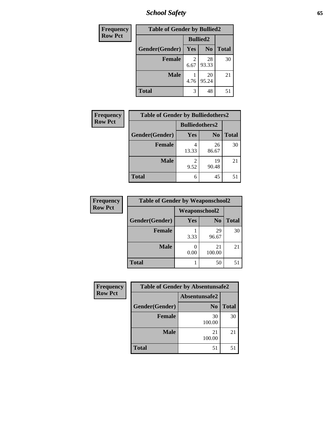*School Safety* **65**

| Frequency      | <b>Table of Gender by Bullied2</b> |                 |                |              |
|----------------|------------------------------------|-----------------|----------------|--------------|
| <b>Row Pct</b> |                                    | <b>Bullied2</b> |                |              |
|                | Gender(Gender)                     | Yes             | N <sub>0</sub> | <b>Total</b> |
|                | <b>Female</b>                      | 2<br>6.67       | 28<br>93.33    | 30           |
|                | <b>Male</b>                        | 4.76            | 20<br>95.24    | 21           |
|                | <b>Total</b>                       | 3               | 48             |              |

| Frequency      | <b>Table of Gender by Bulliedothers2</b> |                       |                |              |
|----------------|------------------------------------------|-----------------------|----------------|--------------|
| <b>Row Pct</b> |                                          | <b>Bulliedothers2</b> |                |              |
|                | Gender(Gender)                           | Yes                   | N <sub>0</sub> | <b>Total</b> |
|                | <b>Female</b>                            | 13.33                 | 26<br>86.67    | 30           |
|                | <b>Male</b>                              | 9.52                  | 19<br>90.48    | 21           |
|                | Total                                    | 6                     | 45             |              |

| Frequency      | <b>Table of Gender by Weaponschool2</b> |               |                |              |
|----------------|-----------------------------------------|---------------|----------------|--------------|
| <b>Row Pct</b> |                                         | Weaponschool2 |                |              |
|                | Gender(Gender)                          | <b>Yes</b>    | N <sub>0</sub> | <b>Total</b> |
|                | <b>Female</b>                           | 3.33          | 29<br>96.67    | 30           |
|                | <b>Male</b>                             | 0.00          | 21<br>100.00   | 21           |
|                | <b>Total</b>                            |               | 50             |              |

| Frequency      | <b>Table of Gender by Absentunsafe2</b> |                |              |  |
|----------------|-----------------------------------------|----------------|--------------|--|
| <b>Row Pct</b> |                                         | Absentunsafe2  |              |  |
|                | Gender(Gender)                          | N <sub>0</sub> | <b>Total</b> |  |
|                | <b>Female</b>                           | 30<br>100.00   | 30           |  |
|                | <b>Male</b>                             | 21<br>100.00   | 21           |  |
|                | <b>Total</b>                            | 51             |              |  |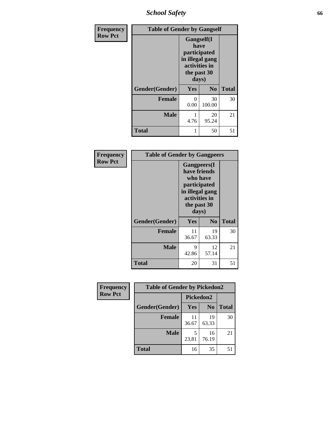*School Safety* **66**

| Frequency      | <b>Table of Gender by Gangself</b> |                                                                                                |                |              |
|----------------|------------------------------------|------------------------------------------------------------------------------------------------|----------------|--------------|
| <b>Row Pct</b> |                                    | Gangself(I<br>have<br>participated<br>in illegal gang<br>activities in<br>the past 30<br>days) |                |              |
|                | Gender(Gender)                     | Yes                                                                                            | N <sub>0</sub> | <b>Total</b> |
|                | <b>Female</b>                      | 0<br>0.00                                                                                      | 30<br>100.00   | 30           |
|                | <b>Male</b>                        | 1<br>4.76                                                                                      | 20<br>95.24    | 21           |
|                | <b>Total</b>                       | 1                                                                                              | 50             | 51           |

| Frequency      | <b>Table of Gender by Gangpeers</b> |                                                                                                                             |                |              |
|----------------|-------------------------------------|-----------------------------------------------------------------------------------------------------------------------------|----------------|--------------|
| <b>Row Pct</b> |                                     | <b>Gangpeers</b> (I<br>have friends<br>who have<br>participated<br>in illegal gang<br>activities in<br>the past 30<br>days) |                |              |
|                | Gender(Gender)                      | <b>Yes</b>                                                                                                                  | N <sub>0</sub> | <b>Total</b> |
|                | <b>Female</b>                       | 11<br>36.67                                                                                                                 | 19<br>63.33    | 30           |
|                | <b>Male</b>                         | 9<br>42.86                                                                                                                  | 12<br>57.14    | 21           |
|                | <b>Total</b>                        | 20                                                                                                                          | 31             | 51           |

| Frequency      | <b>Table of Gender by Pickedon2</b> |             |                |              |
|----------------|-------------------------------------|-------------|----------------|--------------|
| <b>Row Pct</b> |                                     | Pickedon2   |                |              |
|                | Gender(Gender)                      | <b>Yes</b>  | N <sub>0</sub> | <b>Total</b> |
|                | <b>Female</b>                       | 11<br>36.67 | 19<br>63.33    | 30           |
|                | <b>Male</b>                         | 23.81       | 16<br>76.19    | 21           |
|                | <b>Total</b>                        | 16          | 35             | 51           |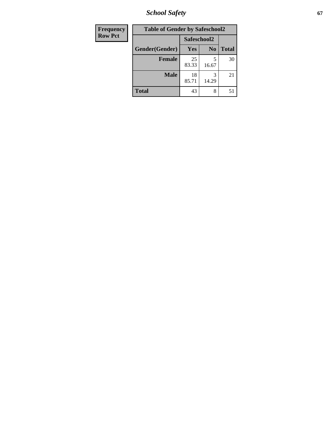*School Safety* **67**

| Frequency      | <b>Table of Gender by Safeschool2</b> |             |                |              |
|----------------|---------------------------------------|-------------|----------------|--------------|
| <b>Row Pct</b> |                                       | Safeschool2 |                |              |
|                | Gender(Gender)                        | <b>Yes</b>  | N <sub>0</sub> | <b>Total</b> |
|                | <b>Female</b>                         | 25<br>83.33 | 5<br>16.67     | 30           |
|                | <b>Male</b>                           | 18<br>85.71 | 3<br>14.29     | 21           |
|                | Total                                 | 43          | 8              | 51           |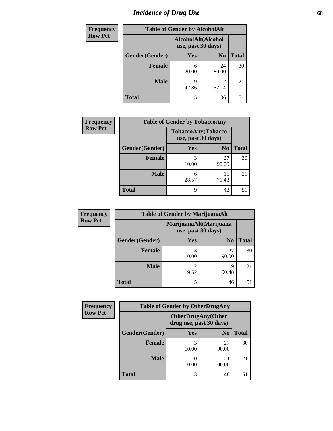# *Incidence of Drug Use* 68

| <b>Frequency</b> | <b>Table of Gender by AlcoholAlt</b> |                                          |                |              |
|------------------|--------------------------------------|------------------------------------------|----------------|--------------|
| <b>Row Pct</b>   |                                      | AlcoholAlt(Alcohol<br>use, past 30 days) |                |              |
|                  | Gender(Gender)                       | <b>Yes</b>                               | N <sub>0</sub> | <b>Total</b> |
|                  | <b>Female</b>                        | 6<br>20.00                               | 24<br>80.00    | 30           |
|                  | <b>Male</b>                          | Q<br>42.86                               | 12<br>57.14    | 21           |
|                  | <b>Total</b>                         | 15                                       | 36             | 51           |

| <b>Frequency</b> | <b>Table of Gender by TobaccoAny</b> |                                          |                |              |
|------------------|--------------------------------------|------------------------------------------|----------------|--------------|
| <b>Row Pct</b>   |                                      | TobaccoAny(Tobacco<br>use, past 30 days) |                |              |
|                  | Gender(Gender)                       | Yes                                      | N <sub>0</sub> | <b>Total</b> |
|                  | <b>Female</b>                        | 3<br>10.00                               | 27<br>90.00    | 30           |
|                  | <b>Male</b>                          | 6<br>28.57                               | 15<br>71.43    | 21           |
|                  | <b>Total</b>                         | 9                                        | 42             | 51           |

| <b>Frequency</b> | <b>Table of Gender by MarijuanaAlt</b> |            |                                              |       |
|------------------|----------------------------------------|------------|----------------------------------------------|-------|
| <b>Row Pct</b>   |                                        |            | MarijuanaAlt(Marijuana<br>use, past 30 days) |       |
|                  | Gender(Gender)                         | <b>Yes</b> | N <sub>0</sub>                               | Total |
|                  | Female                                 | 3<br>10.00 | 27<br>90.00                                  | 30    |
|                  | <b>Male</b>                            | 2<br>9.52  | 19<br>90.48                                  | 21    |
|                  | <b>Total</b>                           | 5          | 46                                           |       |

| <b>Frequency</b> | <b>Table of Gender by OtherDrugAny</b> |            |                                                      |              |
|------------------|----------------------------------------|------------|------------------------------------------------------|--------------|
| <b>Row Pct</b>   |                                        |            | <b>OtherDrugAny(Other</b><br>drug use, past 30 days) |              |
|                  | Gender(Gender)                         | Yes        | N <sub>0</sub>                                       | <b>Total</b> |
|                  | <b>Female</b>                          | 3<br>10.00 | 27<br>90.00                                          | 30           |
|                  | <b>Male</b>                            | 0.00       | 21<br>100.00                                         | 21           |
|                  | <b>Total</b>                           | 3          | 48                                                   | 51           |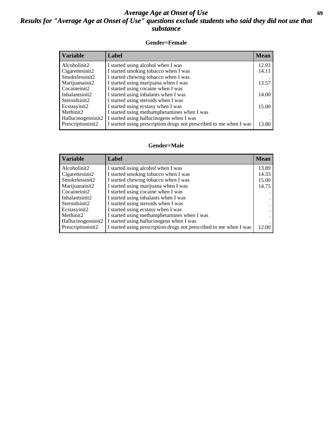## *Average Age at Onset of Use* **69** *Results for "Average Age at Onset of Use" questions exclude students who said they did not use that substance*

### **Gender=Female**

| <b>Variable</b>    | <b>Label</b>                                                       | <b>Mean</b> |
|--------------------|--------------------------------------------------------------------|-------------|
| Alcoholinit2       | I started using alcohol when I was                                 | 12.93       |
| Cigarettesinit2    | I started smoking tobacco when I was                               | 14.11       |
| Smokelessinit2     | I started chewing tobacco when I was                               |             |
| Marijuanainit2     | I started using marijuana when I was                               | 13.57       |
| Cocaineinit2       | I started using cocaine when I was                                 |             |
| Inhalantsinit2     | I started using inhalants when I was                               | 14.00       |
| Steroidsinit2      | I started using steroids when I was                                |             |
| Ecstasyinit2       | I started using ecstasy when I was                                 | 15.00       |
| Methinit2          | I started using methamphetamines when I was                        |             |
| Hallucinogensinit2 | I started using hallucinogens when I was                           |             |
| Prescription in t2 | I started using prescription drugs not prescribed to me when I was | 13.80       |

#### **Gender=Male**

| <b>Variable</b>    | Label                                                              | <b>Mean</b> |
|--------------------|--------------------------------------------------------------------|-------------|
| Alcoholinit2       | I started using alcohol when I was                                 | 13.89       |
| Cigarettesinit2    | I started smoking tobacco when I was                               | 14.33       |
| Smokelessinit2     | I started chewing tobacco when I was                               | 15.00       |
| Marijuanainit2     | I started using marijuana when I was                               | 14.75       |
| Cocaineinit2       | I started using cocaine when I was                                 |             |
| Inhalantsinit2     | I started using inhalants when I was                               |             |
| Steroidsinit2      | I started using steroids when I was                                |             |
| Ecstasyinit2       | I started using ecstasy when I was                                 |             |
| Methinit2          | I started using methamphetamines when I was                        |             |
| Hallucinogensinit2 | I started using hallucinogens when I was                           |             |
| Prescriptioninit2  | I started using prescription drugs not prescribed to me when I was | 12.00       |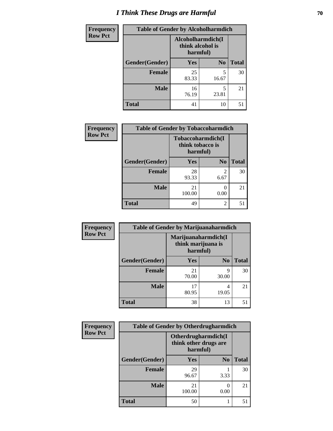# *I Think These Drugs are Harmful* **70**

| Frequency      | <b>Table of Gender by Alcoholharmdich</b> |                                                   |                |              |  |
|----------------|-------------------------------------------|---------------------------------------------------|----------------|--------------|--|
| <b>Row Pct</b> |                                           | Alcoholharmdich(I<br>think alcohol is<br>harmful) |                |              |  |
|                | Gender(Gender)                            | <b>Yes</b>                                        | N <sub>0</sub> | <b>Total</b> |  |
|                | <b>Female</b>                             | 25<br>83.33                                       | 5<br>16.67     | 30           |  |
|                | <b>Male</b>                               | 16<br>76.19                                       | 5<br>23.81     | 21           |  |
|                | <b>Total</b>                              | 41                                                | 10             | 51           |  |

| Frequency      | <b>Table of Gender by Tobaccoharmdich</b> |                                       |                |              |  |
|----------------|-------------------------------------------|---------------------------------------|----------------|--------------|--|
| <b>Row Pct</b> |                                           | Tobaccoharmdich(I<br>think tobacco is | harmful)       |              |  |
|                | Gender(Gender)                            | Yes                                   | N <sub>0</sub> | <b>Total</b> |  |
|                | <b>Female</b>                             | 28<br>93.33                           | 2<br>6.67      | 30           |  |
|                | <b>Male</b>                               | 21<br>100.00                          | 0<br>0.00      | 21           |  |
|                | <b>Total</b>                              | 49                                    | $\overline{c}$ | 51           |  |

| Frequency      | <b>Table of Gender by Marijuanaharmdich</b> |             |                                           |              |  |
|----------------|---------------------------------------------|-------------|-------------------------------------------|--------------|--|
| <b>Row Pct</b> |                                             | harmful)    | Marijuanaharmdich(I<br>think marijuana is |              |  |
|                | Gender(Gender)                              | <b>Yes</b>  | N <sub>0</sub>                            | <b>Total</b> |  |
|                | <b>Female</b>                               | 21<br>70.00 | Q<br>30.00                                | 30           |  |
|                | <b>Male</b>                                 | 17<br>80.95 | 4<br>19.05                                | 21           |  |
|                | <b>Total</b>                                | 38          | 13                                        | 51           |  |

| Frequency      | <b>Table of Gender by Otherdrugharmdich</b> |                                                          |                |              |
|----------------|---------------------------------------------|----------------------------------------------------------|----------------|--------------|
| <b>Row Pct</b> |                                             | Otherdrugharmdich(I<br>think other drugs are<br>harmful) |                |              |
|                | Gender(Gender)                              | <b>Yes</b>                                               | N <sub>0</sub> | <b>Total</b> |
|                | <b>Female</b>                               | 29<br>96.67                                              | 3.33           | 30           |
|                | <b>Male</b>                                 | 21<br>100.00                                             | 0<br>0.00      | 21           |
|                | <b>Total</b>                                | 50                                                       |                | 51           |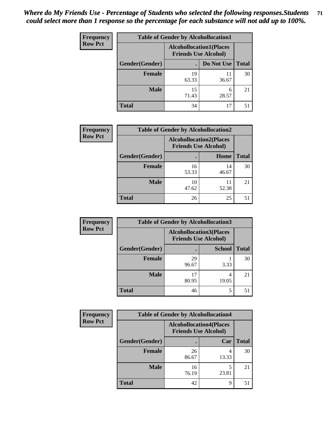| <b>Frequency</b> | <b>Table of Gender by Alcohollocation1</b> |                                                               |             |              |
|------------------|--------------------------------------------|---------------------------------------------------------------|-------------|--------------|
| <b>Row Pct</b>   |                                            | <b>Alcohollocation1(Places</b><br><b>Friends Use Alcohol)</b> |             |              |
|                  | Gender(Gender)                             |                                                               | Do Not Use  | <b>Total</b> |
|                  | <b>Female</b>                              | 19<br>63.33                                                   | 11<br>36.67 | 30           |
|                  | <b>Male</b>                                | 15<br>71.43                                                   | 6<br>28.57  | 21           |
|                  | Total                                      | 34                                                            | 17          | 51           |

| <b>Frequency</b> | <b>Table of Gender by Alcohollocation2</b> |                                |                             |              |
|------------------|--------------------------------------------|--------------------------------|-----------------------------|--------------|
| <b>Row Pct</b>   |                                            | <b>Alcohollocation2(Places</b> | <b>Friends Use Alcohol)</b> |              |
|                  | Gender(Gender)                             |                                | Home                        | <b>Total</b> |
|                  | <b>Female</b>                              | 16<br>53.33                    | 14<br>46.67                 | 30           |
|                  | <b>Male</b>                                | 10<br>47.62                    | 11<br>52.38                 | 21           |
|                  | <b>Total</b>                               | 26                             | 25                          | 51           |

| Frequency      | <b>Table of Gender by Alcohollocation3</b> |                                                               |               |              |
|----------------|--------------------------------------------|---------------------------------------------------------------|---------------|--------------|
| <b>Row Pct</b> |                                            | <b>Alcohollocation3(Places</b><br><b>Friends Use Alcohol)</b> |               |              |
|                | Gender(Gender)                             |                                                               | <b>School</b> | <b>Total</b> |
|                | <b>Female</b>                              | 29<br>96.67                                                   | 3.33          | 30           |
|                | <b>Male</b>                                | 17<br>80.95                                                   | 19.05         | 21           |
|                | <b>Total</b>                               | 46                                                            | 5             | 51           |

| <b>Frequency</b> | <b>Table of Gender by Alcohollocation4</b> |                             |                                |              |  |
|------------------|--------------------------------------------|-----------------------------|--------------------------------|--------------|--|
| <b>Row Pct</b>   |                                            | <b>Friends Use Alcohol)</b> | <b>Alcohollocation4(Places</b> |              |  |
|                  | Gender(Gender)                             |                             | Car                            | <b>Total</b> |  |
|                  | Female                                     | 26<br>86.67                 | 13.33                          | 30           |  |
|                  | <b>Male</b>                                | 16<br>76.19                 | 5<br>23.81                     | 21           |  |
|                  | <b>Total</b>                               | 42                          | 9                              | 51           |  |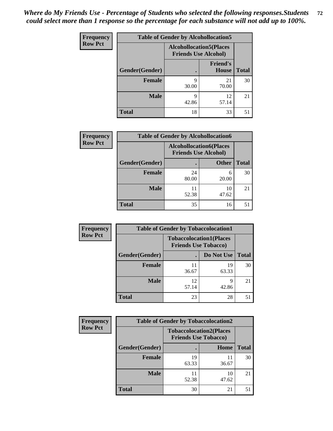| <b>Frequency</b> | <b>Table of Gender by Alcohollocation5</b> |                                                                |                                 |              |
|------------------|--------------------------------------------|----------------------------------------------------------------|---------------------------------|--------------|
| <b>Row Pct</b>   |                                            | <b>Alcohollocation5</b> (Places<br><b>Friends Use Alcohol)</b> |                                 |              |
|                  | Gender(Gender)                             |                                                                | <b>Friend's</b><br><b>House</b> | <b>Total</b> |
|                  | <b>Female</b>                              | 9<br>30.00                                                     | 21<br>70.00                     | 30           |
|                  | <b>Male</b>                                | 9<br>42.86                                                     | 12<br>57.14                     | 21           |
|                  | <b>Total</b>                               | 18                                                             | 33                              | 51           |

| <b>Frequency</b> | <b>Table of Gender by Alcohollocation6</b> |                                                               |              |              |  |
|------------------|--------------------------------------------|---------------------------------------------------------------|--------------|--------------|--|
| <b>Row Pct</b>   |                                            | <b>Alcohollocation6(Places</b><br><b>Friends Use Alcohol)</b> |              |              |  |
|                  | Gender(Gender)                             |                                                               | <b>Other</b> | <b>Total</b> |  |
|                  | <b>Female</b>                              | 24<br>80.00                                                   | 6<br>20.00   | 30           |  |
|                  | <b>Male</b>                                | 52.38                                                         | 10<br>47.62  | 21           |  |
|                  | <b>Total</b>                               | 35                                                            | 16           | 51           |  |

| Frequency      | <b>Table of Gender by Tobaccolocation1</b> |                                                               |             |              |  |
|----------------|--------------------------------------------|---------------------------------------------------------------|-------------|--------------|--|
| <b>Row Pct</b> |                                            | <b>Tobaccolocation1(Places</b><br><b>Friends Use Tobacco)</b> |             |              |  |
|                | Gender(Gender)                             |                                                               | Do Not Use  | <b>Total</b> |  |
|                | Female                                     | 11<br>36.67                                                   | 19<br>63.33 | 30           |  |
|                | <b>Male</b>                                | 12<br>57.14                                                   | q<br>42.86  | 21           |  |
|                | <b>Total</b>                               | 23                                                            | 28          | 51           |  |

| <b>Frequency</b> | <b>Table of Gender by Tobaccolocation2</b> |                                                               |             |              |  |
|------------------|--------------------------------------------|---------------------------------------------------------------|-------------|--------------|--|
| <b>Row Pct</b>   |                                            | <b>Tobaccolocation2(Places</b><br><b>Friends Use Tobacco)</b> |             |              |  |
|                  | Gender(Gender)                             |                                                               | Home        | <b>Total</b> |  |
|                  | Female                                     | 19<br>63.33                                                   | 11<br>36.67 | 30           |  |
|                  | <b>Male</b>                                | 11<br>52.38                                                   | 10<br>47.62 | 21           |  |
|                  | <b>Total</b>                               | 30                                                            | 21          | 51           |  |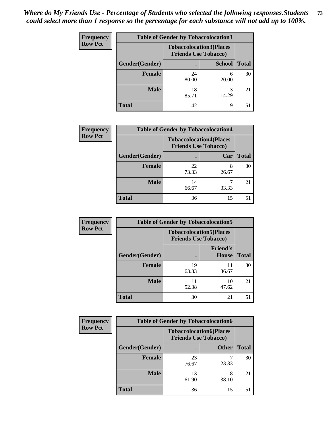| <b>Frequency</b> | <b>Table of Gender by Tobaccolocation3</b> |                             |                                |              |
|------------------|--------------------------------------------|-----------------------------|--------------------------------|--------------|
| <b>Row Pct</b>   |                                            | <b>Friends Use Tobacco)</b> | <b>Tobaccolocation3(Places</b> |              |
|                  | Gender(Gender)                             |                             | <b>School</b>                  | <b>Total</b> |
|                  | <b>Female</b>                              | 24<br>80.00                 | 6<br>20.00                     | 30           |
|                  | <b>Male</b>                                | 18<br>85.71                 | 3<br>14.29                     | 21           |
|                  | <b>Total</b>                               | 42                          | 9                              | 51           |

| <b>Frequency</b> | <b>Table of Gender by Tobaccolocation4</b> |                                                               |       |              |
|------------------|--------------------------------------------|---------------------------------------------------------------|-------|--------------|
| <b>Row Pct</b>   |                                            | <b>Tobaccolocation4(Places</b><br><b>Friends Use Tobacco)</b> |       |              |
|                  | Gender(Gender)                             |                                                               | Car   | <b>Total</b> |
|                  | Female                                     | 22<br>73.33                                                   | 26.67 | 30           |
|                  | <b>Male</b>                                | 14<br>66.67                                                   | 33.33 | 21           |
|                  | <b>Total</b>                               | 36                                                            | 15    | .51          |

| <b>Frequency</b> | <b>Table of Gender by Tobaccolocation5</b> |                                                               |                          |              |
|------------------|--------------------------------------------|---------------------------------------------------------------|--------------------------|--------------|
| <b>Row Pct</b>   |                                            | <b>Tobaccolocation5(Places</b><br><b>Friends Use Tobacco)</b> |                          |              |
|                  | Gender(Gender)                             |                                                               | <b>Friend's</b><br>House | <b>Total</b> |
|                  | <b>Female</b>                              | 19<br>63.33                                                   | 11<br>36.67              | 30           |
|                  | <b>Male</b>                                | 52.38                                                         | 10<br>47.62              | 21           |
|                  | <b>Total</b>                               | 30                                                            | 21                       | 51           |

| <b>Frequency</b> | <b>Table of Gender by Tobaccolocation6</b> |                                                               |              |              |
|------------------|--------------------------------------------|---------------------------------------------------------------|--------------|--------------|
| <b>Row Pct</b>   |                                            | <b>Tobaccolocation6(Places</b><br><b>Friends Use Tobacco)</b> |              |              |
|                  | Gender(Gender)                             |                                                               | <b>Other</b> | <b>Total</b> |
|                  | Female                                     | 23<br>76.67                                                   | 23.33        | 30           |
|                  | <b>Male</b>                                | 13<br>61.90                                                   | 8<br>38.10   | 21           |
|                  | <b>Total</b>                               | 36                                                            | 15           | 51           |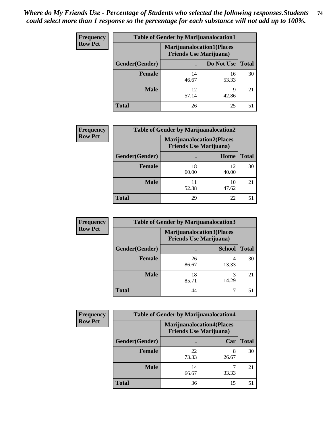| <b>Frequency</b> | <b>Table of Gender by Marijuanalocation1</b> |                                                                    |             |              |
|------------------|----------------------------------------------|--------------------------------------------------------------------|-------------|--------------|
| <b>Row Pct</b>   |                                              | <b>Marijuanalocation1(Places</b><br><b>Friends Use Marijuana</b> ) |             |              |
|                  | Gender(Gender)                               |                                                                    | Do Not Use  | <b>Total</b> |
|                  | <b>Female</b>                                | 14<br>46.67                                                        | 16<br>53.33 | 30           |
|                  | <b>Male</b>                                  | 12<br>57.14                                                        | Q<br>42.86  | 21           |
|                  | <b>Total</b>                                 | 26                                                                 | 25          | 51           |

| <b>Frequency</b> | <b>Table of Gender by Marijuanalocation2</b> |                                                                    |             |              |
|------------------|----------------------------------------------|--------------------------------------------------------------------|-------------|--------------|
| <b>Row Pct</b>   |                                              | <b>Marijuanalocation2(Places</b><br><b>Friends Use Marijuana</b> ) |             |              |
|                  | Gender(Gender)                               |                                                                    | Home        | <b>Total</b> |
|                  | Female                                       | 18<br>60.00                                                        | 12<br>40.00 | 30           |
|                  | <b>Male</b>                                  | 11<br>52.38                                                        | 10<br>47.62 | 21           |
|                  | <b>Total</b>                                 | 29                                                                 | 22          | 51           |

| Frequency      | <b>Table of Gender by Marijuanalocation3</b> |                                                                    |               |              |
|----------------|----------------------------------------------|--------------------------------------------------------------------|---------------|--------------|
| <b>Row Pct</b> |                                              | <b>Marijuanalocation3(Places</b><br><b>Friends Use Marijuana</b> ) |               |              |
|                | Gender(Gender)                               |                                                                    | <b>School</b> | <b>Total</b> |
|                | Female                                       | 26<br>86.67                                                        | 13.33         | 30           |
|                | <b>Male</b>                                  | 18<br>85.71                                                        | 3<br>14.29    | 21           |
|                | <b>Total</b>                                 | 44                                                                 | ¬             | 51           |

| <b>Frequency</b> | <b>Table of Gender by Marijuanalocation4</b> |                                                                    |       |              |
|------------------|----------------------------------------------|--------------------------------------------------------------------|-------|--------------|
| <b>Row Pct</b>   |                                              | <b>Marijuanalocation4(Places</b><br><b>Friends Use Marijuana</b> ) |       |              |
|                  | Gender(Gender)                               |                                                                    | Car   | <b>Total</b> |
|                  | Female                                       | 22<br>73.33                                                        | 26.67 | 30           |
|                  | <b>Male</b>                                  | 14<br>66.67                                                        | 33.33 | 21           |
|                  | <b>Total</b>                                 | 36                                                                 | 15    | 51           |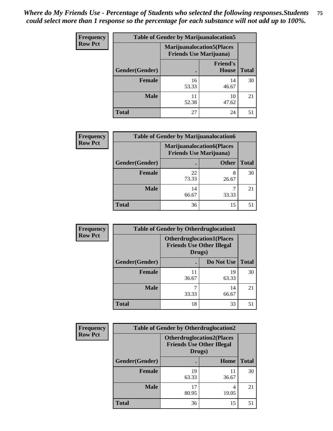| <b>Frequency</b> | <b>Table of Gender by Marijuanalocation5</b> |                                                                    |                          |              |
|------------------|----------------------------------------------|--------------------------------------------------------------------|--------------------------|--------------|
| <b>Row Pct</b>   |                                              | <b>Marijuanalocation5(Places</b><br><b>Friends Use Marijuana</b> ) |                          |              |
|                  | Gender(Gender)                               |                                                                    | <b>Friend's</b><br>House | <b>Total</b> |
|                  | <b>Female</b>                                | 16<br>53.33                                                        | 14<br>46.67              | 30           |
|                  | <b>Male</b>                                  | 11<br>52.38                                                        | 10<br>47.62              | 21           |
|                  | <b>Total</b>                                 | 27                                                                 | 24                       | 51           |

| <b>Frequency</b> | <b>Table of Gender by Marijuanalocation6</b> |                                                                    |              |              |  |
|------------------|----------------------------------------------|--------------------------------------------------------------------|--------------|--------------|--|
| <b>Row Pct</b>   |                                              | <b>Marijuanalocation6(Places</b><br><b>Friends Use Marijuana</b> ) |              |              |  |
|                  | Gender(Gender)                               |                                                                    | <b>Other</b> | <b>Total</b> |  |
|                  | <b>Female</b>                                | 22<br>73.33                                                        | 8<br>26.67   | 30           |  |
|                  | <b>Male</b>                                  | 14<br>66.67                                                        | 33.33        | 21           |  |
|                  | <b>Total</b>                                 | 36                                                                 | 15           | 51           |  |

| <b>Frequency</b> | <b>Table of Gender by Otherdruglocation1</b> |                                                                                |             |              |
|------------------|----------------------------------------------|--------------------------------------------------------------------------------|-------------|--------------|
| <b>Row Pct</b>   |                                              | <b>Otherdruglocation1(Places</b><br><b>Friends Use Other Illegal</b><br>Drugs) |             |              |
|                  | Gender(Gender)                               |                                                                                | Do Not Use  | <b>Total</b> |
|                  | <b>Female</b>                                | 36.67                                                                          | 19<br>63.33 | 30           |
|                  | <b>Male</b>                                  | 33.33                                                                          | 14<br>66.67 | 21           |
|                  | <b>Total</b>                                 | 18                                                                             | 33          | 51           |

| <b>Frequency</b> | <b>Table of Gender by Otherdruglocation2</b> |                                            |                                  |              |
|------------------|----------------------------------------------|--------------------------------------------|----------------------------------|--------------|
| <b>Row Pct</b>   |                                              | <b>Friends Use Other Illegal</b><br>Drugs) | <b>Otherdruglocation2(Places</b> |              |
|                  | Gender(Gender)                               |                                            | Home                             | <b>Total</b> |
|                  | <b>Female</b>                                | 19<br>63.33                                | 11<br>36.67                      | 30           |
|                  | <b>Male</b>                                  | 17<br>80.95                                | 4<br>19.05                       | 21           |
|                  | <b>Total</b>                                 | 36                                         | 15                               | 51           |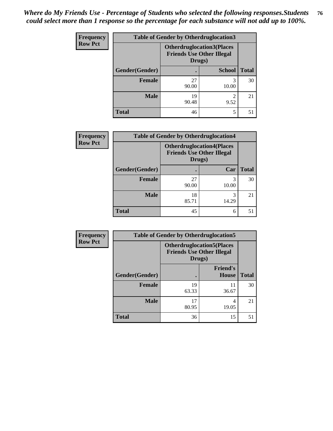| Frequency      | <b>Table of Gender by Otherdruglocation3</b> |                                                                                |               |              |
|----------------|----------------------------------------------|--------------------------------------------------------------------------------|---------------|--------------|
| <b>Row Pct</b> |                                              | <b>Otherdruglocation3(Places</b><br><b>Friends Use Other Illegal</b><br>Drugs) |               |              |
|                | Gender(Gender)                               |                                                                                | <b>School</b> | <b>Total</b> |
|                | Female                                       | 27<br>90.00                                                                    | 3<br>10.00    | 30           |
|                | <b>Male</b>                                  | 19<br>90.48                                                                    | ∍<br>9.52     | 21           |
|                | <b>Total</b>                                 | 46                                                                             | 5             | 51           |

| Frequency      | <b>Table of Gender by Otherdruglocation4</b> |                                            |                                  |              |
|----------------|----------------------------------------------|--------------------------------------------|----------------------------------|--------------|
| <b>Row Pct</b> |                                              | <b>Friends Use Other Illegal</b><br>Drugs) | <b>Otherdruglocation4(Places</b> |              |
|                | Gender(Gender)                               |                                            | Car                              | <b>Total</b> |
|                | Female                                       | 27<br>90.00                                | 3<br>10.00                       | 30           |
|                | <b>Male</b>                                  | 18<br>85.71                                | 3<br>14.29                       | 21           |
|                | <b>Total</b>                                 | 45                                         | 6                                | 51           |

| Frequency      | <b>Table of Gender by Otherdruglocation5</b> |                                                                                |                                 |              |
|----------------|----------------------------------------------|--------------------------------------------------------------------------------|---------------------------------|--------------|
| <b>Row Pct</b> |                                              | <b>Otherdruglocation5(Places</b><br><b>Friends Use Other Illegal</b><br>Drugs) |                                 |              |
|                | Gender(Gender)                               |                                                                                | <b>Friend's</b><br><b>House</b> | <b>Total</b> |
|                | <b>Female</b>                                | 19<br>63.33                                                                    | 11<br>36.67                     | 30           |
|                | <b>Male</b>                                  | 17<br>80.95                                                                    | 4<br>19.05                      | 21           |
|                | <b>Total</b>                                 | 36                                                                             | 15                              | 51           |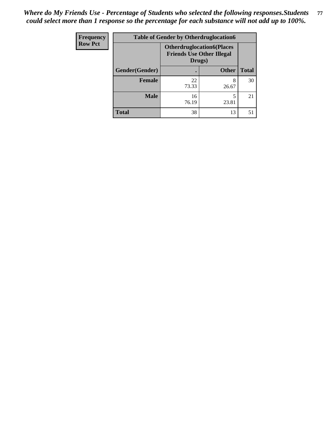| <b>Frequency</b> | <b>Table of Gender by Otherdruglocation6</b> |                                                                                |              |              |
|------------------|----------------------------------------------|--------------------------------------------------------------------------------|--------------|--------------|
| <b>Row Pct</b>   |                                              | <b>Otherdruglocation6(Places</b><br><b>Friends Use Other Illegal</b><br>Drugs) |              |              |
|                  | Gender(Gender)                               |                                                                                | <b>Other</b> | <b>Total</b> |
|                  | <b>Female</b>                                | 22<br>73.33                                                                    | 8<br>26.67   | 30           |
|                  | <b>Male</b>                                  | 16<br>76.19                                                                    | 23.81        | 21           |
|                  | <b>Total</b>                                 | 38                                                                             | 13           | 51           |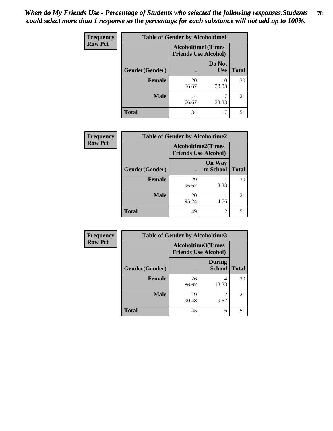| Frequency      | <b>Table of Gender by Alcoholtime1</b> |                                                          |                      |              |
|----------------|----------------------------------------|----------------------------------------------------------|----------------------|--------------|
| <b>Row Pct</b> |                                        | <b>Alcoholtime1(Times</b><br><b>Friends Use Alcohol)</b> |                      |              |
|                | Gender(Gender)                         |                                                          | Do Not<br><b>Use</b> | <b>Total</b> |
|                | <b>Female</b>                          | 20<br>66.67                                              | 10<br>33.33          | 30           |
|                | <b>Male</b>                            | 14<br>66.67                                              | 33.33                | 21           |
|                | <b>Total</b>                           | 34                                                       | 17                   | 51           |

| Frequency      |                | <b>Table of Gender by Alcoholtime2</b>                   |                            |              |
|----------------|----------------|----------------------------------------------------------|----------------------------|--------------|
| <b>Row Pct</b> |                | <b>Alcoholtime2(Times</b><br><b>Friends Use Alcohol)</b> |                            |              |
|                | Gender(Gender) |                                                          | <b>On Way</b><br>to School | <b>Total</b> |
|                | <b>Female</b>  | 29<br>96.67                                              | 3.33                       | 30           |
|                | <b>Male</b>    | 20<br>95.24                                              | 4.76                       | 21           |
|                | <b>Total</b>   | 49                                                       | 2                          | 51           |

| Frequency      | <b>Table of Gender by Alcoholtime3</b> |                                                          |                                |              |
|----------------|----------------------------------------|----------------------------------------------------------|--------------------------------|--------------|
| <b>Row Pct</b> |                                        | <b>Alcoholtime3(Times</b><br><b>Friends Use Alcohol)</b> |                                |              |
|                | Gender(Gender)                         |                                                          | <b>During</b><br><b>School</b> | <b>Total</b> |
|                | Female                                 | 26<br>86.67                                              | 4<br>13.33                     | 30           |
|                | <b>Male</b>                            | 19<br>90.48                                              | 2<br>9.52                      | 21           |
|                | <b>Total</b>                           | 45                                                       | 6                              | 51           |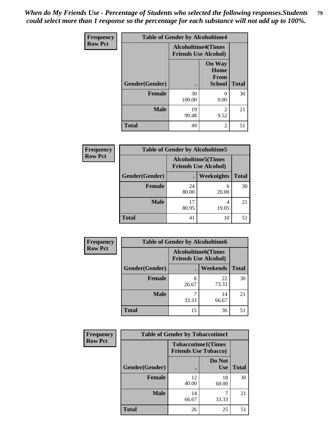*When do My Friends Use - Percentage of Students who selected the following responses.Students could select more than 1 response so the percentage for each substance will not add up to 100%.* **79**

| <b>Frequency</b> | <b>Table of Gender by Alcoholtime4</b> |                                                          |                                                |              |
|------------------|----------------------------------------|----------------------------------------------------------|------------------------------------------------|--------------|
| <b>Row Pct</b>   |                                        | <b>Alcoholtime4(Times</b><br><b>Friends Use Alcohol)</b> |                                                |              |
|                  | Gender(Gender)                         | $\bullet$                                                | <b>On Way</b><br>Home<br>From<br><b>School</b> | <b>Total</b> |
|                  | <b>Female</b>                          | 30<br>100.00                                             | 0<br>0.00                                      | 30           |
|                  | <b>Male</b>                            | 19<br>90.48                                              | 2<br>9.52                                      | 21           |
|                  | <b>Total</b>                           | 49                                                       | 2                                              | 51           |

| <b>Frequency</b> | <b>Table of Gender by Alcoholtime5</b> |                                                           |            |              |
|------------------|----------------------------------------|-----------------------------------------------------------|------------|--------------|
| <b>Row Pct</b>   |                                        | <b>Alcoholtime5</b> (Times<br><b>Friends Use Alcohol)</b> |            |              |
|                  | Gender(Gender)                         |                                                           | Weeknights | <b>Total</b> |
|                  | Female                                 | 24<br>80.00                                               | 6<br>20.00 | 30           |
|                  | <b>Male</b>                            | 17<br>80.95                                               | 4<br>19.05 | 21           |
|                  | <b>Total</b>                           | 41                                                        | 10         | 51           |

| <b>Frequency</b> | <b>Table of Gender by Alcoholtime6</b> |                                                           |                 |              |
|------------------|----------------------------------------|-----------------------------------------------------------|-----------------|--------------|
| <b>Row Pct</b>   |                                        | <b>Alcoholtime6</b> (Times<br><b>Friends Use Alcohol)</b> |                 |              |
|                  | Gender(Gender)                         |                                                           | <b>Weekends</b> | <b>Total</b> |
|                  | Female                                 | 8<br>26.67                                                | 22<br>73.33     | 30           |
|                  | <b>Male</b>                            | 33.33                                                     | 14<br>66.67     | 21           |
|                  | <b>Total</b>                           | 15                                                        | 36              | 51           |

| Frequency      | <b>Table of Gender by Tobaccotime1</b> |                                                          |                      |              |
|----------------|----------------------------------------|----------------------------------------------------------|----------------------|--------------|
| <b>Row Pct</b> |                                        | <b>Tobaccotime1(Times</b><br><b>Friends Use Tobacco)</b> |                      |              |
|                | Gender(Gender)                         |                                                          | Do Not<br><b>Use</b> | <b>Total</b> |
|                | Female                                 | 12<br>40.00                                              | 18<br>60.00          | 30           |
|                | <b>Male</b>                            | 14<br>66.67                                              | 33.33                | 21           |
|                | <b>Total</b>                           | 26                                                       | 25                   | 51           |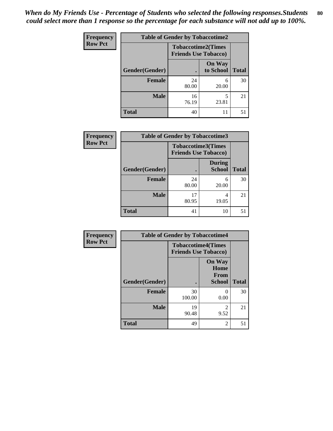| <b>Frequency</b> | <b>Table of Gender by Tobaccotime2</b> |                                                          |                            |              |
|------------------|----------------------------------------|----------------------------------------------------------|----------------------------|--------------|
| <b>Row Pct</b>   |                                        | <b>Tobaccotime2(Times</b><br><b>Friends Use Tobacco)</b> |                            |              |
|                  | Gender(Gender)                         | $\bullet$                                                | <b>On Way</b><br>to School | <b>Total</b> |
|                  | Female                                 | 24<br>80.00                                              | 6<br>20.00                 | 30           |
|                  | <b>Male</b>                            | 16<br>76.19                                              | 5<br>23.81                 | 21           |
|                  | <b>Total</b>                           | 40                                                       | 11                         | 51           |

| <b>Frequency</b> | <b>Table of Gender by Tobaccotime3</b> |                                                          |                                |              |
|------------------|----------------------------------------|----------------------------------------------------------|--------------------------------|--------------|
| <b>Row Pct</b>   |                                        | <b>Tobaccotime3(Times</b><br><b>Friends Use Tobacco)</b> |                                |              |
|                  | Gender(Gender)                         |                                                          | <b>During</b><br><b>School</b> | <b>Total</b> |
|                  | Female                                 | 24<br>80.00                                              | 6<br>20.00                     | 30           |
|                  | <b>Male</b>                            | 17<br>80.95                                              | 4<br>19.05                     | 21           |
|                  | <b>Total</b>                           | 41                                                       | 10                             | 51           |

| <b>Frequency</b> | <b>Table of Gender by Tobaccotime4</b> |                                                          |                                                |              |
|------------------|----------------------------------------|----------------------------------------------------------|------------------------------------------------|--------------|
| <b>Row Pct</b>   |                                        | <b>Tobaccotime4(Times</b><br><b>Friends Use Tobacco)</b> |                                                |              |
|                  | Gender(Gender)                         |                                                          | <b>On Way</b><br>Home<br>From<br><b>School</b> | <b>Total</b> |
|                  | <b>Female</b>                          | 30<br>100.00                                             | 0.00                                           | 30           |
|                  | <b>Male</b>                            | 19<br>90.48                                              | 2<br>9.52                                      | 21           |
|                  | <b>Total</b>                           | 49                                                       | $\overline{2}$                                 | 51           |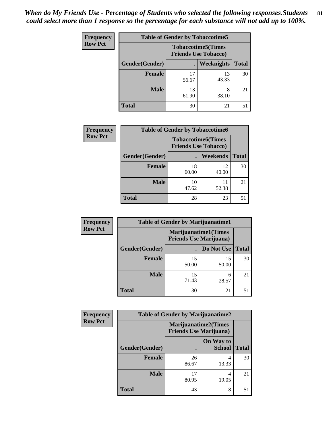| <b>Frequency</b> | <b>Table of Gender by Tobaccotime5</b> |                                                           |                   |              |  |
|------------------|----------------------------------------|-----------------------------------------------------------|-------------------|--------------|--|
| <b>Row Pct</b>   |                                        | <b>Tobaccotime5</b> (Times<br><b>Friends Use Tobacco)</b> |                   |              |  |
|                  | <b>Gender</b> (Gender)                 |                                                           | <b>Weeknights</b> | <b>Total</b> |  |
|                  | <b>Female</b>                          | 17<br>56.67                                               | 13<br>43.33       | 30           |  |
|                  | <b>Male</b>                            | 13<br>61.90                                               | 8<br>38.10        | 21           |  |
|                  | Total                                  | 30                                                        | 21                | 51           |  |

| <b>Frequency</b> | <b>Table of Gender by Tobaccotime6</b> |                             |                           |              |
|------------------|----------------------------------------|-----------------------------|---------------------------|--------------|
| <b>Row Pct</b>   |                                        | <b>Friends Use Tobacco)</b> | <b>Tobaccotime6(Times</b> |              |
|                  | Gender(Gender)                         |                             | <b>Weekends</b>           | <b>Total</b> |
|                  | Female                                 | 18<br>60.00                 | 12<br>40.00               | 30           |
|                  | <b>Male</b>                            | 10<br>47.62                 | 11<br>52.38               | 21           |
|                  | <b>Total</b>                           | 28                          | 23                        | 51           |

| <b>Frequency</b> | <b>Table of Gender by Marijuanatime1</b> |                                |                             |              |
|------------------|------------------------------------------|--------------------------------|-----------------------------|--------------|
| <b>Row Pct</b>   |                                          | <b>Friends Use Marijuana</b> ) | <b>Marijuanatime1(Times</b> |              |
|                  | Gender(Gender)                           |                                | Do Not Use                  | <b>Total</b> |
|                  | <b>Female</b>                            | 15<br>50.00                    | 15<br>50.00                 | 30           |
|                  | <b>Male</b>                              | 15<br>71.43                    | 6<br>28.57                  | 21           |
|                  | <b>Total</b>                             | 30                             | 21                          | 51           |

| <b>Frequency</b> | <b>Table of Gender by Marijuanatime2</b> |                                                               |                            |              |
|------------------|------------------------------------------|---------------------------------------------------------------|----------------------------|--------------|
| <b>Row Pct</b>   |                                          | <b>Marijuanatime2(Times</b><br><b>Friends Use Marijuana</b> ) |                            |              |
|                  | Gender(Gender)                           |                                                               | On Way to<br><b>School</b> | <b>Total</b> |
|                  | <b>Female</b>                            | 26<br>86.67                                                   | 4<br>13.33                 | 30           |
|                  | <b>Male</b>                              | 80.95                                                         | 4<br>19.05                 | 21           |
|                  | <b>Total</b>                             | 43                                                            | 8                          | 51           |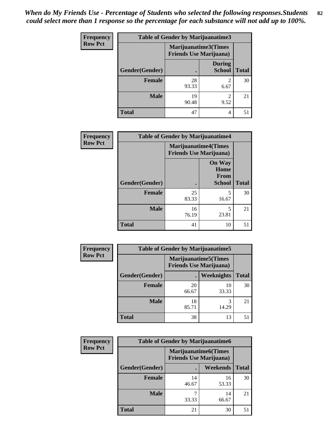| <b>Frequency</b> | <b>Table of Gender by Marijuanatime3</b> |                                                        |                                |              |
|------------------|------------------------------------------|--------------------------------------------------------|--------------------------------|--------------|
| <b>Row Pct</b>   |                                          | Marijuanatime3(Times<br><b>Friends Use Marijuana</b> ) |                                |              |
|                  | Gender(Gender)                           |                                                        | <b>During</b><br><b>School</b> | <b>Total</b> |
|                  | <b>Female</b>                            | 28<br>93.33                                            | $\mathfrak{D}$<br>6.67         | 30           |
|                  | <b>Male</b>                              | 19<br>90.48                                            | $\mathfrak{D}$<br>9.52         | 21           |
|                  | <b>Total</b>                             | 47                                                     | 4                              | 51           |

| Frequency      | <b>Table of Gender by Marijuanatime4</b> |                                |                                                       |              |
|----------------|------------------------------------------|--------------------------------|-------------------------------------------------------|--------------|
| <b>Row Pct</b> |                                          | <b>Friends Use Marijuana</b> ) | <b>Marijuanatime4</b> (Times                          |              |
|                | Gender(Gender)                           |                                | <b>On Way</b><br>Home<br><b>From</b><br><b>School</b> | <b>Total</b> |
|                | <b>Female</b>                            | 25<br>83.33                    | 5<br>16.67                                            | 30           |
|                | <b>Male</b>                              | 16<br>76.19                    | 5<br>23.81                                            | 21           |
|                | <b>Total</b>                             | 41                             | 10                                                    | 51           |

| Frequency      | <b>Table of Gender by Marijuanatime5</b> |             |                                                                |              |  |
|----------------|------------------------------------------|-------------|----------------------------------------------------------------|--------------|--|
| <b>Row Pct</b> |                                          |             | <b>Marijuanatime5</b> (Times<br><b>Friends Use Marijuana</b> ) |              |  |
|                | Gender(Gender)                           |             | <b>Weeknights</b>                                              | <b>Total</b> |  |
|                | <b>Female</b>                            | 20<br>66.67 | 10<br>33.33                                                    | 30           |  |
|                | <b>Male</b>                              | 18<br>85.71 | 3<br>14.29                                                     | 21           |  |
|                | <b>Total</b>                             | 38          | 13                                                             | 51           |  |

| Frequency      | <b>Table of Gender by Marijuanatime6</b> |                                                               |                 |              |
|----------------|------------------------------------------|---------------------------------------------------------------|-----------------|--------------|
| <b>Row Pct</b> |                                          | <b>Marijuanatime6(Times</b><br><b>Friends Use Marijuana</b> ) |                 |              |
|                | Gender(Gender)                           |                                                               | <b>Weekends</b> | <b>Total</b> |
|                | <b>Female</b>                            | 14<br>46.67                                                   | 16<br>53.33     | 30           |
|                | <b>Male</b>                              | 33.33                                                         | 14<br>66.67     | 21           |
|                | <b>Total</b>                             | 21                                                            | 30              | 51           |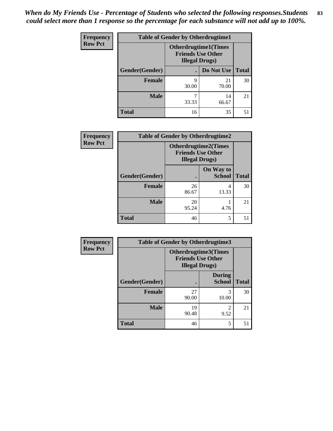| <b>Frequency</b> | <b>Table of Gender by Otherdrugtime1</b> |                                                                                    |             |              |
|------------------|------------------------------------------|------------------------------------------------------------------------------------|-------------|--------------|
| <b>Row Pct</b>   |                                          | <b>Otherdrugtime1</b> (Times<br><b>Friends Use Other</b><br><b>Illegal Drugs</b> ) |             |              |
|                  | Gender(Gender)                           |                                                                                    | Do Not Use  | <b>Total</b> |
|                  | <b>Female</b>                            | 9<br>30.00                                                                         | 21<br>70.00 | 30           |
|                  | <b>Male</b>                              | 33.33                                                                              | 14<br>66.67 | 21           |
|                  | <b>Total</b>                             | 16                                                                                 | 35          | 51           |

| Frequency      | <b>Table of Gender by Otherdrugtime2</b> |                                                                                   |                            |              |
|----------------|------------------------------------------|-----------------------------------------------------------------------------------|----------------------------|--------------|
| <b>Row Pct</b> |                                          | <b>Otherdrugtime2(Times</b><br><b>Friends Use Other</b><br><b>Illegal Drugs</b> ) |                            |              |
|                | Gender(Gender)                           |                                                                                   | On Way to<br><b>School</b> | <b>Total</b> |
|                | <b>Female</b>                            | 26<br>86.67                                                                       | 4<br>13.33                 | 30           |
|                | <b>Male</b>                              | 20<br>95.24                                                                       | 4.76                       | 21           |
|                | <b>Total</b>                             | 46                                                                                | 5                          | 51           |

| <b>Frequency</b> | Table of Gender by Otherdrugtime3 |                                                                            |                                |              |
|------------------|-----------------------------------|----------------------------------------------------------------------------|--------------------------------|--------------|
| <b>Row Pct</b>   |                                   | Otherdrugtime3(Times<br><b>Friends Use Other</b><br><b>Illegal Drugs</b> ) |                                |              |
|                  | Gender(Gender)                    |                                                                            | <b>During</b><br><b>School</b> | <b>Total</b> |
|                  | <b>Female</b>                     | 27<br>90.00                                                                | 3<br>10.00                     | 30           |
|                  | <b>Male</b>                       | 19<br>90.48                                                                | $\mathfrak{D}$<br>9.52         | 21           |
|                  | <b>Total</b>                      | 46                                                                         | 5                              | 51           |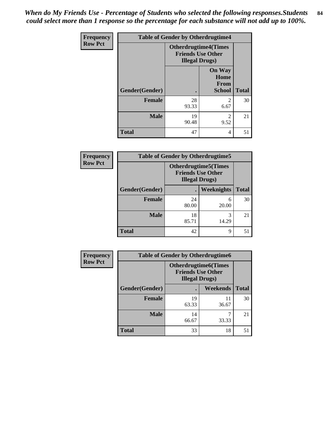*When do My Friends Use - Percentage of Students who selected the following responses.Students could select more than 1 response so the percentage for each substance will not add up to 100%.* **84**

| <b>Frequency</b> | <b>Table of Gender by Otherdrugtime4</b> |                                                                                   |                                                       |              |
|------------------|------------------------------------------|-----------------------------------------------------------------------------------|-------------------------------------------------------|--------------|
| <b>Row Pct</b>   |                                          | <b>Otherdrugtime4(Times</b><br><b>Friends Use Other</b><br><b>Illegal Drugs</b> ) |                                                       |              |
|                  | Gender(Gender)                           |                                                                                   | <b>On Way</b><br>Home<br><b>From</b><br><b>School</b> | <b>Total</b> |
|                  | <b>Female</b>                            | 28<br>93.33                                                                       | $\mathfrak{D}$<br>6.67                                | 30           |
|                  | <b>Male</b>                              | 19<br>90.48                                                                       | $\mathfrak{D}$<br>9.52                                | 21           |
|                  | <b>Total</b>                             | 47                                                                                | 4                                                     | 51           |

| <b>Frequency</b> | <b>Table of Gender by Otherdrugtime5</b> |                                                                                   |            |              |
|------------------|------------------------------------------|-----------------------------------------------------------------------------------|------------|--------------|
| <b>Row Pct</b>   |                                          | <b>Otherdrugtime5(Times</b><br><b>Friends Use Other</b><br><b>Illegal Drugs</b> ) |            |              |
|                  | Gender(Gender)                           |                                                                                   | Weeknights | <b>Total</b> |
|                  | Female                                   | 24<br>80.00                                                                       | 6<br>20.00 | 30           |
|                  | <b>Male</b>                              | 18<br>85.71                                                                       | 14.29      | 21           |
|                  | <b>Total</b>                             | 42                                                                                | 9          | 51           |

| <b>Frequency</b> | <b>Table of Gender by Otherdrugtime6</b> |                                                                                   |             |              |
|------------------|------------------------------------------|-----------------------------------------------------------------------------------|-------------|--------------|
| <b>Row Pct</b>   |                                          | <b>Otherdrugtime6(Times</b><br><b>Friends Use Other</b><br><b>Illegal Drugs</b> ) |             |              |
|                  | Gender(Gender)                           |                                                                                   | Weekends    | <b>Total</b> |
|                  | <b>Female</b>                            | 19<br>63.33                                                                       | 11<br>36.67 | 30           |
|                  | <b>Male</b>                              | 14<br>66.67                                                                       | ┑<br>33.33  | 21           |
|                  | <b>Total</b>                             | 33                                                                                | 18          | 51           |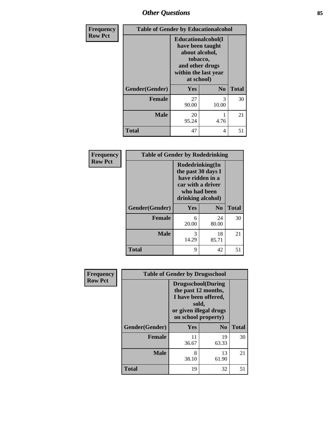## *Other Questions* **85**

| Frequency      |                | <b>Table of Gender by Educationalcohol</b> |                                                                                                                               |              |  |
|----------------|----------------|--------------------------------------------|-------------------------------------------------------------------------------------------------------------------------------|--------------|--|
| <b>Row Pct</b> |                |                                            | Educationalcohol(I<br>have been taught<br>about alcohol,<br>tobacco,<br>and other drugs<br>within the last year<br>at school) |              |  |
|                | Gender(Gender) | <b>Yes</b>                                 | N <sub>0</sub>                                                                                                                | <b>Total</b> |  |
|                | <b>Female</b>  | 27<br>90.00                                | 3<br>10.00                                                                                                                    | 30           |  |
|                | <b>Male</b>    | 20<br>95.24                                | 4.76                                                                                                                          | 21           |  |
|                | <b>Total</b>   | 47                                         | 4                                                                                                                             | 51           |  |

| Frequency      | <b>Table of Gender by Rodedrinking</b> |                                                                                                                     |                |              |
|----------------|----------------------------------------|---------------------------------------------------------------------------------------------------------------------|----------------|--------------|
| <b>Row Pct</b> |                                        | Rodedrinking(In<br>the past 30 days I<br>have ridden in a<br>car with a driver<br>who had been<br>drinking alcohol) |                |              |
|                | Gender(Gender)                         | Yes                                                                                                                 | N <sub>0</sub> | <b>Total</b> |
|                | <b>Female</b>                          | 6<br>20.00                                                                                                          | 24<br>80.00    | 30           |
|                | <b>Male</b>                            | 3<br>14.29                                                                                                          | 18<br>85.71    | 21           |
|                | <b>Total</b>                           | 9                                                                                                                   | 42             | 51           |

| Frequency      |                | <b>Table of Gender by Drugsschool</b>                                                                                               |                |              |  |
|----------------|----------------|-------------------------------------------------------------------------------------------------------------------------------------|----------------|--------------|--|
| <b>Row Pct</b> |                | <b>Drugsschool</b> (During<br>the past 12 months,<br>I have been offered,<br>sold,<br>or given illegal drugs<br>on school property) |                |              |  |
|                | Gender(Gender) | Yes                                                                                                                                 | N <sub>0</sub> | <b>Total</b> |  |
|                | <b>Female</b>  | 11<br>36.67                                                                                                                         | 19<br>63.33    | 30           |  |
|                | <b>Male</b>    | 8<br>38.10                                                                                                                          | 13<br>61.90    | 21           |  |
|                | <b>Total</b>   | 19                                                                                                                                  | 32             | 51           |  |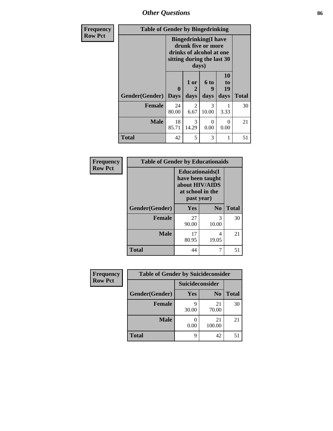*Other Questions* **86**

| <b>Frequency</b> | <b>Table of Gender by Bingedrinking</b> |                                                                                                                       |                   |                       |                               |              |
|------------------|-----------------------------------------|-----------------------------------------------------------------------------------------------------------------------|-------------------|-----------------------|-------------------------------|--------------|
| <b>Row Pct</b>   |                                         | <b>Bingedrinking</b> (I have<br>drunk five or more<br>drinks of alcohol at one<br>sitting during the last 30<br>days) |                   |                       |                               |              |
|                  | Gender(Gender)                          | $\mathbf{0}$<br><b>Days</b>                                                                                           | 1 or<br>2<br>days | 6 to<br>g<br>days     | <b>10</b><br>to<br>19<br>days | <b>Total</b> |
|                  | Female                                  | 24<br>80.00                                                                                                           | 2<br>6.67         | 3<br>10.00            | 3.33                          | 30           |
|                  | <b>Male</b>                             | 18<br>85.71                                                                                                           | 3<br>14.29        | $\mathcal{L}$<br>0.00 | 0<br>0.00                     | 21           |
|                  | <b>Total</b>                            | 42                                                                                                                    | 5                 | 3                     | 1                             | 51           |

| Frequency      | <b>Table of Gender by Educationaids</b> |                                                                                                 |                |              |
|----------------|-----------------------------------------|-------------------------------------------------------------------------------------------------|----------------|--------------|
| <b>Row Pct</b> |                                         | <b>Educationaids</b> (I<br>have been taught<br>about HIV/AIDS<br>at school in the<br>past year) |                |              |
|                | Gender(Gender)                          | <b>Yes</b>                                                                                      | N <sub>0</sub> | <b>Total</b> |
|                | <b>Female</b>                           | 27<br>90.00                                                                                     | 3<br>10.00     | 30           |
|                | <b>Male</b>                             | 17<br>80.95                                                                                     | 4<br>19.05     | 21           |
|                | <b>Total</b>                            | 44                                                                                              | 7              | 51           |

| Frequency      | <b>Table of Gender by Suicideconsider</b> |                 |                |              |
|----------------|-------------------------------------------|-----------------|----------------|--------------|
| <b>Row Pct</b> |                                           | Suicideconsider |                |              |
|                | Gender(Gender)                            | Yes             | N <sub>0</sub> | <b>Total</b> |
|                | <b>Female</b>                             | 30.00           | 21<br>70.00    | 30           |
|                | <b>Male</b>                               | 0.00            | 21<br>100.00   | 21           |
|                | <b>Total</b>                              | q               | 42             | 51           |